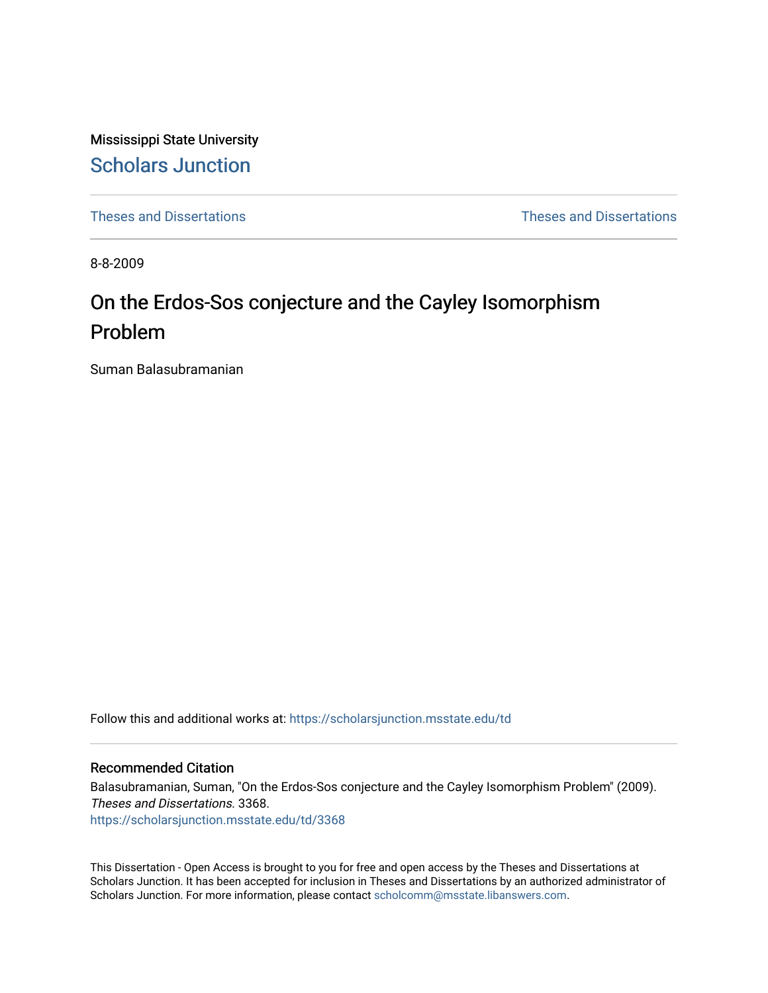Mississippi State University [Scholars Junction](https://scholarsjunction.msstate.edu/) 

[Theses and Dissertations](https://scholarsjunction.msstate.edu/td) [Theses and Dissertations](https://scholarsjunction.msstate.edu/theses-dissertations) 

8-8-2009

# On the Erdos-Sos conjecture and the Cayley Isomorphism Problem

Suman Balasubramanian

Follow this and additional works at: [https://scholarsjunction.msstate.edu/td](https://scholarsjunction.msstate.edu/td?utm_source=scholarsjunction.msstate.edu%2Ftd%2F3368&utm_medium=PDF&utm_campaign=PDFCoverPages) 

#### Recommended Citation

Balasubramanian, Suman, "On the Erdos-Sos conjecture and the Cayley Isomorphism Problem" (2009). Theses and Dissertations. 3368. [https://scholarsjunction.msstate.edu/td/3368](https://scholarsjunction.msstate.edu/td/3368?utm_source=scholarsjunction.msstate.edu%2Ftd%2F3368&utm_medium=PDF&utm_campaign=PDFCoverPages) 

This Dissertation - Open Access is brought to you for free and open access by the Theses and Dissertations at Scholars Junction. It has been accepted for inclusion in Theses and Dissertations by an authorized administrator of Scholars Junction. For more information, please contact [scholcomm@msstate.libanswers.com.](mailto:scholcomm@msstate.libanswers.com)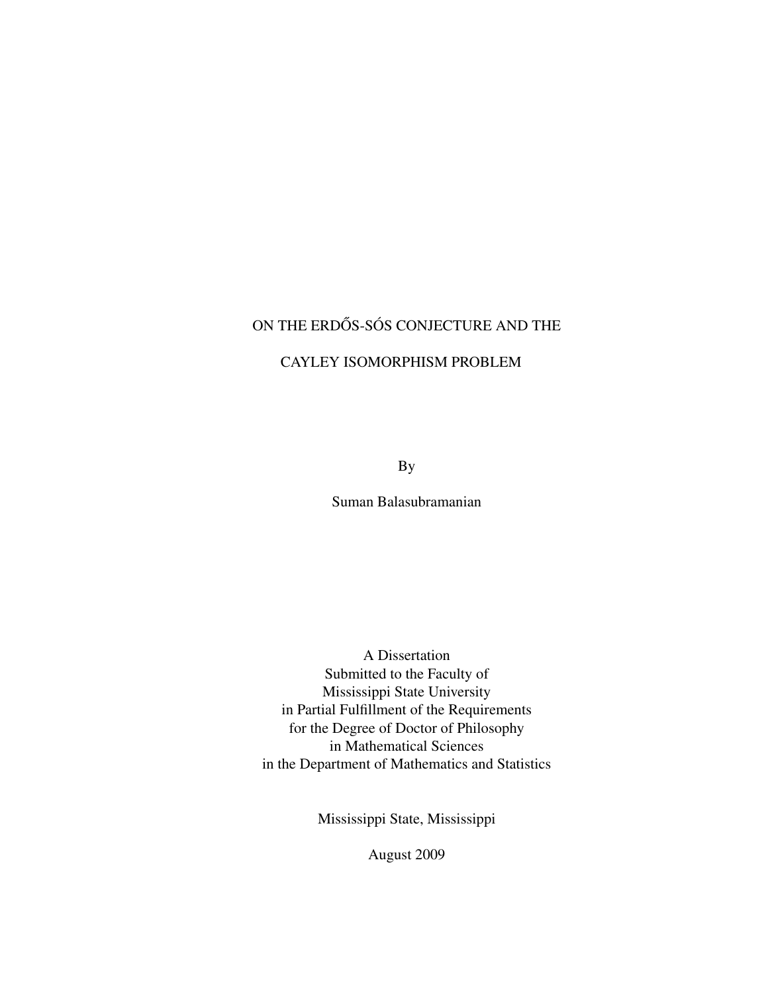## ON THE ERDŐS-SÓS CONJECTURE AND THE

## CAYLEY ISOMORPHISM PROBLEM

By

Suman Balasubramanian

A Dissertation Submitted to the Faculty of Mississippi State University in Partial Fulfillment of the Requirements for the Degree of Doctor of Philosophy in Mathematical Sciences in the Department of Mathematics and Statistics

Mississippi State, Mississippi

August 2009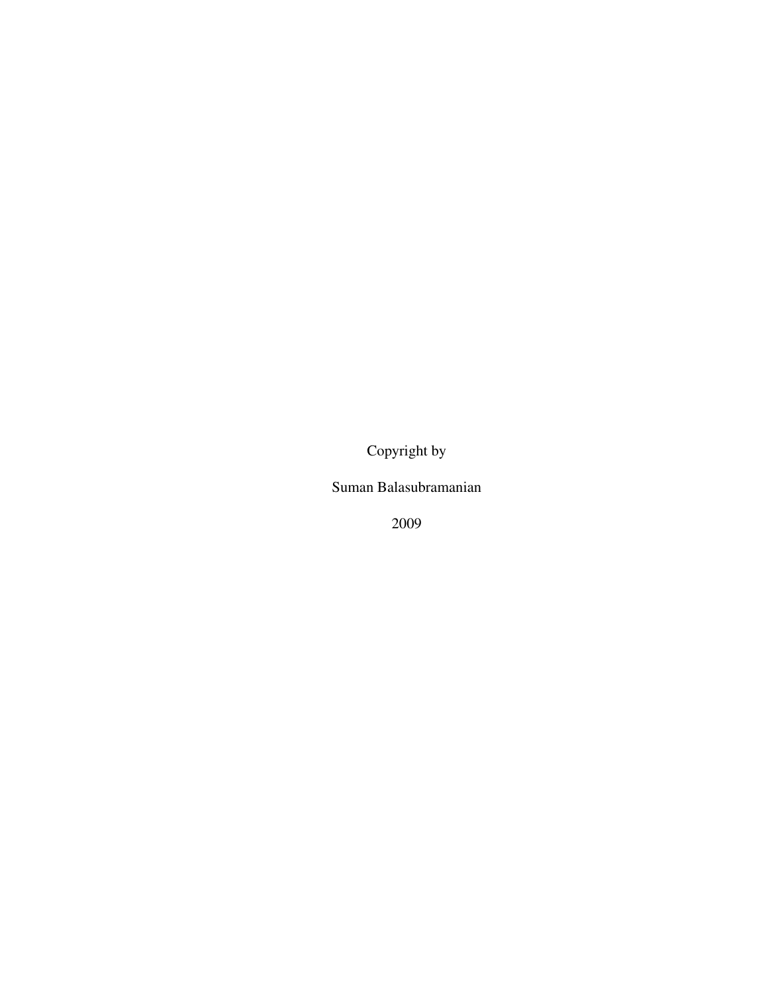Copyright by

Suman Balasubramanian

2009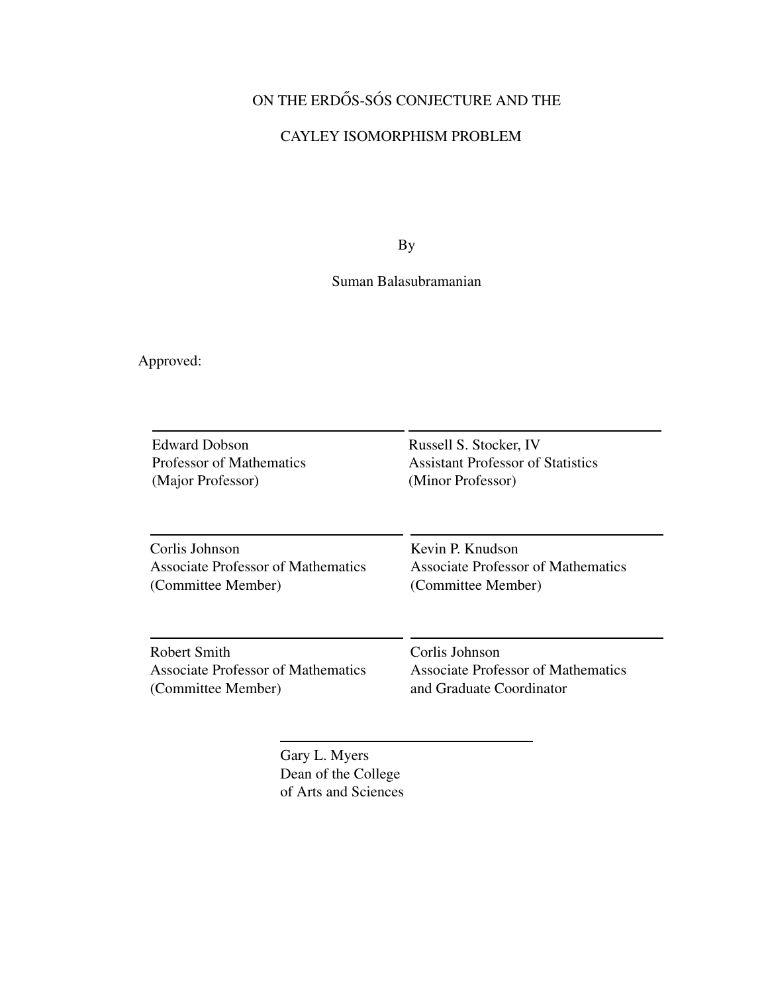## ON THE ERDŐS-SÓS CONJECTURE AND THE

## CAYLEY ISOMORPHISM PROBLEM

By

## Suman Balasubramanian

Approved:

| <b>Edward Dobson</b>               | Russell S. Stocker, IV                   |  |
|------------------------------------|------------------------------------------|--|
| <b>Professor of Mathematics</b>    | <b>Assistant Professor of Statistics</b> |  |
| (Major Professor)                  | (Minor Professor)                        |  |
| Corlis Johnson                     | Kevin P. Knudson                         |  |
| Associate Professor of Mathematics | Associate Professor of Mathematics       |  |
| (Committee Member)                 | (Committee Member)                       |  |
| <b>Robert Smith</b>                | Corlis Johnson                           |  |
| Associate Professor of Mathematics | Associate Professor of Mathematics       |  |
| (Committee Member)                 | and Graduate Coordinator                 |  |

Gary L. Myers Dean of the College of Arts and Sciences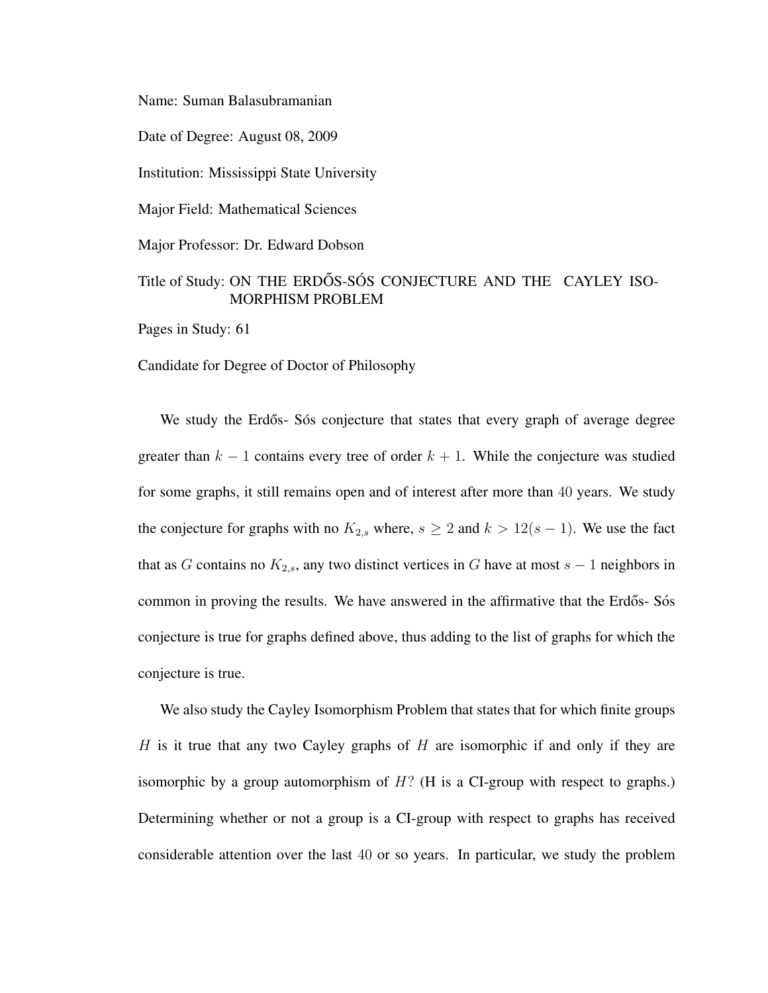Name: Suman Balasubramanian

Date of Degree: August 08, 2009

Institution: Mississippi State University

Major Field: Mathematical Sciences

Major Professor: Dr. Edward Dobson

## Title of Study: ON THE ERDOS-SOS CONJECTURE AND THE CAYLEY ISO-MORPHISM PROBLEM

Pages in Study: 61

Candidate for Degree of Doctor of Philosophy

We study the Erdős- Sós conjecture that states that every graph of average degree greater than  $k - 1$  contains every tree of order  $k + 1$ . While the conjecture was studied for some graphs, it still remains open and of interest after more than 40 years. We study the conjecture for graphs with no  $K_{2,s}$  where,  $s \geq 2$  and  $k > 12(s - 1)$ . We use the fact that as G contains no  $K_{2,s}$ , any two distinct vertices in G have at most  $s - 1$  neighbors in common in proving the results. We have answered in the affirmative that the Erdős-Sós conjecture is true for graphs defined above, thus adding to the list of graphs for which the conjecture is true.

We also study the Cayley Isomorphism Problem that states that for which finite groups H is it true that any two Cayley graphs of  $H$  are isomorphic if and only if they are isomorphic by a group automorphism of  $H$ ? (H is a CI-group with respect to graphs.) Determining whether or not a group is a CI-group with respect to graphs has received considerable attention over the last 40 or so years. In particular, we study the problem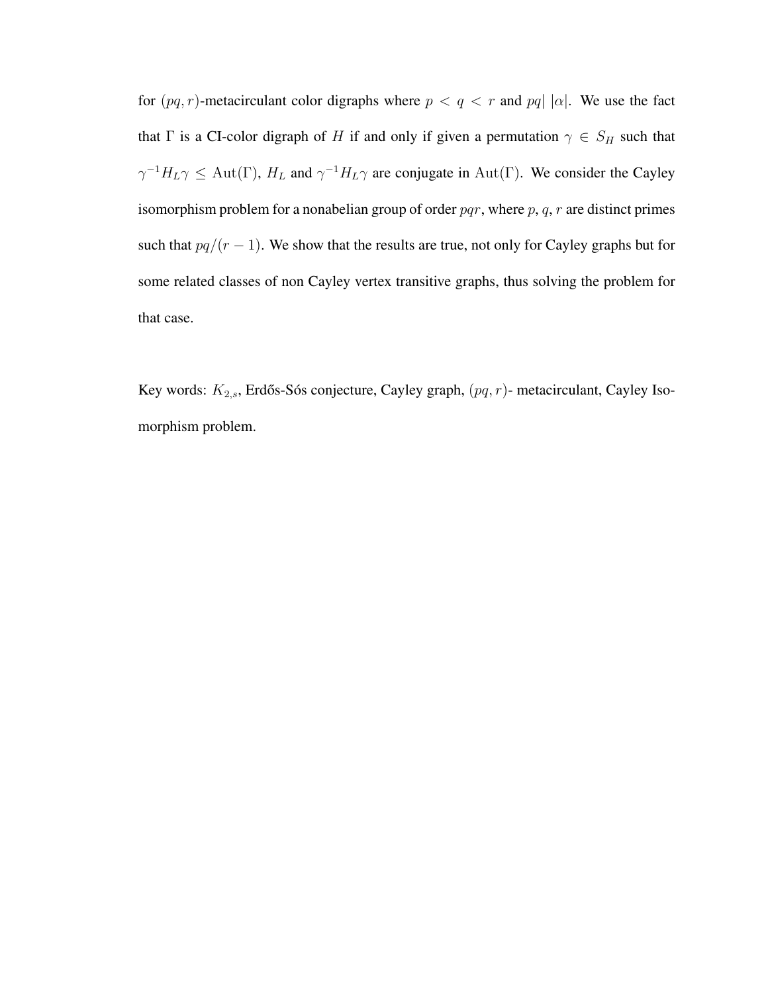for  $(pq, r)$ -metacirculant color digraphs where  $p < q < r$  and  $pq | |\alpha|$ . We use the fact that  $\Gamma$  is a CI-color digraph of H if and only if given a permutation  $\gamma \in S_H$  such that  $\gamma^{-1}H_L\gamma \leq \text{Aut}(\Gamma)$ ,  $H_L$  and  $\gamma^{-1}H_L\gamma$  are conjugate in  $\text{Aut}(\Gamma)$ . We consider the Cayley isomorphism problem for a nonabelian group of order  $pqr$ , where  $p$ ,  $q$ ,  $r$  are distinct primes such that  $pq/(r-1)$ . We show that the results are true, not only for Cayley graphs but for some related classes of non Cayley vertex transitive graphs, thus solving the problem for that case.

Key words:  $K_{2,s}$ , Erdős-Sós conjecture, Cayley graph,  $(pq, r)$ - metacirculant, Cayley Isomorphism problem.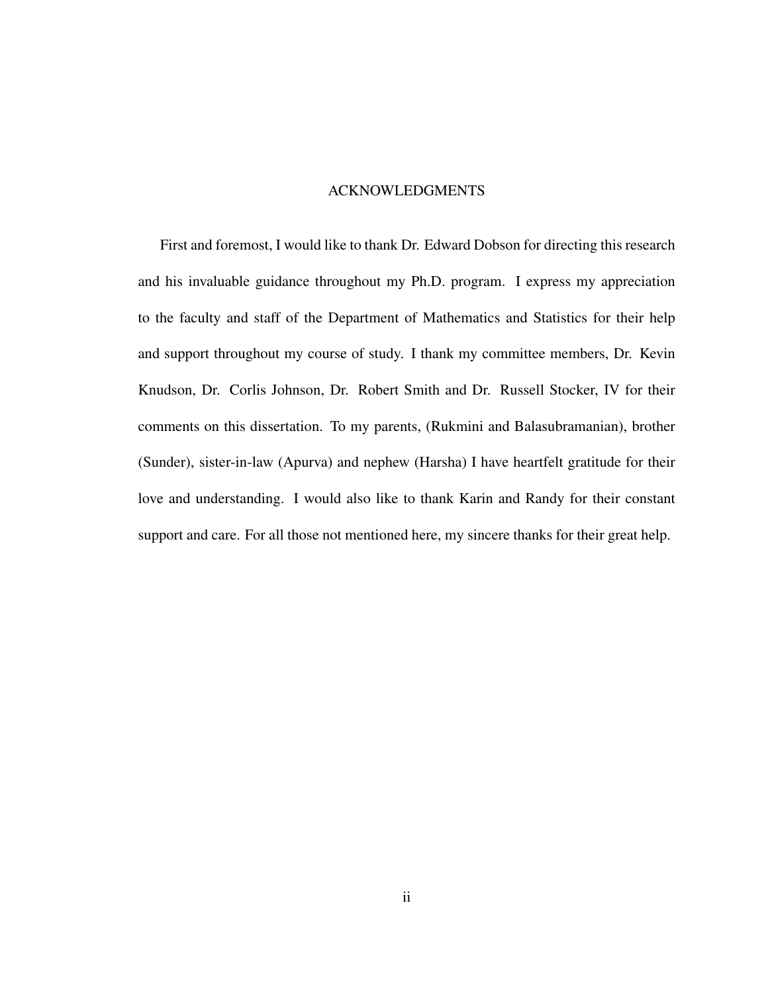#### ACKNOWLEDGMENTS

First and foremost, I would like to thank Dr. Edward Dobson for directing this research and his invaluable guidance throughout my Ph.D. program. I express my appreciation to the faculty and staff of the Department of Mathematics and Statistics for their help and support throughout my course of study. I thank my committee members, Dr. Kevin Knudson, Dr. Corlis Johnson, Dr. Robert Smith and Dr. Russell Stocker, IV for their comments on this dissertation. To my parents, (Rukmini and Balasubramanian), brother (Sunder), sister-in-law (Apurva) and nephew (Harsha) I have heartfelt gratitude for their love and understanding. I would also like to thank Karin and Randy for their constant support and care. For all those not mentioned here, my sincere thanks for their great help.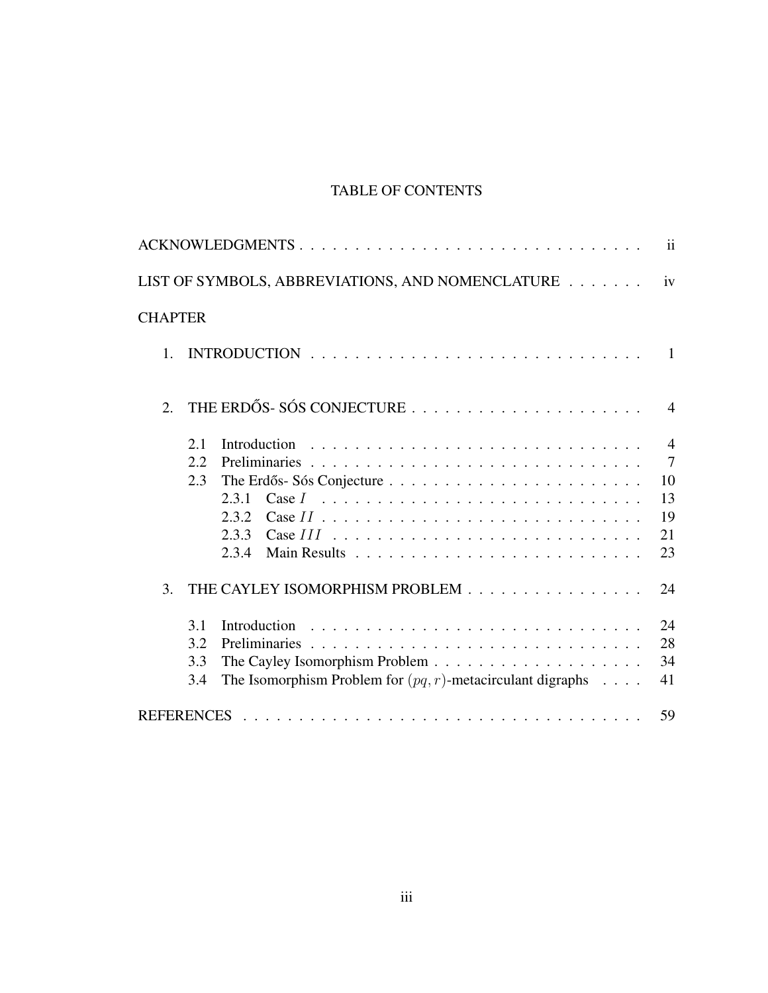## TABLE OF CONTENTS

|                  | LIST OF SYMBOLS, ABBREVIATIONS, AND NOMENCLATURE                                                  | iv             |
|------------------|---------------------------------------------------------------------------------------------------|----------------|
| <b>CHAPTER</b>   |                                                                                                   |                |
| $\mathbf{1}$ .   |                                                                                                   |                |
| $\overline{2}$ . |                                                                                                   | $\overline{4}$ |
|                  | 2.1                                                                                               | $\overline{4}$ |
|                  | 2.2.                                                                                              | $\overline{7}$ |
|                  | 2.3                                                                                               | 10             |
|                  | 2.3.1                                                                                             | 13             |
|                  | 2.3.2                                                                                             | 19<br>21       |
|                  | 2.3.3 Case $III \dots \dots \dots \dots \dots \dots \dots \dots \dots \dots \dots \dots$<br>2.3.4 | 23             |
| 3.               | THE CAYLEY ISOMORPHISM PROBLEM                                                                    | 24             |
|                  | 3.1                                                                                               | 24             |
|                  | 3.2                                                                                               | 28             |
|                  | 3.3                                                                                               | 34             |
|                  | The Isomorphism Problem for $(pq, r)$ -metacirculant digraphs<br>3.4                              | 41             |
|                  |                                                                                                   | 59             |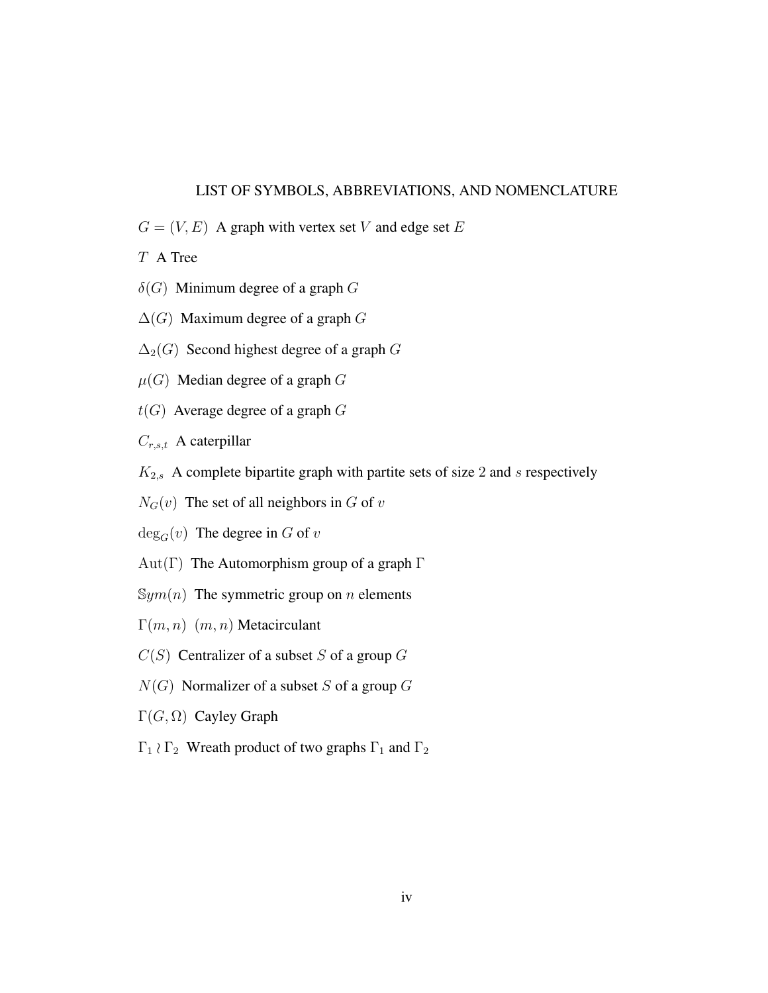#### LIST OF SYMBOLS, ABBREVIATIONS, AND NOMENCLATURE

 $G = (V, E)$  A graph with vertex set V and edge set E

T A Tree

- $\delta(G)$  Minimum degree of a graph G
- $\Delta(G)$  Maximum degree of a graph G
- $\Delta_2(G)$  Second highest degree of a graph G
- $\mu(G)$  Median degree of a graph G
- $t(G)$  Average degree of a graph  $G$

 $C_{r,s,t}$  A caterpillar

- $K_{2,s}$  A complete bipartite graph with partite sets of size 2 and s respectively
- $N_G(v)$  The set of all neighbors in G of v
- $deg_G(v)$  The degree in G of v
- Aut(Γ) The Automorphism group of a graph  $\Gamma$
- $\mathbb{S}ym(n)$  The symmetric group on *n* elements
- $\Gamma(m, n)$  (m, n) Metacirculant
- $C(S)$  Centralizer of a subset S of a group G
- $N(G)$  Normalizer of a subset S of a group G
- Γ $(G, Ω)$  Cayley Graph
- $Γ_1$   $\rangle$  Γ<sub>2</sub> Wreath product of two graphs  $Γ_1$  and  $Γ_2$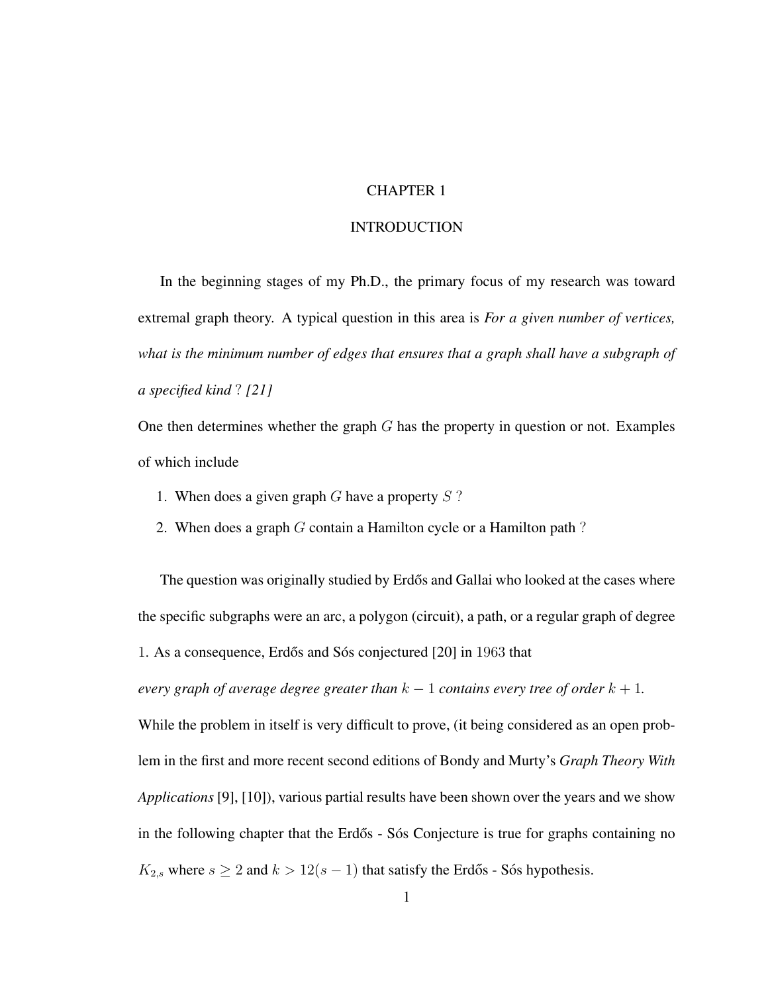## CHAPTER 1

## **INTRODUCTION**

In the beginning stages of my Ph.D., the primary focus of my research was toward extremal graph theory. A typical question in this area is *For a given number of vertices, what is the minimum number of edges that ensures that a graph shall have a subgraph of a specified kind* ? *[21]*

One then determines whether the graph  $G$  has the property in question or not. Examples of which include

- 1. When does a given graph  $G$  have a property  $S$ ?
- 2. When does a graph  $G$  contain a Hamilton cycle or a Hamilton path?

The question was originally studied by Erdős and Gallai who looked at the cases where the specific subgraphs were an arc, a polygon (circuit), a path, or a regular graph of degree

1. As a consequence, Erdős and Sós conjectured [20] in 1963 that

*every graph of average degree greater than*  $k - 1$  *contains every tree of order*  $k + 1$ *.* 

While the problem in itself is very difficult to prove, (it being considered as an open problem in the first and more recent second editions of Bondy and Murty's *Graph Theory With Applications* [9], [10]), various partial results have been shown over the years and we show in the following chapter that the Erdős - Sós Conjecture is true for graphs containing no  $K_{2,s}$  where  $s \geq 2$  and  $k > 12(s - 1)$  that satisfy the Erdős - Sós hypothesis.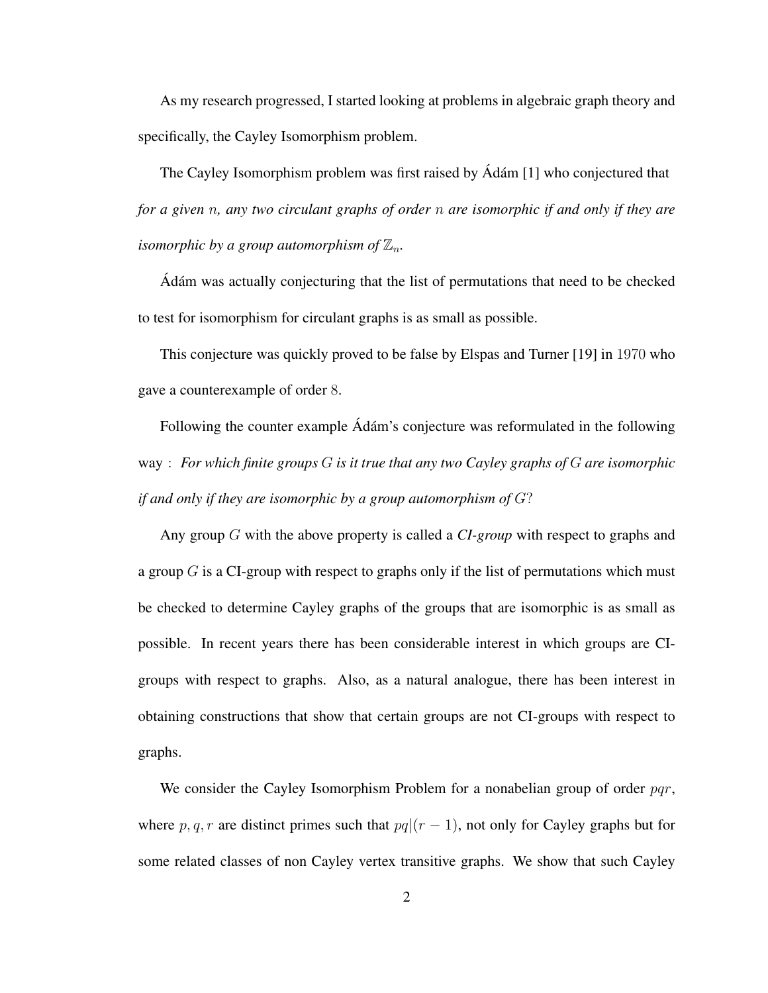As my research progressed, I started looking at problems in algebraic graph theory and specifically, the Cayley Isomorphism problem.

The Cayley Isomorphism problem was first raised by  $\hat{A}$ dám [1] who conjectured that *for a given* n*, any two circulant graphs of order* n *are isomorphic if and only if they are isomorphic by a group automorphism of*  $\mathbb{Z}_n$ .

Adám was actually conjecturing that the list of permutations that need to be checked to test for isomorphism for circulant graphs is as small as possible.

This conjecture was quickly proved to be false by Elspas and Turner [19] in 1970 who gave a counterexample of order 8.

Following the counter example Adám's conjecture was reformulated in the following way : *For which finite groups* G *is it true that any two Cayley graphs of* G *are isomorphic if and only if they are isomorphic by a group automorphism of* G?

Any group G with the above property is called a *CI-group* with respect to graphs and a group  $G$  is a CI-group with respect to graphs only if the list of permutations which must be checked to determine Cayley graphs of the groups that are isomorphic is as small as possible. In recent years there has been considerable interest in which groups are CIgroups with respect to graphs. Also, as a natural analogue, there has been interest in obtaining constructions that show that certain groups are not CI-groups with respect to graphs.

We consider the Cayley Isomorphism Problem for a nonabelian group of order  $pqr$ , where p, q, r are distinct primes such that  $pq|(r-1)$ , not only for Cayley graphs but for some related classes of non Cayley vertex transitive graphs. We show that such Cayley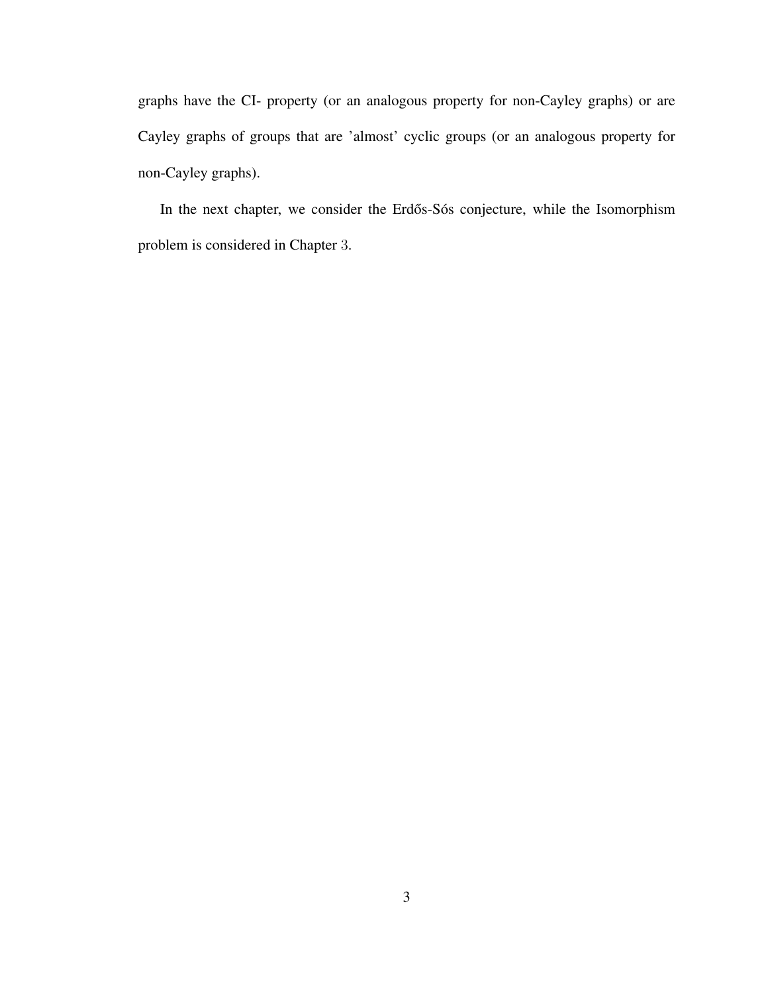graphs have the CI- property (or an analogous property for non-Cayley graphs) or are Cayley graphs of groups that are 'almost' cyclic groups (or an analogous property for non-Cayley graphs).

In the next chapter, we consider the Erdős-Sós conjecture, while the Isomorphism problem is considered in Chapter 3.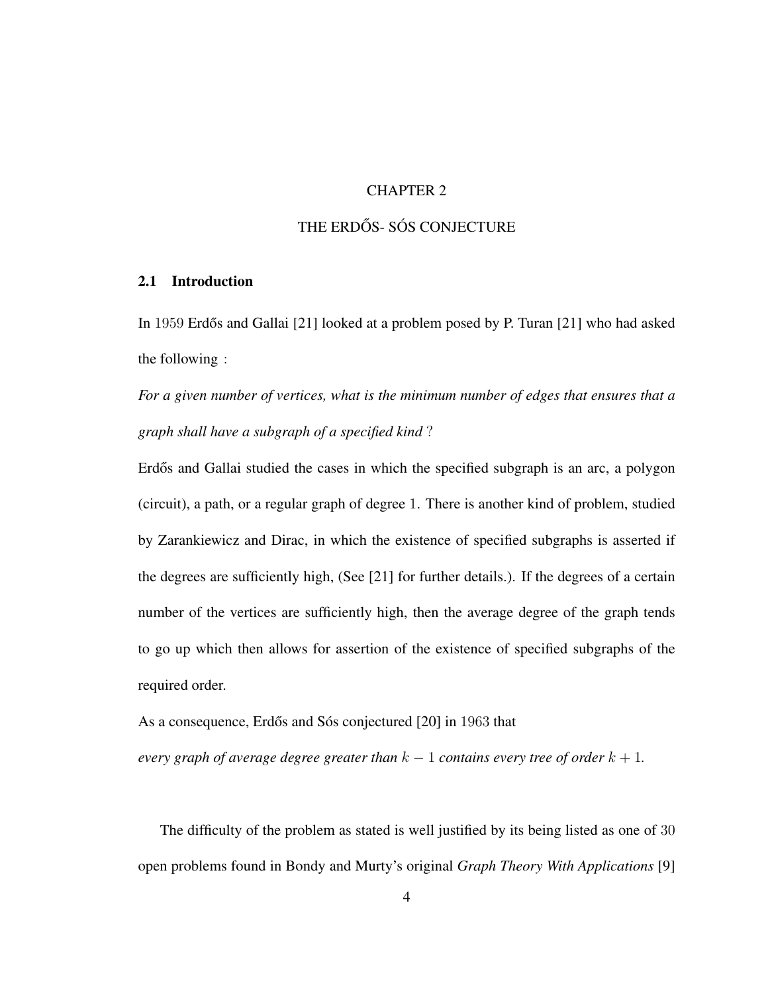## CHAPTER 2

## THE ERDŐS- SÓS CONJECTURE

#### 2.1 Introduction

In 1959 Erdős and Gallai [21] looked at a problem posed by P. Turan [21] who had asked the following :

*For a given number of vertices, what is the minimum number of edges that ensures that a graph shall have a subgraph of a specified kind* ?

Erdős and Gallai studied the cases in which the specified subgraph is an arc, a polygon (circuit), a path, or a regular graph of degree 1. There is another kind of problem, studied by Zarankiewicz and Dirac, in which the existence of specified subgraphs is asserted if the degrees are sufficiently high, (See [21] for further details.). If the degrees of a certain number of the vertices are sufficiently high, then the average degree of the graph tends to go up which then allows for assertion of the existence of specified subgraphs of the required order.

As a consequence, Erdős and Sós conjectured [20] in 1963 that

*every graph of average degree greater than*  $k - 1$  *contains every tree of order*  $k + 1$ *.* 

The difficulty of the problem as stated is well justified by its being listed as one of 30 open problems found in Bondy and Murty's original *Graph Theory With Applications* [9]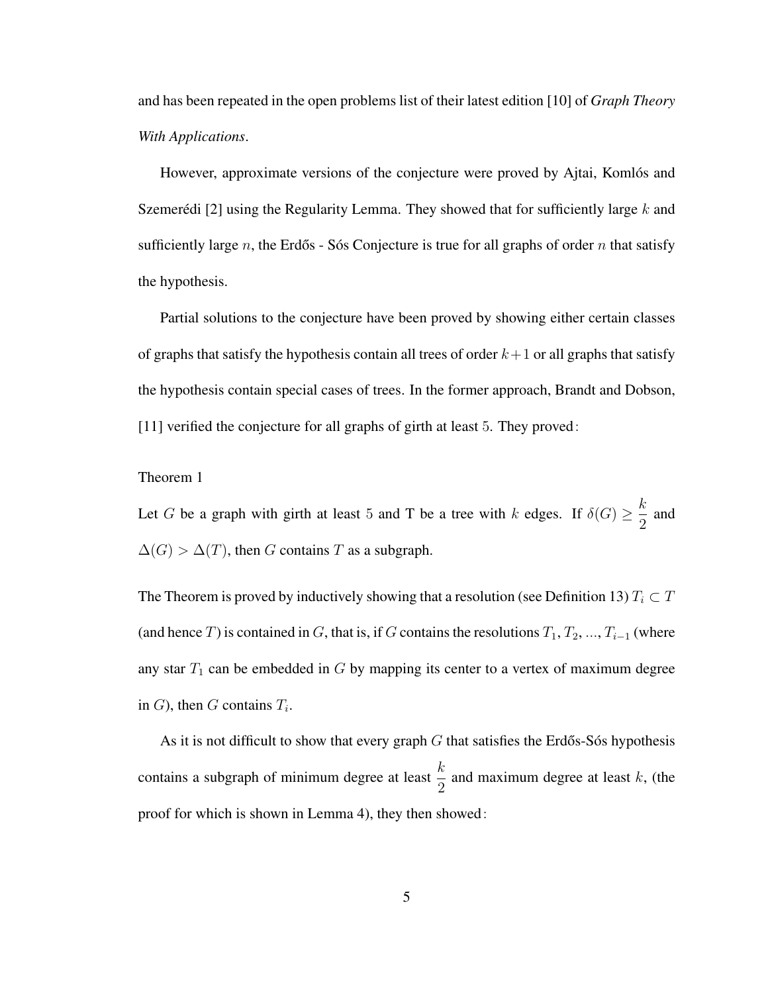and has been repeated in the open problems list of their latest edition [10] of *Graph Theory With Applications*.

However, approximate versions of the conjecture were proved by Ajtai, Komlós and Szemerédi [2] using the Regularity Lemma. They showed that for sufficiently large  $k$  and sufficiently large n, the Erdős - Sós Conjecture is true for all graphs of order n that satisfy the hypothesis.

Partial solutions to the conjecture have been proved by showing either certain classes of graphs that satisfy the hypothesis contain all trees of order  $k+1$  or all graphs that satisfy the hypothesis contain special cases of trees. In the former approach, Brandt and Dobson, [11] verified the conjecture for all graphs of girth at least 5. They proved:

#### Theorem 1

Let G be a graph with girth at least 5 and T be a tree with k edges. If  $\delta(G) \geq \frac{k}{2}$  $\frac{\pi}{2}$  and  $\Delta(G) > \Delta(T)$ , then G contains T as a subgraph.

The Theorem is proved by inductively showing that a resolution (see Definition 13)  $T_i \subset T$ (and hence T) is contained in G, that is, if G contains the resolutions  $T_1, T_2, ..., T_{i-1}$  (where any star  $T_1$  can be embedded in  $G$  by mapping its center to a vertex of maximum degree in  $G$ ), then  $G$  contains  $T_i$ .

As it is not difficult to show that every graph  $G$  that satisfies the Erdős-Sós hypothesis contains a subgraph of minimum degree at least  $\frac{k}{2}$  and maximum degree at least k, (the proof for which is shown in Lemma 4), they then showed: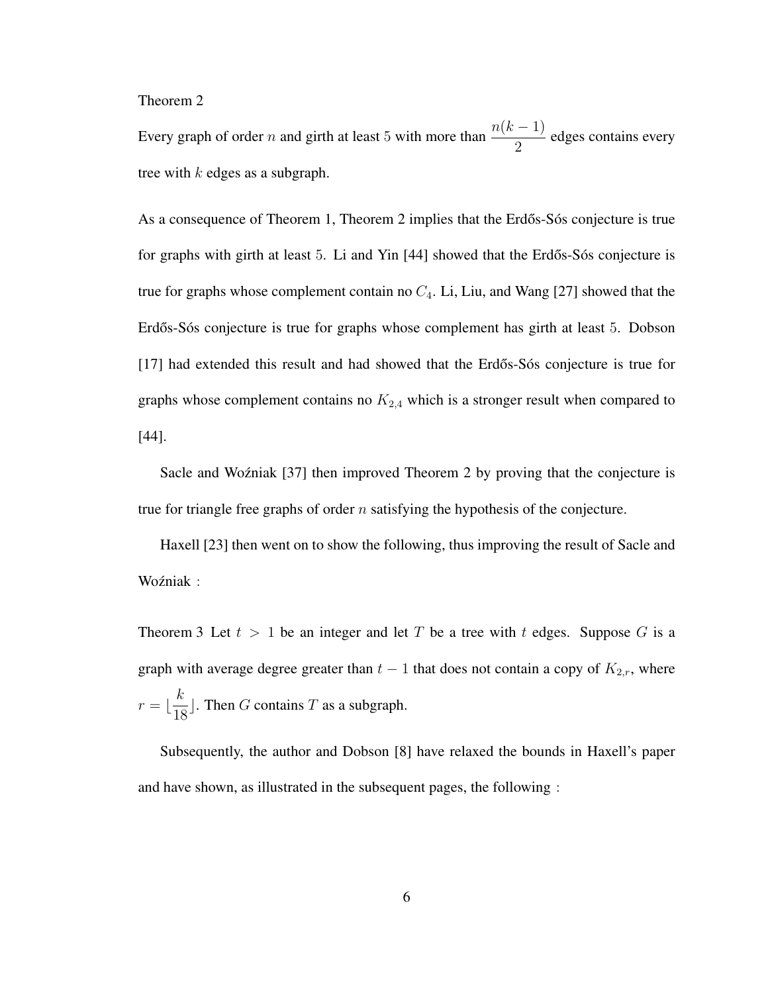Theorem 2

Every graph of order *n* and girth at least 5 with more than  $\frac{n(k-1)}{2}$  edges contains every tree with  $k$  edges as a subgraph.

As a consequence of Theorem 1, Theorem 2 implies that the Erdős-Sós conjecture is true for graphs with girth at least 5. Li and Yin  $[44]$  showed that the Erdős-Sós conjecture is true for graphs whose complement contain no  $C_4$ . Li, Liu, and Wang [27] showed that the Erdős-Sós conjecture is true for graphs whose complement has girth at least 5. Dobson  $[17]$  had extended this result and had showed that the Erdős-Sós conjecture is true for graphs whose complement contains no  $K_{2,4}$  which is a stronger result when compared to [44].

Sacle and Wozniak [37] then improved Theorem 2 by proving that the conjecture is true for triangle free graphs of order  $n$  satisfying the hypothesis of the conjecture.

Haxell [23] then went on to show the following, thus improving the result of Sacle and Woźniak :

Theorem 3 Let  $t > 1$  be an integer and let T be a tree with t edges. Suppose G is a graph with average degree greater than  $t - 1$  that does not contain a copy of  $K_{2,r}$ , where  $r = \frac{k}{16}$  $\frac{n}{18}$ . Then G contains T as a subgraph.

Subsequently, the author and Dobson [8] have relaxed the bounds in Haxell's paper and have shown, as illustrated in the subsequent pages, the following :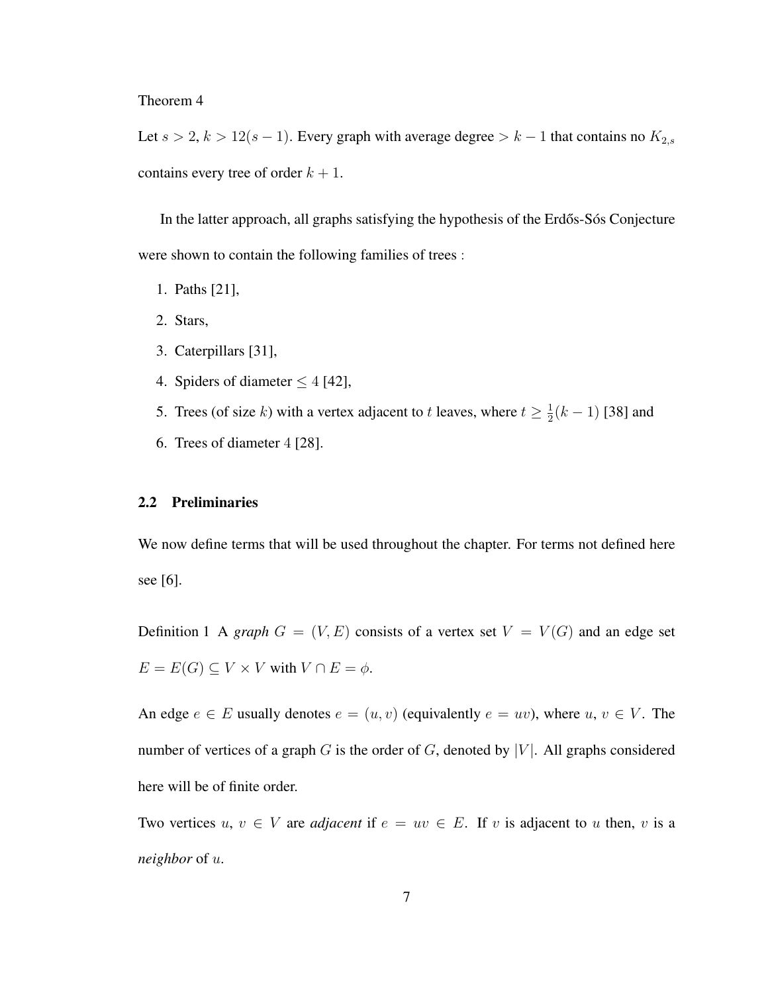#### Theorem 4

Let  $s > 2$ ,  $k > 12(s - 1)$ . Every graph with average degree  $> k - 1$  that contains no  $K_{2,s}$ contains every tree of order  $k + 1$ .

In the latter approach, all graphs satisfying the hypothesis of the Erdős-Sós Conjecture were shown to contain the following families of trees :

- 1. Paths [21],
- 2. Stars,
- 3. Caterpillars [31],
- 4. Spiders of diameter  $\leq 4$  [42],
- 5. Trees (of size k) with a vertex adjacent to t leaves, where  $t \geq \frac{1}{2}$  $\frac{1}{2}(k-1)$  [38] and
- 6. Trees of diameter 4 [28].

#### 2.2 Preliminaries

We now define terms that will be used throughout the chapter. For terms not defined here see [6].

Definition 1 A *graph*  $G = (V, E)$  consists of a vertex set  $V = V(G)$  and an edge set  $E = E(G) \subseteq V \times V$  with  $V \cap E = \phi$ .

An edge  $e \in E$  usually denotes  $e = (u, v)$  (equivalently  $e = uv$ ), where  $u, v \in V$ . The number of vertices of a graph G is the order of G, denoted by |V|. All graphs considered here will be of finite order.

Two vertices  $u, v \in V$  are *adjacent* if  $e = uv \in E$ . If v is adjacent to u then, v is a *neighbor* of u.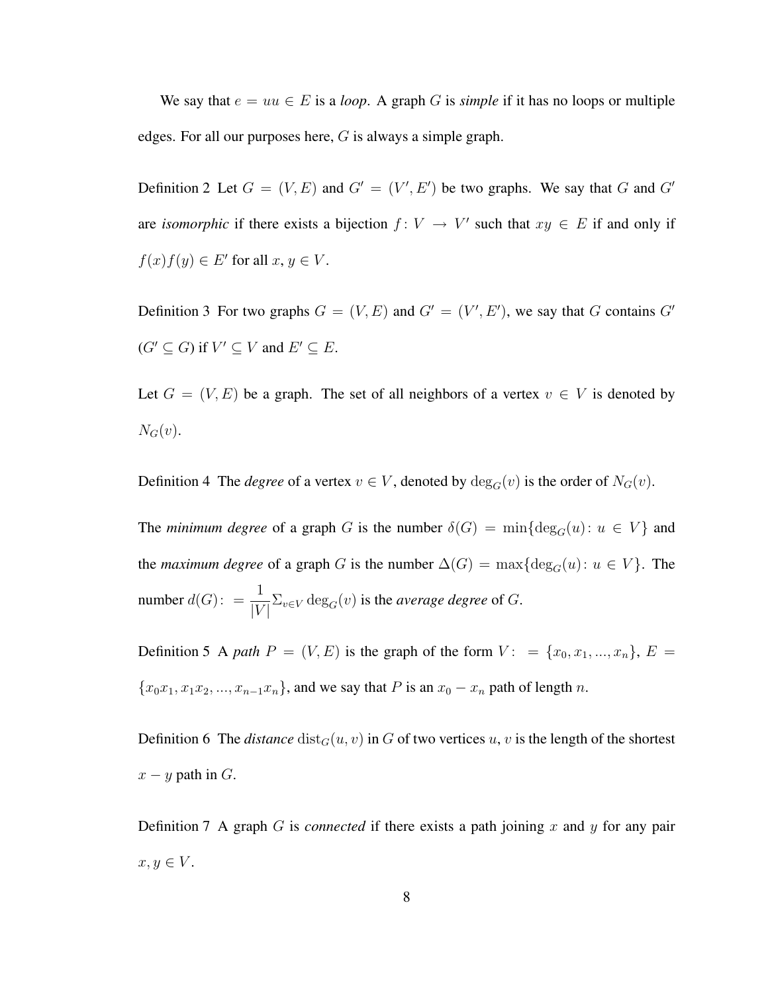We say that  $e = uu \in E$  is a *loop*. A graph G is *simple* if it has no loops or multiple edges. For all our purposes here,  $G$  is always a simple graph.

Definition 2 Let  $G = (V, E)$  and  $G' = (V', E')$  be two graphs. We say that G and G' are *isomorphic* if there exists a bijection  $f: V \to V'$  such that  $xy \in E$  if and only if  $f(x)f(y) \in E'$  for all  $x, y \in V$ .

Definition 3 For two graphs  $G = (V, E)$  and  $G' = (V', E')$ , we say that G contains G'  $(G' \subseteq G)$  if  $V' \subseteq V$  and  $E' \subseteq E$ .

Let  $G = (V, E)$  be a graph. The set of all neighbors of a vertex  $v \in V$  is denoted by  $N_G(v)$ .

Definition 4 The *degree* of a vertex  $v \in V$ , denoted by  $deg_G(v)$  is the order of  $N_G(v)$ .

The *minimum degree* of a graph G is the number  $\delta(G) = \min\{\deg_G(u): u \in V\}$  and the *maximum degree* of a graph G is the number  $\Delta(G) = \max\{\deg_G(u): u \in V\}$ . The number  $d(G)$ :  $= \frac{1}{|V|} \sum_{v \in V} \deg_G(v)$  is the *average degree* of G.

Definition 5 A *path*  $P = (V, E)$  is the graph of the form  $V: = \{x_0, x_1, ..., x_n\}, E =$  ${x_0x_1, x_1x_2, ..., x_{n-1}x_n}$ , and we say that P is an  $x_0 - x_n$  path of length n.

Definition 6 The *distance*  $dist_G(u, v)$  in G of two vertices u, v is the length of the shortest  $x - y$  path in  $G$ .

Definition 7 A graph  $G$  is *connected* if there exists a path joining  $x$  and  $y$  for any pair  $x, y \in V$ .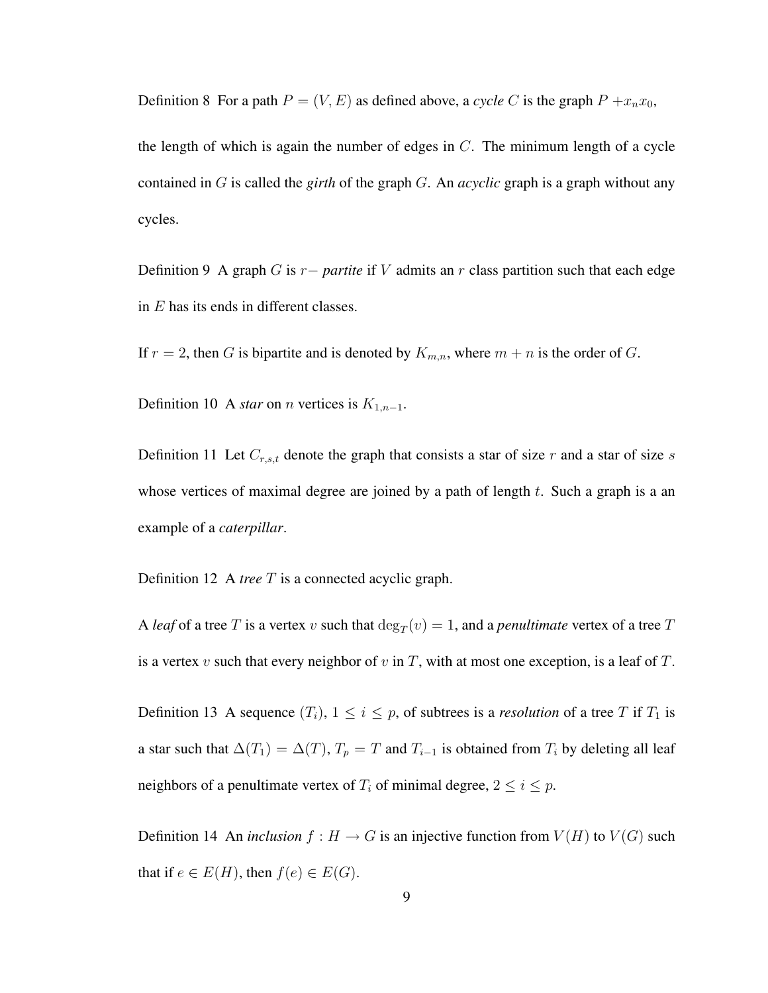Definition 8 For a path  $P = (V, E)$  as defined above, a *cycle* C is the graph  $P + x_n x_0$ ,

the length of which is again the number of edges in  $C$ . The minimum length of a cycle contained in G is called the *girth* of the graph G. An *acyclic* graph is a graph without any cycles.

Definition 9 A graph G is r− *partite* if V admits an r class partition such that each edge in E has its ends in different classes.

If  $r = 2$ , then G is bipartite and is denoted by  $K_{m,n}$ , where  $m + n$  is the order of G.

Definition 10 A *star* on *n* vertices is  $K_{1,n-1}$ .

Definition 11 Let  $C_{r,s,t}$  denote the graph that consists a star of size r and a star of size s whose vertices of maximal degree are joined by a path of length  $t$ . Such a graph is a an example of a *caterpillar*.

Definition 12 A *tree* T is a connected acyclic graph.

A *leaf* of a tree T is a vertex v such that  $deg_T(v) = 1$ , and a *penultimate* vertex of a tree T is a vertex v such that every neighbor of v in T, with at most one exception, is a leaf of T.

Definition 13 A sequence  $(T_i)$ ,  $1 \le i \le p$ , of subtrees is a *resolution* of a tree T if  $T_1$  is a star such that  $\Delta(T_1) = \Delta(T)$ ,  $T_p = T$  and  $T_{i-1}$  is obtained from  $T_i$  by deleting all leaf neighbors of a penultimate vertex of  $T_i$  of minimal degree,  $2 \le i \le p$ .

Definition 14 An *inclusion*  $f : H \to G$  is an injective function from  $V(H)$  to  $V(G)$  such that if  $e \in E(H)$ , then  $f(e) \in E(G)$ .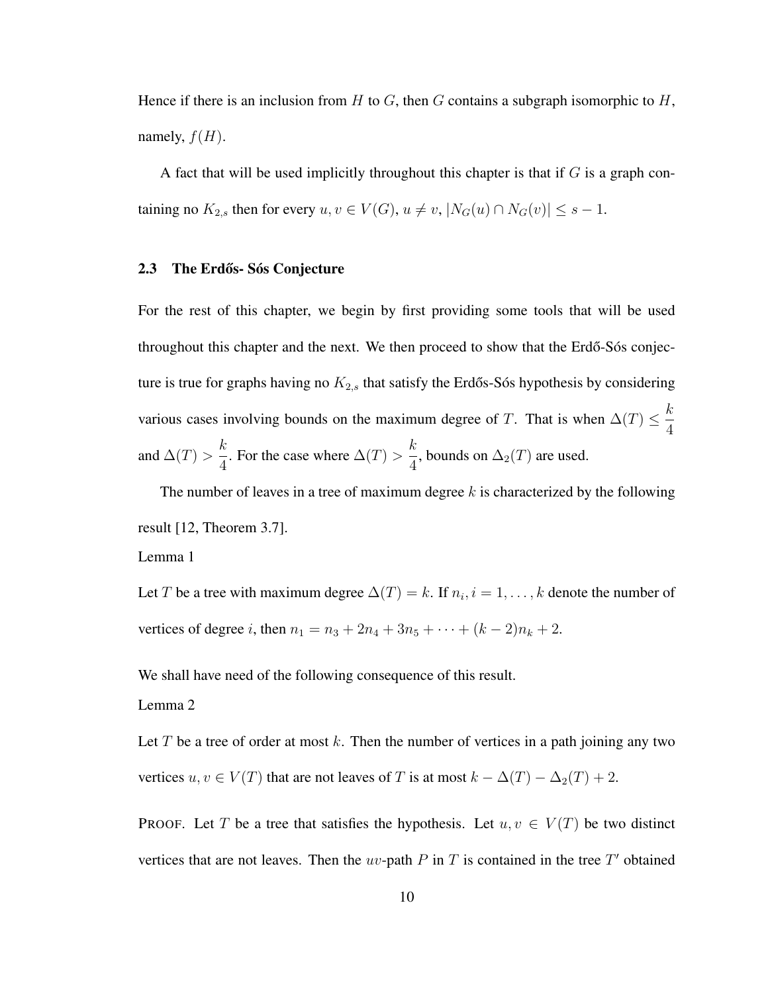Hence if there is an inclusion from H to G, then G contains a subgraph isomorphic to H, namely,  $f(H)$ .

A fact that will be used implicitly throughout this chapter is that if  $G$  is a graph containing no  $K_{2,s}$  then for every  $u, v \in V(G)$ ,  $u \neq v$ ,  $|N_G(u) \cap N_G(v)| \leq s - 1$ .

#### 2.3 The Erdős- Sós Conjecture

For the rest of this chapter, we begin by first providing some tools that will be used throughout this chapter and the next. We then proceed to show that the Erdő-Sós conjecture is true for graphs having no  $K_{2,s}$  that satisfy the Erdős-Sós hypothesis by considering various cases involving bounds on the maximum degree of T. That is when  $\Delta(T) \leq \frac{k}{4}$ 4 and  $\Delta(T) >$ k  $\frac{\pi}{4}$ . For the case where  $\Delta(T) >$ k  $\frac{\pi}{4}$ , bounds on  $\Delta_2(T)$  are used.

The number of leaves in a tree of maximum degree  $k$  is characterized by the following result [12, Theorem 3.7]. Lemma 1

Let T be a tree with maximum degree  $\Delta(T) = k$ . If  $n_i, i = 1, \ldots, k$  denote the number of vertices of degree *i*, then  $n_1 = n_3 + 2n_4 + 3n_5 + \cdots + (k-2)n_k + 2$ .

We shall have need of the following consequence of this result.

Lemma 2

Let T be a tree of order at most k. Then the number of vertices in a path joining any two vertices  $u, v \in V(T)$  that are not leaves of T is at most  $k - \Delta(T) - \Delta_2(T) + 2$ .

PROOF. Let T be a tree that satisfies the hypothesis. Let  $u, v \in V(T)$  be two distinct vertices that are not leaves. Then the uv-path  $P$  in  $T$  is contained in the tree  $T'$  obtained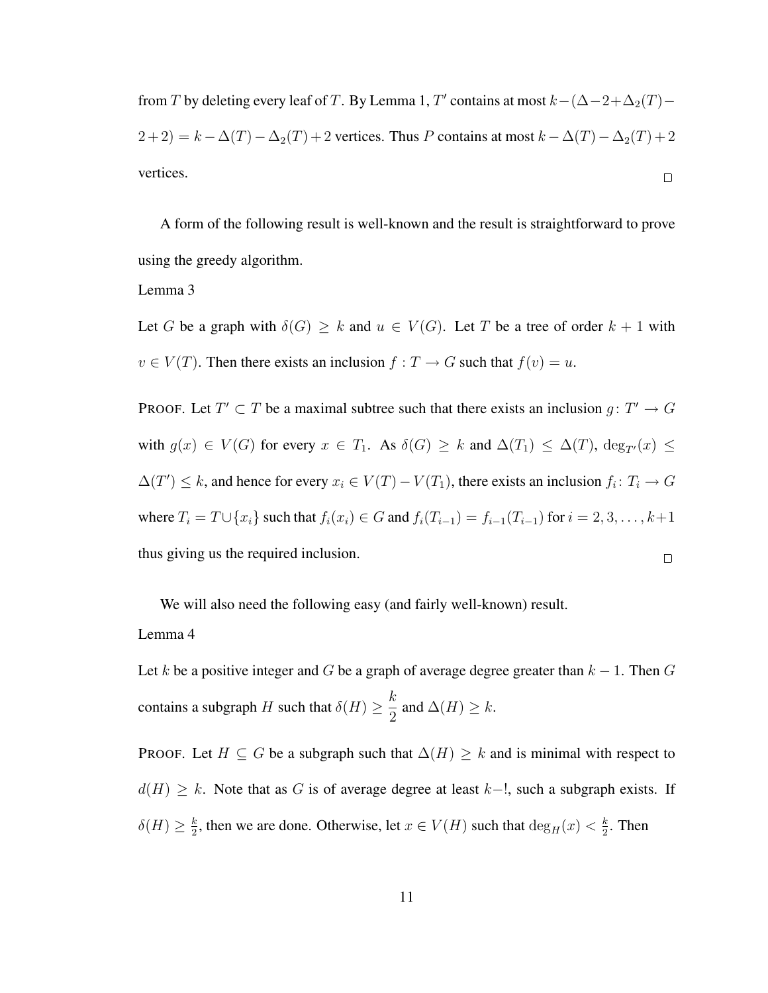from T by deleting every leaf of T. By Lemma 1, T' contains at most  $k-(\Delta-2+\Delta_2(T) (2+2) = k - \Delta(T) - \Delta_2(T) + 2$  vertices. Thus P contains at most  $k - \Delta(T) - \Delta_2(T) + 2$ vertices.  $\Box$ 

A form of the following result is well-known and the result is straightforward to prove using the greedy algorithm.

## Lemma 3

Let G be a graph with  $\delta(G) \geq k$  and  $u \in V(G)$ . Let T be a tree of order  $k + 1$  with  $v \in V(T)$ . Then there exists an inclusion  $f: T \to G$  such that  $f(v) = u$ .

PROOF. Let  $T' \subset T$  be a maximal subtree such that there exists an inclusion  $g: T' \to G$ with  $g(x) \in V(G)$  for every  $x \in T_1$ . As  $\delta(G) \geq k$  and  $\Delta(T_1) \leq \Delta(T)$ ,  $\deg_{T'}(x) \leq$  $\Delta(T') \leq k$ , and hence for every  $x_i \in V(T) - V(T_1)$ , there exists an inclusion  $f_i \colon T_i \to G$ where  $T_i = T \cup \{x_i\}$  such that  $f_i(x_i) \in G$  and  $f_i(T_{i-1}) = f_{i-1}(T_{i-1})$  for  $i = 2, 3, ..., k+1$ thus giving us the required inclusion.  $\Box$ 

We will also need the following easy (and fairly well-known) result.

#### Lemma 4

Let k be a positive integer and G be a graph of average degree greater than  $k - 1$ . Then G contains a subgraph H such that  $\delta(H) \geq \frac{k}{2}$  $\frac{\pi}{2}$  and  $\Delta(H) \geq k$ .

PROOF. Let  $H \subseteq G$  be a subgraph such that  $\Delta(H) \geq k$  and is minimal with respect to  $d(H) \geq k$ . Note that as G is of average degree at least k–!, such a subgraph exists. If  $\delta(H) \geq \frac{k}{2}$  $\frac{k}{2}$ , then we are done. Otherwise, let  $x \in V(H)$  such that  $\deg_H(x) < \frac{k}{2}$  $\frac{k}{2}$ . Then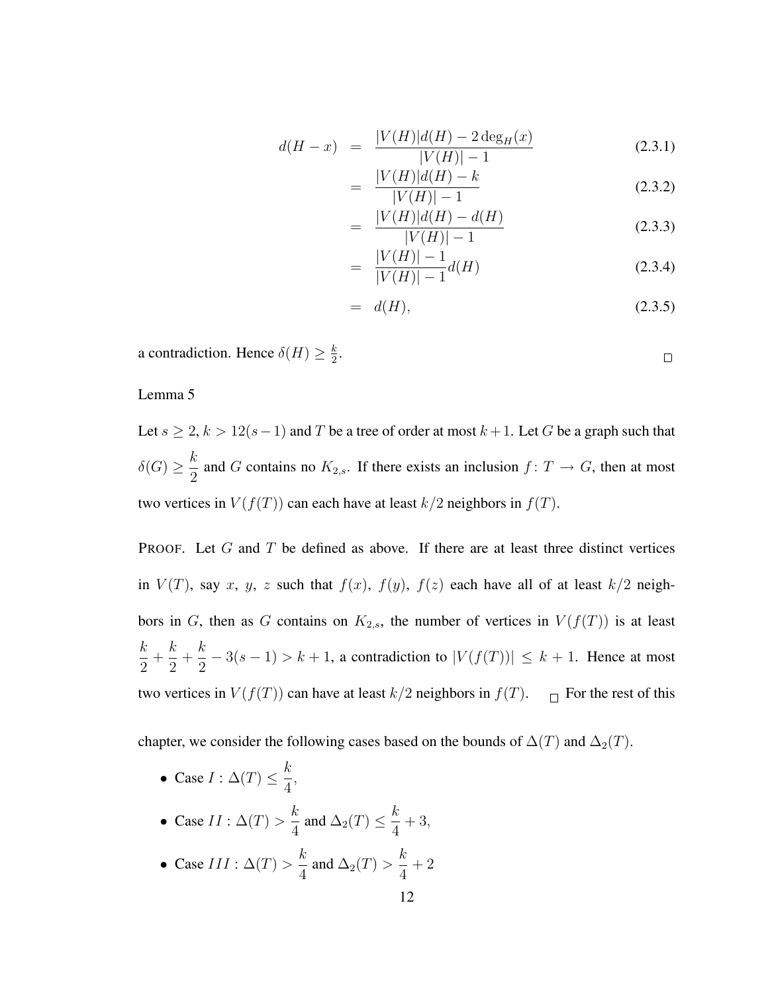$$
d(H - x) = \frac{|V(H)|d(H) - 2\deg_H(x)}{|V(H)| - 1}
$$
\n(2.3.1)

$$
= \frac{|V(H)|d(H) - k}{|V(H)| - 1}
$$
\n(2.3.2)

$$
= \frac{|V(H)|d(H) - d(H)}{|V(H)| - 1}
$$
\n(2.3.3)

$$
= \frac{|V(H)| - 1}{|V(H)| - 1} d(H) \tag{2.3.4}
$$

$$
= d(H), \tag{2.3.5}
$$

 $\Box$ 

a contradiction. Hence  $\delta(H) \geq \frac{k}{2}$  $\frac{k}{2}$ .

## Lemma 5

Let  $s \ge 2$ ,  $k > 12(s-1)$  and T be a tree of order at most  $k+1$ . Let G be a graph such that  $\delta(G) \geq \frac{k}{2}$  $\frac{\pi}{2}$  and G contains no  $K_{2,s}$ . If there exists an inclusion  $f: T \to G$ , then at most two vertices in  $V(f(T))$  can each have at least  $k/2$  neighbors in  $f(T)$ .

PROOF. Let  $G$  and  $T$  be defined as above. If there are at least three distinct vertices in  $V(T)$ , say x, y, z such that  $f(x)$ ,  $f(y)$ ,  $f(z)$  each have all of at least  $k/2$  neighbors in G, then as G contains on  $K_{2,s}$ , the number of vertices in  $V(f(T))$  is at least k 2  $+$ k 2  $+$ k  $\frac{n}{2} - 3(s - 1) > k + 1$ , a contradiction to  $|V(f(T))| \leq k + 1$ . Hence at most two vertices in  $V(f(T))$  can have at least  $k/2$  neighbors in  $f(T)$ .  $\Box$  For the rest of this

chapter, we consider the following cases based on the bounds of  $\Delta(T)$  and  $\Delta_2(T)$ .

- Case  $I : \Delta(T) \leq \frac{k}{4}$ 4 ,
- Case  $II : \Delta(T) > \frac{k}{4}$  $\frac{k}{4}$  and  $\Delta_2(T) \leq \frac{k}{4}$ 4  $+3,$
- Case  $III : \Delta(T) > \frac{k}{4}$  $\frac{\pi}{4}$  and  $\Delta_2(T)$  > k 4  $+2$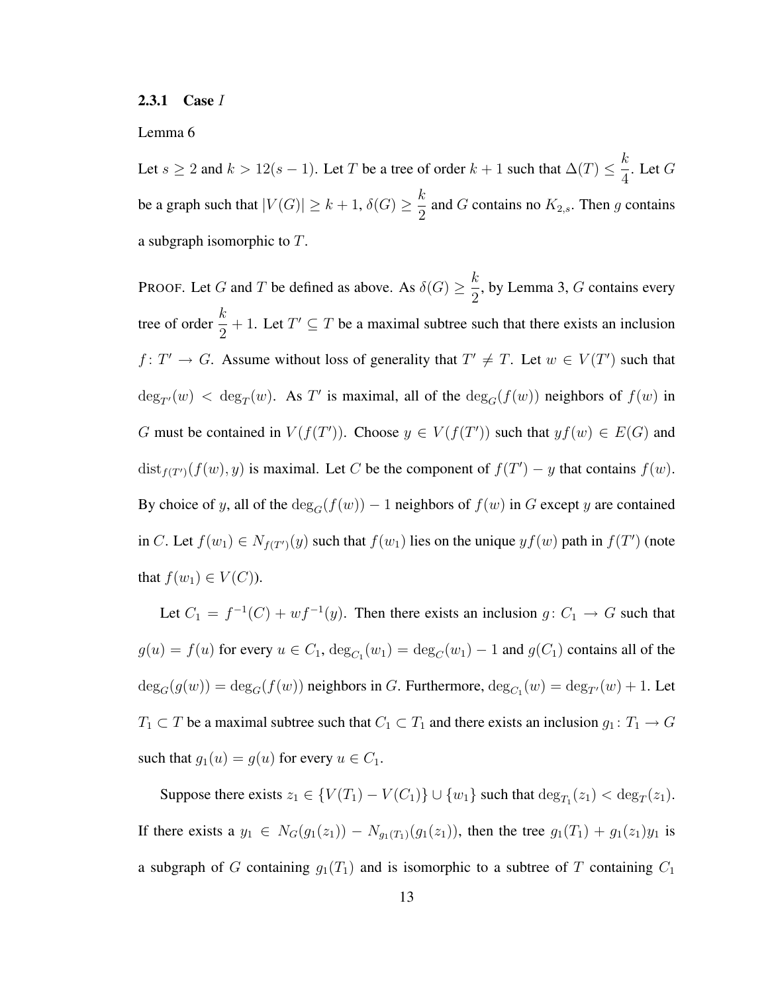#### 2.3.1 Case I

#### Lemma 6

Let  $s \ge 2$  and  $k > 12(s - 1)$ . Let T be a tree of order  $k + 1$  such that  $\Delta(T) \le \frac{k}{4}$  $\frac{\pi}{4}$ . Let G be a graph such that  $|V(G)| \ge k+1$ ,  $\delta(G) \ge \frac{k}{2}$  $\frac{\pi}{2}$  and G contains no  $K_{2,s}$ . Then g contains a subgraph isomorphic to  $T$ .

PROOF. Let G and T be defined as above. As  $\delta(G) \geq \frac{k}{2}$  $\frac{\pi}{2}$ , by Lemma 3, G contains every tree of order  $\frac{k}{2} + 1$ . Let  $T' \subseteq T$  be a maximal subtree such that there exists an inclusion  $f: T' \to G$ . Assume without loss of generality that  $T' \neq T$ . Let  $w \in V(T')$  such that  $deg_{T}(w) < deg_T(w)$ . As T' is maximal, all of the  $deg_G(f(w))$  neighbors of  $f(w)$  in G must be contained in  $V(f(T'))$ . Choose  $y \in V(f(T'))$  such that  $yf(w) \in E(G)$  and  $dist_{f(T')}(f(w), y)$  is maximal. Let C be the component of  $f(T') - y$  that contains  $f(w)$ . By choice of y, all of the  $\deg_G(f(w)) - 1$  neighbors of  $f(w)$  in G except y are contained in C. Let  $f(w_1) \in N_{f(T')}(y)$  such that  $f(w_1)$  lies on the unique  $yf(w)$  path in  $f(T')$  (note that  $f(w_1) \in V(C)$ ).

Let  $C_1 = f^{-1}(C) + wf^{-1}(y)$ . Then there exists an inclusion  $g: C_1 \to G$  such that  $g(u) = f(u)$  for every  $u \in C_1$ ,  $deg_{C_1}(w_1) = deg_C(w_1) - 1$  and  $g(C_1)$  contains all of the  $deg_G(g(w)) = deg_G(f(w))$  neighbors in G. Furthermore,  $deg_{C_1}(w) = deg_{T'}(w) + 1$ . Let  $T_1 \subset T$  be a maximal subtree such that  $C_1 \subset T_1$  and there exists an inclusion  $g_1: T_1 \to G$ such that  $g_1(u) = g(u)$  for every  $u \in C_1$ .

Suppose there exists  $z_1 \in \{V(T_1) - V(C_1)\} \cup \{w_1\}$  such that  $\deg_{T_1}(z_1) < \deg_T(z_1)$ . If there exists a  $y_1 \in N_G(g_1(z_1)) - N_{g_1(T_1)}(g_1(z_1))$ , then the tree  $g_1(T_1) + g_1(z_1)y_1$  is a subgraph of G containing  $g_1(T_1)$  and is isomorphic to a subtree of T containing  $C_1$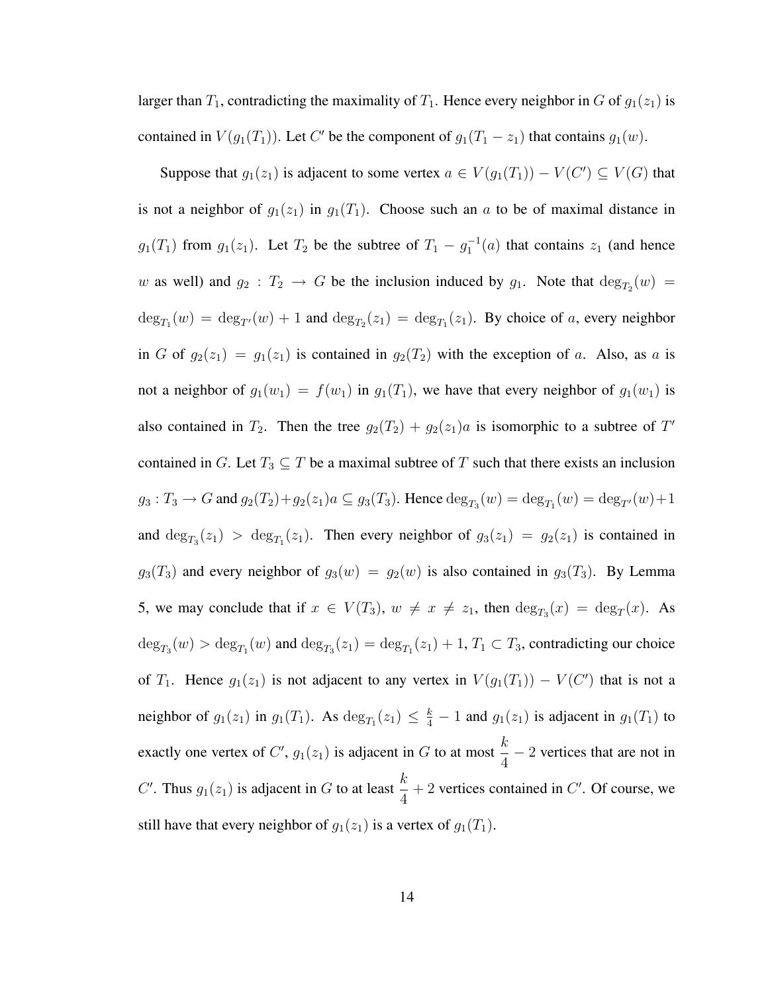larger than  $T_1$ , contradicting the maximality of  $T_1$ . Hence every neighbor in G of  $g_1(z_1)$  is contained in  $V(g_1(T_1))$ . Let C' be the component of  $g_1(T_1 - z_1)$  that contains  $g_1(w)$ .

Suppose that  $g_1(z_1)$  is adjacent to some vertex  $a \in V(g_1(T_1)) - V(C') \subseteq V(G)$  that is not a neighbor of  $g_1(z_1)$  in  $g_1(T_1)$ . Choose such an a to be of maximal distance in  $g_1(T_1)$  from  $g_1(z_1)$ . Let  $T_2$  be the subtree of  $T_1 - g_1^{-1}(a)$  that contains  $z_1$  (and hence w as well) and  $g_2: T_2 \to G$  be the inclusion induced by  $g_1$ . Note that  $deg_{T_2}(w) =$  $\deg_{T_1}(w) = \deg_{T'}(w) + 1$  and  $\deg_{T_2}(z_1) = \deg_{T_1}(z_1)$ . By choice of a, every neighbor in G of  $g_2(z_1) = g_1(z_1)$  is contained in  $g_2(T_2)$  with the exception of a. Also, as a is not a neighbor of  $g_1(w_1) = f(w_1)$  in  $g_1(T_1)$ , we have that every neighbor of  $g_1(w_1)$  is also contained in  $T_2$ . Then the tree  $g_2(T_2) + g_2(z_1)a$  is isomorphic to a subtree of T' contained in G. Let  $T_3 \subseteq T$  be a maximal subtree of T such that there exists an inclusion  $g_3: T_3 \to G$  and  $g_2(T_2) + g_2(z_1)a \subseteq g_3(T_3)$ . Hence  $\deg_{T_3}(w) = \deg_{T_1}(w) = \deg_{T'}(w) + 1$ and  $\deg_{T_3}(z_1) > \deg_{T_1}(z_1)$ . Then every neighbor of  $g_3(z_1) = g_2(z_1)$  is contained in  $g_3(T_3)$  and every neighbor of  $g_3(w) = g_2(w)$  is also contained in  $g_3(T_3)$ . By Lemma 5, we may conclude that if  $x \in V(T_3)$ ,  $w \neq x \neq z_1$ , then  $\deg_{T_3}(x) = \deg_T(x)$ . As  $deg_{T_3}(w) > deg_{T_1}(w)$  and  $deg_{T_3}(z_1) = deg_{T_1}(z_1) + 1, T_1 \subset T_3$ , contradicting our choice of  $T_1$ . Hence  $g_1(z_1)$  is not adjacent to any vertex in  $V(g_1(T_1)) - V(C')$  that is not a neighbor of  $g_1(z_1)$  in  $g_1(T_1)$ . As  $\deg_{T_1}(z_1) \leq \frac{k}{4} - 1$  and  $g_1(z_1)$  is adjacent in  $g_1(T_1)$  to exactly one vertex of  $C'$ ,  $g_1(z_1)$  is adjacent in G to at most k  $\frac{\pi}{4}$  – 2 vertices that are not in C'. Thus  $g_1(z_1)$  is adjacent in G to at least  $\frac{k}{4} + 2$  vertices contained in C'. Of course, we still have that every neighbor of  $g_1(z_1)$  is a vertex of  $g_1(T_1)$ .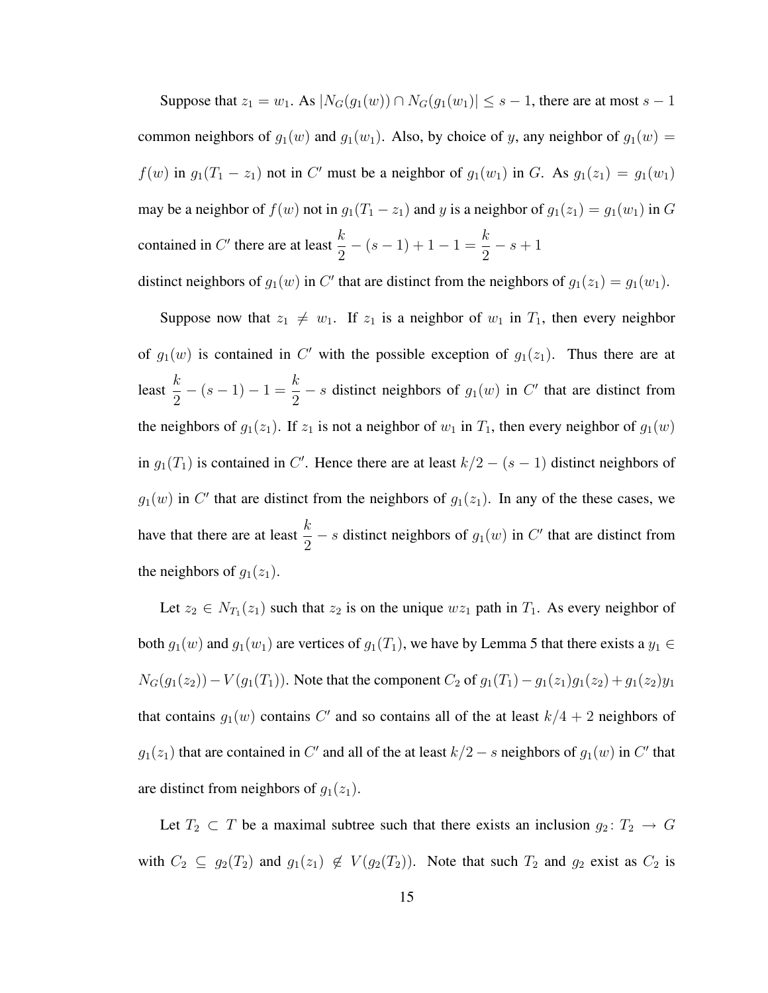Suppose that  $z_1 = w_1$ . As  $|N_G(g_1(w)) \cap N_G(g_1(w_1))| \leq s - 1$ , there are at most  $s - 1$ common neighbors of  $g_1(w)$  and  $g_1(w_1)$ . Also, by choice of y, any neighbor of  $g_1(w)$  =  $f(w)$  in  $g_1(T_1 - z_1)$  not in C' must be a neighbor of  $g_1(w_1)$  in G. As  $g_1(z_1) = g_1(w_1)$ may be a neighbor of  $f(w)$  not in  $g_1(T_1 - z_1)$  and y is a neighbor of  $g_1(z_1) = g_1(w_1)$  in G contained in  $C'$  there are at least  $\frac{k}{2}$  $-(s-1)+1-1=\frac{k}{2}$ 2  $- s + 1$ distinct neighbors of  $g_1(w)$  in C' that are distinct from the neighbors of  $g_1(z_1) = g_1(w_1)$ .

Suppose now that  $z_1 \neq w_1$ . If  $z_1$  is a neighbor of  $w_1$  in  $T_1$ , then every neighbor of  $g_1(w)$  is contained in C' with the possible exception of  $g_1(z_1)$ . Thus there are at least  $\frac{k}{2}$  $-(s-1)-1=\frac{k}{2}$  $\frac{\infty}{2}$  – *s* distinct neighbors of  $g_1(w)$  in C' that are distinct from the neighbors of  $g_1(z_1)$ . If  $z_1$  is not a neighbor of  $w_1$  in  $T_1$ , then every neighbor of  $g_1(w)$ in  $g_1(T_1)$  is contained in C'. Hence there are at least  $k/2 - (s - 1)$  distinct neighbors of  $g_1(w)$  in C' that are distinct from the neighbors of  $g_1(z_1)$ . In any of the these cases, we have that there are at least  $\frac{k}{2}$  – s distinct neighbors of  $g_1(w)$  in C' that are distinct from the neighbors of  $g_1(z_1)$ .

Let  $z_2 \in N_{T_1}(z_1)$  such that  $z_2$  is on the unique  $wz_1$  path in  $T_1$ . As every neighbor of both  $g_1(w)$  and  $g_1(w_1)$  are vertices of  $g_1(T_1)$ , we have by Lemma 5 that there exists a  $y_1 \in$  $N_G(g_1(z_2)) - V(g_1(T_1))$ . Note that the component  $C_2$  of  $g_1(T_1) - g_1(z_1)g_1(z_2) + g_1(z_2)y_1$ that contains  $g_1(w)$  contains C' and so contains all of the at least  $k/4 + 2$  neighbors of  $g_1(z_1)$  that are contained in C' and all of the at least  $k/2 - s$  neighbors of  $g_1(w)$  in C' that are distinct from neighbors of  $g_1(z_1)$ .

Let  $T_2 \subset T$  be a maximal subtree such that there exists an inclusion  $g_2: T_2 \to G$ with  $C_2 \subseteq g_2(T_2)$  and  $g_1(z_1) \notin V(g_2(T_2))$ . Note that such  $T_2$  and  $g_2$  exist as  $C_2$  is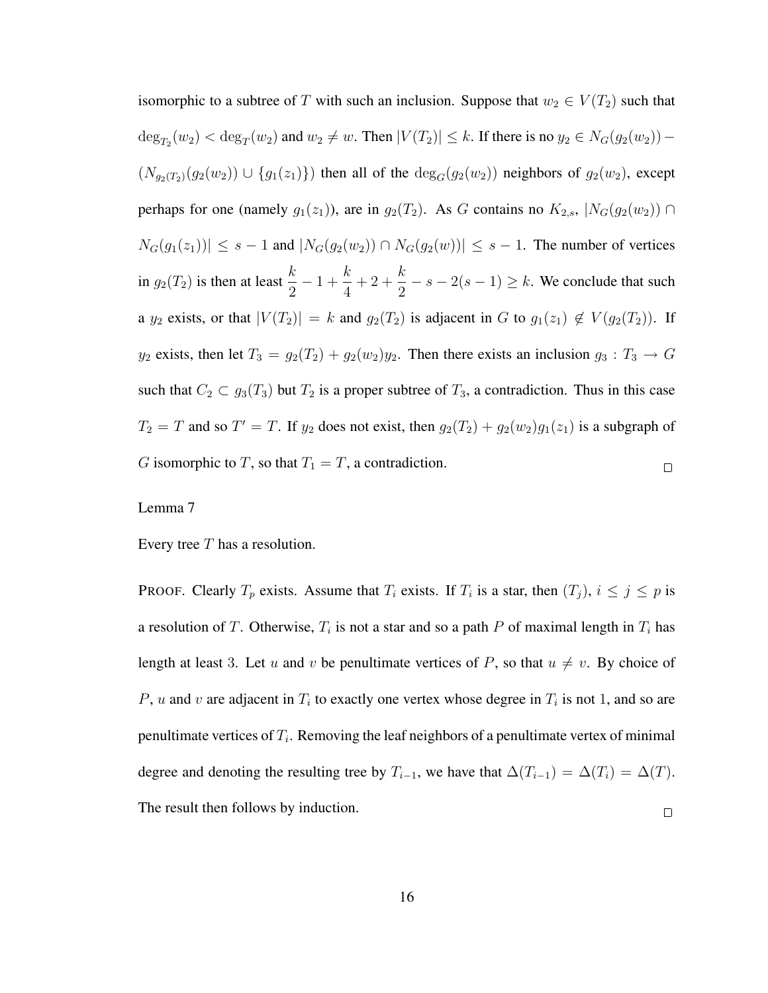isomorphic to a subtree of T with such an inclusion. Suppose that  $w_2 \in V(T_2)$  such that  $\deg_{T_2}(w_2) < \deg_T(w_2)$  and  $w_2 \neq w$ . Then  $|V(T_2)| \leq k$ . If there is no  $y_2 \in N_G(g_2(w_2))$  –  $(N_{g_2(T_2)}(g_2(w_2)) \cup \{g_1(z_1)\})$  then all of the  $\deg_G(g_2(w_2))$  neighbors of  $g_2(w_2)$ , except perhaps for one (namely  $g_1(z_1)$ ), are in  $g_2(T_2)$ . As G contains no  $K_{2,s}$ ,  $|N_G(g_2(w_2))| \cap$  $|N_G(g_1(z_1))| \leq s - 1$  and  $|N_G(g_2(w_2)) \cap N_G(g_2(w))| \leq s - 1$ . The number of vertices in  $g_2(T_2)$  is then at least  $\frac{k}{2}$  $-1+\frac{k}{4}$ k  $+2+$  $\frac{k}{2} - s - 2(s - 1) \ge k$ . We conclude that such 4 a  $y_2$  exists, or that  $|V(T_2)| = k$  and  $g_2(T_2)$  is adjacent in G to  $g_1(z_1) \notin V(g_2(T_2))$ . If  $y_2$  exists, then let  $T_3 = g_2(T_2) + g_2(w_2)y_2$ . Then there exists an inclusion  $g_3 : T_3 \to G$ such that  $C_2 \subset g_3(T_3)$  but  $T_2$  is a proper subtree of  $T_3$ , a contradiction. Thus in this case  $T_2 = T$  and so  $T' = T$ . If  $y_2$  does not exist, then  $g_2(T_2) + g_2(w_2)g_1(z_1)$  is a subgraph of G isomorphic to T, so that  $T_1 = T$ , a contradiction.  $\Box$ 

#### Lemma 7

Every tree  $T$  has a resolution.

**PROOF.** Clearly  $T_p$  exists. Assume that  $T_i$  exists. If  $T_i$  is a star, then  $(T_j)$ ,  $i \leq j \leq p$  is a resolution of T. Otherwise,  $T_i$  is not a star and so a path P of maximal length in  $T_i$  has length at least 3. Let u and v be penultimate vertices of P, so that  $u \neq v$ . By choice of P, u and v are adjacent in  $T_i$  to exactly one vertex whose degree in  $T_i$  is not 1, and so are penultimate vertices of  $T_i$ . Removing the leaf neighbors of a penultimate vertex of minimal degree and denoting the resulting tree by  $T_{i-1}$ , we have that  $\Delta(T_{i-1}) = \Delta(T_i) = \Delta(T)$ . The result then follows by induction.  $\Box$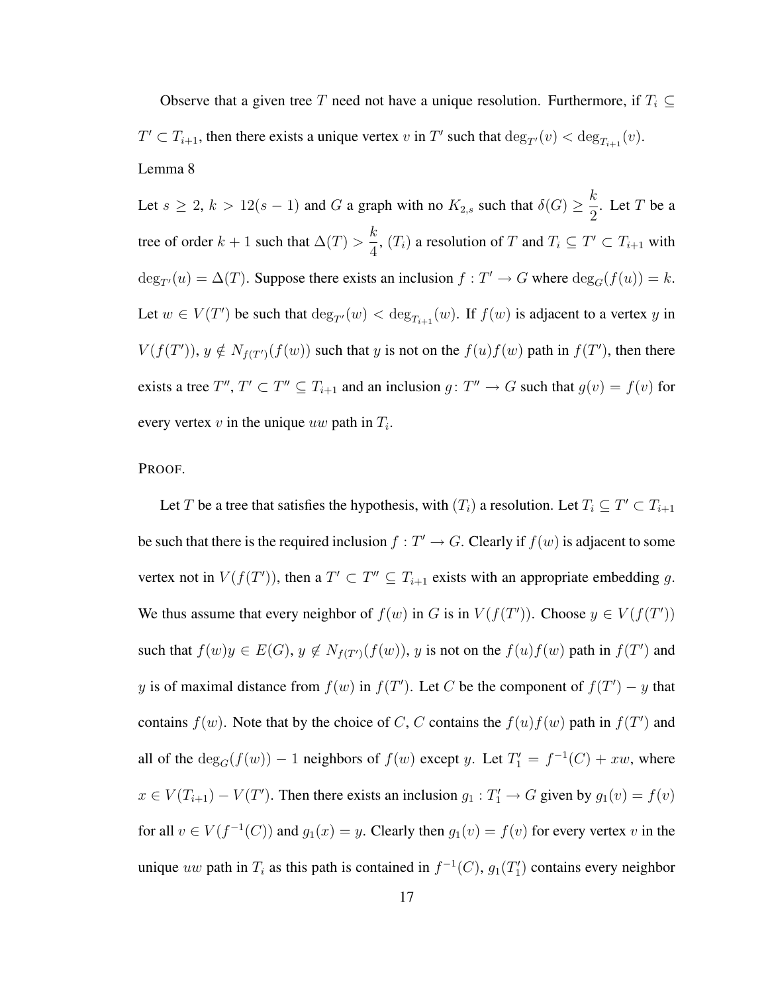Observe that a given tree T need not have a unique resolution. Furthermore, if  $T_i \subseteq$  $T' \subset T_{i+1}$ , then there exists a unique vertex v in T' such that  $\deg_{T'}(v) < \deg_{T_{i+1}}(v)$ . Lemma 8

Let  $s \geq 2$ ,  $k > 12(s - 1)$  and G a graph with no  $K_{2,s}$  such that  $\delta(G) \geq \frac{k}{2}$  $\frac{\pi}{2}$ . Let T be a tree of order  $k + 1$  such that  $\Delta(T)$  > k  $\frac{\kappa}{4}$ ,  $(T_i)$  a resolution of T and  $T_i \subseteq T' \subset T_{i+1}$  with  $deg_{T}(u) = \Delta(T)$ . Suppose there exists an inclusion  $f : T' \to G$  where  $deg_G(f(u)) = k$ . Let  $w \in V(T')$  be such that  $\deg_{T'}(w) < \deg_{T_{i+1}}(w)$ . If  $f(w)$  is adjacent to a vertex y in  $V(f(T'))$ ,  $y \notin N_{f(T')}(f(w))$  such that y is not on the  $f(u)f(w)$  path in  $f(T')$ , then there exists a tree  $T''$ ,  $T' \subset T'' \subseteq T_{i+1}$  and an inclusion  $g: T'' \to G$  such that  $g(v) = f(v)$  for every vertex  $v$  in the unique  $uw$  path in  $T_i$ .

PROOF.

Let T be a tree that satisfies the hypothesis, with  $(T_i)$  a resolution. Let  $T_i \subseteq T' \subset T_{i+1}$ be such that there is the required inclusion  $f : T' \to G$ . Clearly if  $f(w)$  is adjacent to some vertex not in  $V(f(T'))$ , then a  $T' \subset T'' \subseteq T_{i+1}$  exists with an appropriate embedding g. We thus assume that every neighbor of  $f(w)$  in G is in  $V(f(T'))$ . Choose  $y \in V(f(T'))$ such that  $f(w)y \in E(G)$ ,  $y \notin N_{f(T')}(f(w))$ ,  $y$  is not on the  $f(u)f(w)$  path in  $f(T')$  and y is of maximal distance from  $f(w)$  in  $f(T')$ . Let C be the component of  $f(T') - y$  that contains  $f(w)$ . Note that by the choice of C, C contains the  $f(u)f(w)$  path in  $f(T')$  and all of the  $deg_G(f(w)) - 1$  neighbors of  $f(w)$  except y. Let  $T'_1 = f^{-1}(C) + xw$ , where  $x \in V(T_{i+1}) - V(T')$ . Then there exists an inclusion  $g_1 : T'_1 \to G$  given by  $g_1(v) = f(v)$ for all  $v \in V(f^{-1}(C))$  and  $g_1(x) = y$ . Clearly then  $g_1(v) = f(v)$  for every vertex v in the unique uw path in  $T_i$  as this path is contained in  $f^{-1}(C)$ ,  $g_1(T'_1)$  contains every neighbor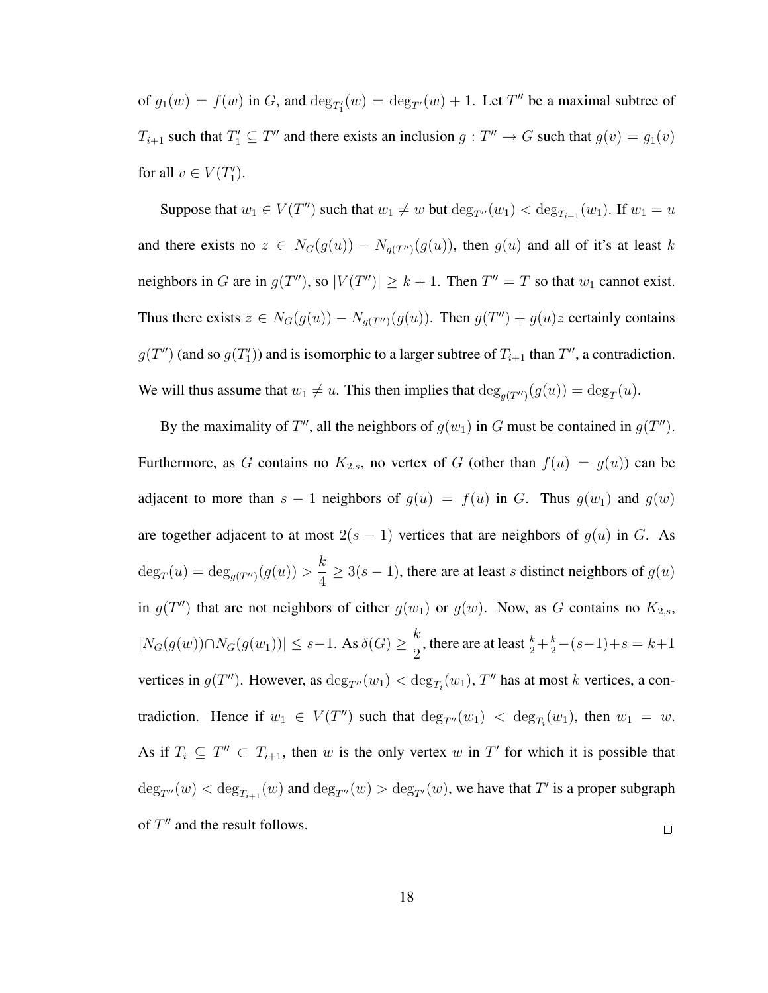of  $g_1(w) = f(w)$  in G, and  $\deg_{T_1'}(w) = \deg_{T_1'}(w) + 1$ . Let T'' be a maximal subtree of  $T_{i+1}$  such that  $T'_1 \subseteq T''$  and there exists an inclusion  $g: T'' \to G$  such that  $g(v) = g_1(v)$ for all  $v \in V(T_1')$ .

Suppose that  $w_1 \in V(T'')$  such that  $w_1 \neq w$  but  $\deg_{T''}(w_1) < \deg_{T_{i+1}}(w_1)$ . If  $w_1 = u$ and there exists no  $z \in N_G(g(u)) - N_{g(T'')}(g(u))$ , then  $g(u)$  and all of it's at least k neighbors in G are in  $g(T'')$ , so  $|V(T'')| \geq k + 1$ . Then  $T'' = T$  so that  $w_1$  cannot exist. Thus there exists  $z \in N_G(g(u)) - N_{g(T'')}(g(u))$ . Then  $g(T'') + g(u)z$  certainly contains  $g(T'')$  (and so  $g(T'_1)$ ) and is isomorphic to a larger subtree of  $T_{i+1}$  than  $T''$ , a contradiction. We will thus assume that  $w_1 \neq u$ . This then implies that  $\deg_{g(T'')}(g(u)) = \deg_T(u)$ .

By the maximality of T'', all the neighbors of  $g(w_1)$  in G must be contained in  $g(T'')$ . Furthermore, as G contains no  $K_{2,s}$ , no vertex of G (other than  $f(u) = g(u)$ ) can be adjacent to more than  $s - 1$  neighbors of  $g(u) = f(u)$  in G. Thus  $g(w_1)$  and  $g(w)$ are together adjacent to at most  $2(s - 1)$  vertices that are neighbors of  $g(u)$  in G. As k  $deg_T(u) = deg_{g(T'')}(g(u)) >$  $\frac{\pi}{4} \ge 3(s-1)$ , there are at least s distinct neighbors of  $g(u)$ in  $g(T'')$  that are not neighbors of either  $g(w_1)$  or  $g(w)$ . Now, as G contains no  $K_{2,s}$ ,  $|N_G(g(w)) \cap N_G(g(w_1))| \leq s-1$ . As  $\delta(G) \geq \frac{k}{2}$  $\frac{\kappa}{2}$ , there are at least  $\frac{k}{2} + \frac{k}{2} - (s-1) + s = k+1$ vertices in  $g(T'')$ . However, as  $\deg_{T''}(w_1) < \deg_{T_i}(w_1)$ ,  $T''$  has at most k vertices, a contradiction. Hence if  $w_1 \in V(T'')$  such that  $\deg_{T''}(w_1) < \deg_{T_i}(w_1)$ , then  $w_1 = w$ . As if  $T_i \subseteq T'' \subset T_{i+1}$ , then w is the only vertex w in T' for which it is possible that  $deg_{T''}(w) < deg_{T_{i+1}}(w)$  and  $deg_{T''}(w) > deg_{T'}(w)$ , we have that  $T'$  is a proper subgraph of  $T''$  and the result follows.  $\Box$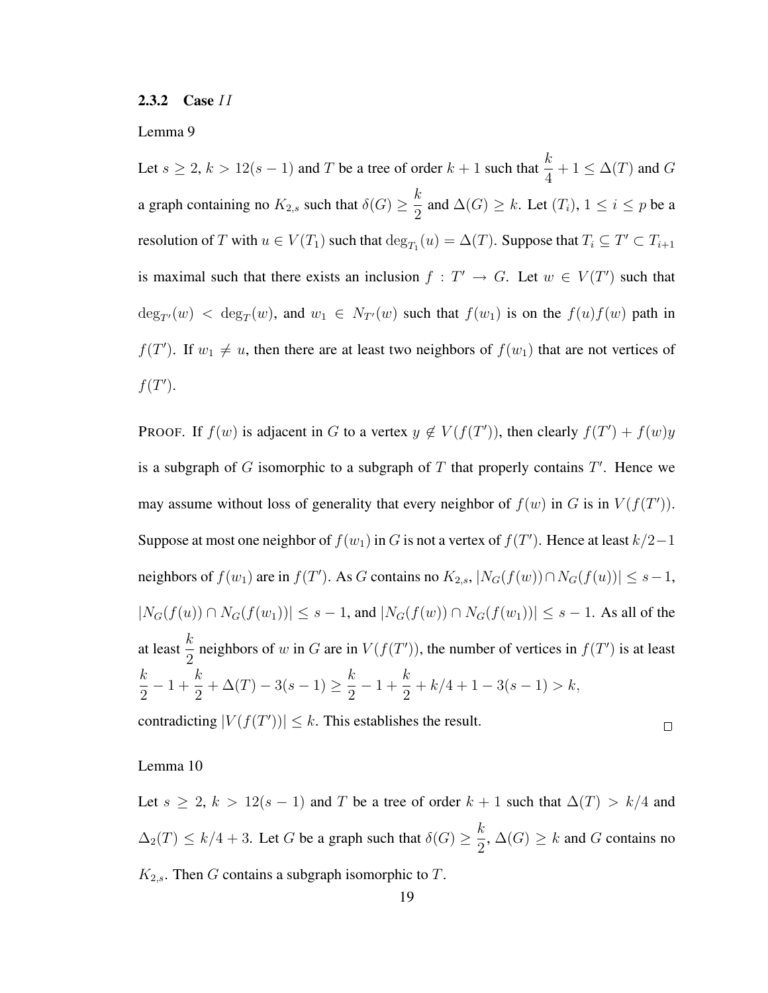2.3.2 Case II

Lemma 9

Let  $s \ge 2$ ,  $k > 12(s - 1)$  and T be a tree of order  $k + 1$  such that  $\frac{k}{4} + 1 \le \Delta(T)$  and G a graph containing no  $K_{2,s}$  such that  $\delta(G) \geq \frac{k}{2}$  $\frac{\pi}{2}$  and  $\Delta(G) \geq k$ . Let  $(T_i)$ ,  $1 \leq i \leq p$  be a resolution of T with  $u \in V(T_1)$  such that  $\deg_{T_1}(u) = \Delta(T)$ . Suppose that  $T_i \subseteq T' \subset T_{i+1}$ is maximal such that there exists an inclusion  $f : T' \to G$ . Let  $w \in V(T')$  such that  $deg_{T}(w) < deg_T(w)$ , and  $w_1 \in N_{T}(w)$  such that  $f(w_1)$  is on the  $f(u)f(w)$  path in  $f(T')$ . If  $w_1 \neq u$ , then there are at least two neighbors of  $f(w_1)$  that are not vertices of  $f(T^{\prime}).$ 

PROOF. If  $f(w)$  is adjacent in G to a vertex  $y \notin V(f(T'))$ , then clearly  $f(T') + f(w)y$ is a subgraph of  $G$  isomorphic to a subgraph of  $T$  that properly contains  $T'$ . Hence we may assume without loss of generality that every neighbor of  $f(w)$  in G is in  $V(f(T'))$ . Suppose at most one neighbor of  $f(w_1)$  in G is not a vertex of  $f(T')$ . Hence at least  $k/2-1$ neighbors of  $f(w_1)$  are in  $f(T')$ . As G contains no  $K_{2,s}$ ,  $|N_G(f(w)) \cap N_G(f(u))| \leq s-1$ ,  $|N_G(f(u)) \cap N_G(f(w_1))| \le s - 1$ , and  $|N_G(f(w)) \cap N_G(f(w_1))| \le s - 1$ . As all of the at least  $\frac{k}{2}$  neighbors of w in G are in  $V(f(T'))$ , the number of vertices in  $f(T')$  is at least k 2  $-1+\frac{k}{2}$ 2  $+\Delta(T)-3(s-1)\geq \frac{k}{2}$ 2  $-1+\frac{k}{2}$ 2  $+ k/4 + 1 - 3(s - 1) > k,$ 

contradicting  $|V(f(T'))| \leq k$ . This establishes the result.

Lemma 10

Let  $s \ge 2$ ,  $k > 12(s - 1)$  and T be a tree of order  $k + 1$  such that  $\Delta(T) > k/4$  and  $\Delta_2(T) \leq k/4 + 3$ . Let G be a graph such that  $\delta(G) \geq \frac{k}{2}$  $\frac{\pi}{2}$ ,  $\Delta(G) \geq k$  and G contains no  $K_{2,s}$ . Then G contains a subgraph isomorphic to T.

 $\Box$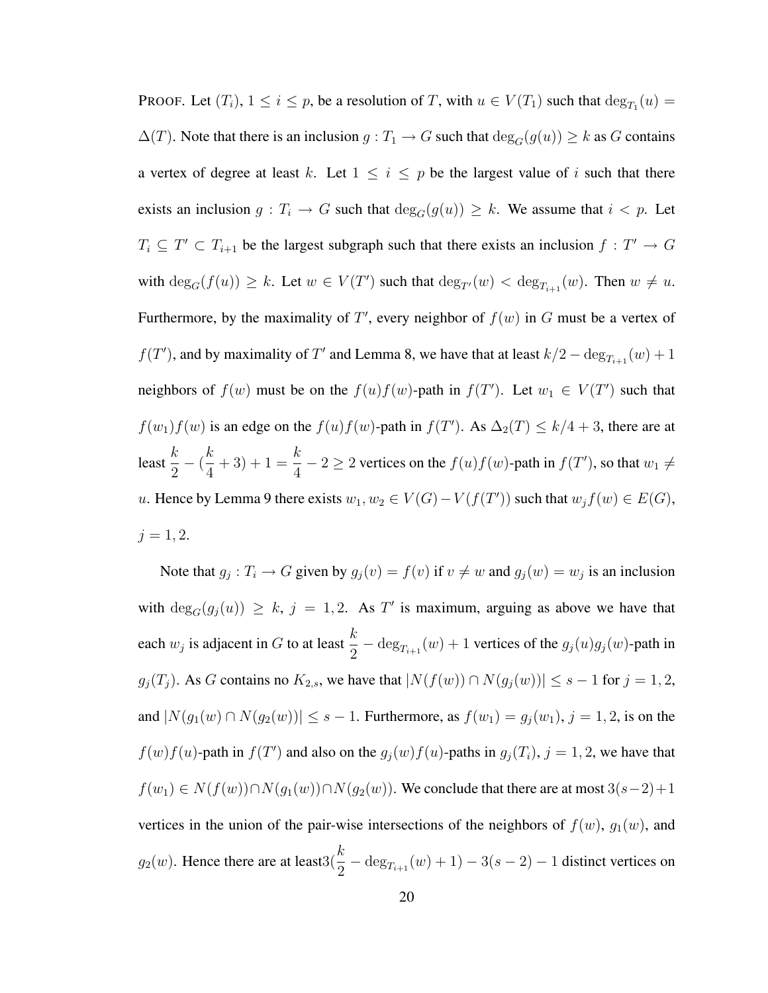PROOF. Let  $(T_i)$ ,  $1 \le i \le p$ , be a resolution of T, with  $u \in V(T_1)$  such that  $\deg_{T_1}(u) =$  $\Delta(T)$ . Note that there is an inclusion  $g: T_1 \to G$  such that  $\deg_G(g(u)) \geq k$  as G contains a vertex of degree at least k. Let  $1 \leq i \leq p$  be the largest value of i such that there exists an inclusion  $g: T_i \to G$  such that  $\deg_G(g(u)) \geq k$ . We assume that  $i < p$ . Let  $T_i \subseteq T' \subset T_{i+1}$  be the largest subgraph such that there exists an inclusion  $f : T' \to G$ with  $\deg_G(f(u)) \geq k$ . Let  $w \in V(T')$  such that  $\deg_{T'}(w) < \deg_{T_{i+1}}(w)$ . Then  $w \neq u$ . Furthermore, by the maximality of  $T'$ , every neighbor of  $f(w)$  in G must be a vertex of  $f(T')$ , and by maximality of T' and Lemma 8, we have that at least  $k/2 - \deg_{T_{i+1}}(w) + 1$ neighbors of  $f(w)$  must be on the  $f(u)f(w)$ -path in  $f(T')$ . Let  $w_1 \in V(T')$  such that  $f(w_1)f(w)$  is an edge on the  $f(u)f(w)$ -path in  $f(T')$ . As  $\Delta_2(T) \leq k/4 + 3$ , there are at least  $\frac{k}{2}$  $-\left(\frac{k}{4}\right)$ 4  $+3)+1=\frac{k}{4}$  $\frac{k}{4} - 2 \ge 2$  vertices on the  $f(u)f(w)$ -path in  $f(T')$ , so that  $w_1 \ne$ u. Hence by Lemma 9 there exists  $w_1, w_2 \in V(G) - V(f(T'))$  such that  $w_j f(w) \in E(G)$ ,  $j = 1, 2.$ 

Note that  $g_j: T_i \to G$  given by  $g_j(v) = f(v)$  if  $v \neq w$  and  $g_j(w) = w_j$  is an inclusion with  $deg_G(g_j(u)) \geq k$ ,  $j = 1, 2$ . As T' is maximum, arguing as above we have that each  $w_j$  is adjacent in G to at least  $\frac{k}{2} - \deg_{T_{i+1}}(w) + 1$  vertices of the  $g_j(u)g_j(w)$ -path in  $g_j(T_j)$ . As G contains no  $K_{2,s}$ , we have that  $|N(f(w)) \cap N(g_j(w))| \leq s - 1$  for  $j = 1, 2$ , and  $|N(g_1(w) \cap N(g_2(w))| \le s - 1$ . Furthermore, as  $f(w_1) = g_j(w_1), j = 1, 2$ , is on the  $f(w)f(u)$ -path in  $f(T')$  and also on the  $g_j(w)f(u)$ -paths in  $g_j(T_i)$ ,  $j = 1, 2$ , we have that  $f(w_1) \in N(f(w)) \cap N(g_1(w)) \cap N(g_2(w))$ . We conclude that there are at most  $3(s-2)+1$ vertices in the union of the pair-wise intersections of the neighbors of  $f(w)$ ,  $g_1(w)$ , and  $g_2(w)$ . Hence there are at least $3(\frac{k}{2} - \deg_{T_{i+1}}(w) + 1) - 3(s - 2) - 1$  distinct vertices on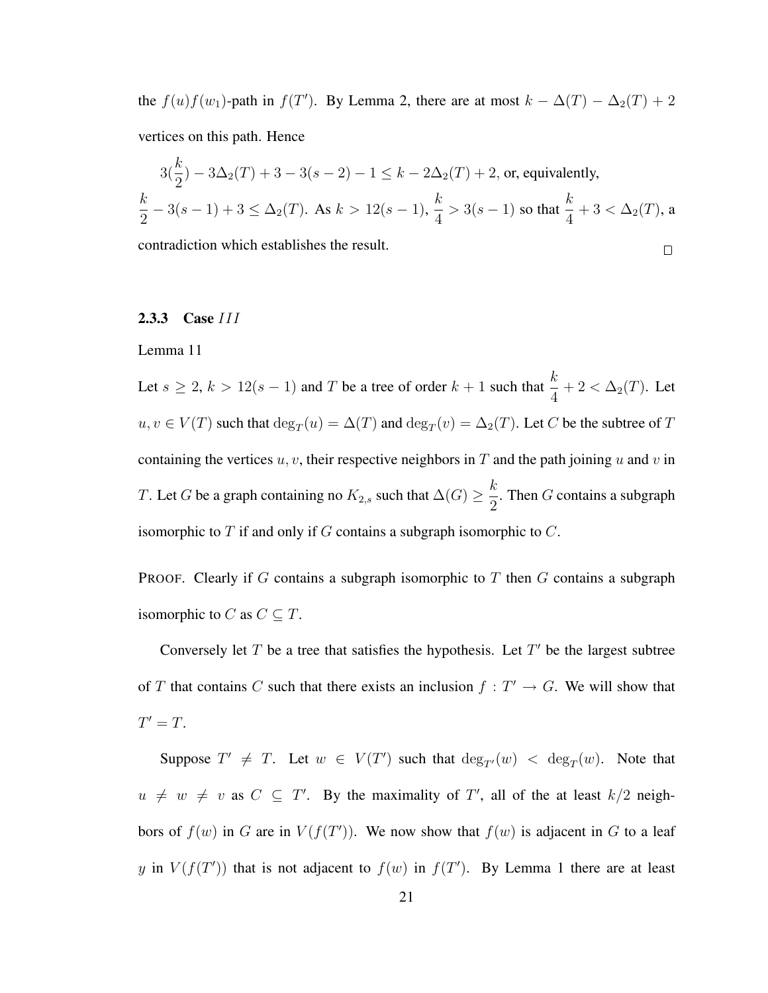the  $f(u)f(w_1)$ -path in  $f(T')$ . By Lemma 2, there are at most  $k - \Delta(T) - \Delta_2(T) + 2$ vertices on this path. Hence

$$
3\left(\frac{k}{2}\right) - 3\Delta_2(T) + 3 - 3(s - 2) - 1 \le k - 2\Delta_2(T) + 2
$$
, or, equivalently,  

$$
\frac{k}{2} - 3(s - 1) + 3 \le \Delta_2(T)
$$
. As  $k > 12(s - 1)$ ,  $\frac{k}{4} > 3(s - 1)$  so that  $\frac{k}{4} + 3 < \Delta_2(T)$ , a contradiction which establishes the result.

# 2.3.3 Case III

#### Lemma 11

Let  $s \geq 2$ ,  $k > 12(s - 1)$  and T be a tree of order  $k + 1$  such that  $\frac{k}{4} + 2 < \Delta_2(T)$ . Let  $u, v \in V(T)$  such that  $\deg_T(u) = \Delta(T)$  and  $\deg_T(v) = \Delta_2(T)$ . Let C be the subtree of T containing the vertices  $u, v$ , their respective neighbors in T and the path joining u and v in T. Let G be a graph containing no  $K_{2,s}$  such that  $\Delta(G) \geq \frac{k}{2}$  $\frac{\pi}{2}$ . Then *G* contains a subgraph isomorphic to  $T$  if and only if  $G$  contains a subgraph isomorphic to  $C$ .

**PROOF.** Clearly if G contains a subgraph isomorphic to  $T$  then  $G$  contains a subgraph isomorphic to C as  $C \subseteq T$ .

Conversely let  $T$  be a tree that satisfies the hypothesis. Let  $T'$  be the largest subtree of T that contains C such that there exists an inclusion  $f : T' \to G$ . We will show that  $T' = T$ .

Suppose  $T' \neq T$ . Let  $w \in V(T')$  such that  $deg_{T'}(w) < deg_T(w)$ . Note that  $u \neq w \neq v$  as  $C \subseteq T'$ . By the maximality of T', all of the at least  $k/2$  neighbors of  $f(w)$  in G are in  $V(f(T'))$ . We now show that  $f(w)$  is adjacent in G to a leaf y in  $V(f(T'))$  that is not adjacent to  $f(w)$  in  $f(T')$ . By Lemma 1 there are at least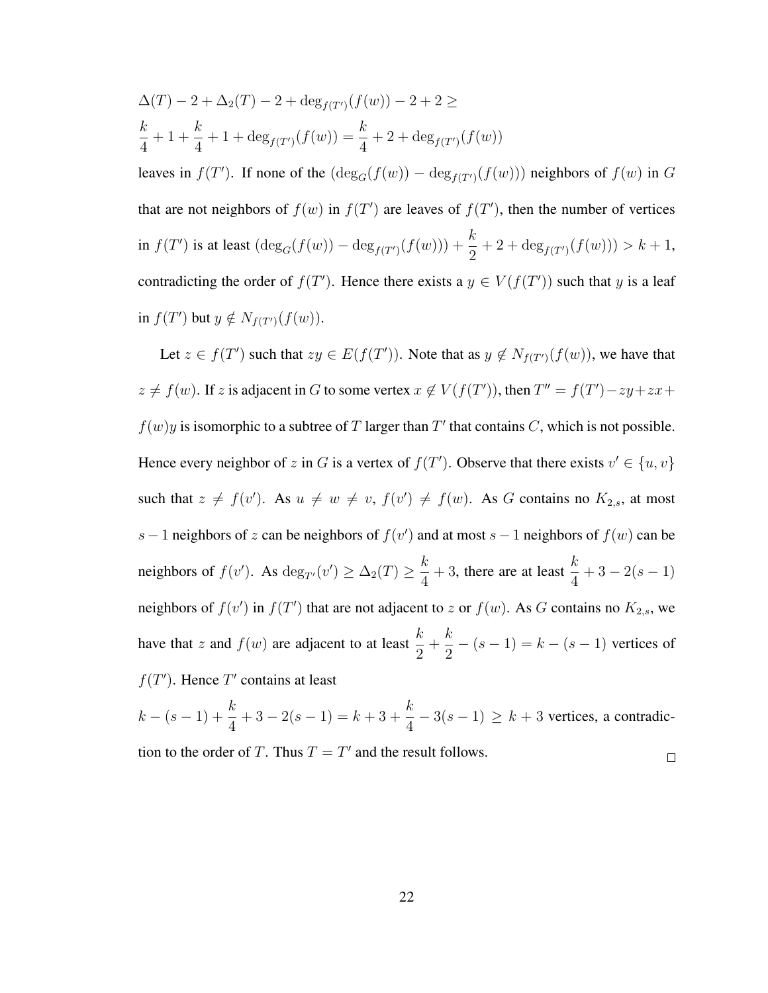$$
\Delta(T) - 2 + \Delta_2(T) - 2 + \deg_{f(T')}(f(w)) - 2 + 2 \ge
$$
\n
$$
\frac{k}{4} + 1 + \frac{k}{4} + 1 + \deg_{f(T')}(f(w)) = \frac{k}{4} + 2 + \deg_{f(T')}(f(w))
$$
\nleaves in  $f(T')$ . If none of the  $(\deg_G(f(w)) - \deg_{f(T')}(f(w)))$  neighbors of  $f(w)$  in  $G$  that are not neighbors of  $f(w)$  in  $f(T')$  are leaves of  $f(T')$ , then the number of vertices in  $f(T')$  is at least  $(\deg_G(f(w)) - \deg_{f(T')}(f(w))) + \frac{k}{2} + 2 + \deg_{f(T')}(f(w))) > k + 1$ , contradicting the order of  $f(T')$ . Hence there exists a  $y \in V(f(T'))$  such that  $y$  is a leaf in  $f(T')$  but  $y \notin N_{f(T')}(f(w))$ .

Let  $z \in f(T')$  such that  $zy \in E(f(T'))$ . Note that as  $y \notin N_{f(T')}(f(w))$ , we have that  $z \neq f(w)$ . If z is adjacent in G to some vertex  $x \notin V(f(T'))$ , then  $T'' = f(T') - zy + zx + z'$  $f(w)y$  is isomorphic to a subtree of T larger than T' that contains C, which is not possible. Hence every neighbor of z in G is a vertex of  $f(T')$ . Observe that there exists  $v' \in \{u, v\}$ such that  $z \neq f(v')$ . As  $u \neq w \neq v$ ,  $f(v') \neq f(w)$ . As G contains no  $K_{2,s}$ , at most s – 1 neighbors of z can be neighbors of  $f(v')$  and at most s – 1 neighbors of  $f(w)$  can be neighbors of  $f(v')$ . As  $\deg_{T'}(v') \geq \Delta_2(T) \geq \frac{k}{4}$  $\frac{k}{4} + 3$ , there are at least  $\frac{k}{4}$  $+3-2(s-1)$ neighbors of  $f(v')$  in  $f(T')$  that are not adjacent to z or  $f(w)$ . As G contains no  $K_{2,s}$ , we have that z and  $f(w)$  are adjacent to at least  $\frac{k}{2}$  $+$ k  $\frac{k}{2} - (s - 1) = k - (s - 1)$  vertices of  $f(T')$ . Hence T' contains at least

$$
k - (s - 1) + \frac{k}{4} + 3 - 2(s - 1) = k + 3 + \frac{k}{4} - 3(s - 1) \ge k + 3
$$
 vertices, a contradiction to the order of *T*. Thus *T* = *T'* and the result follows.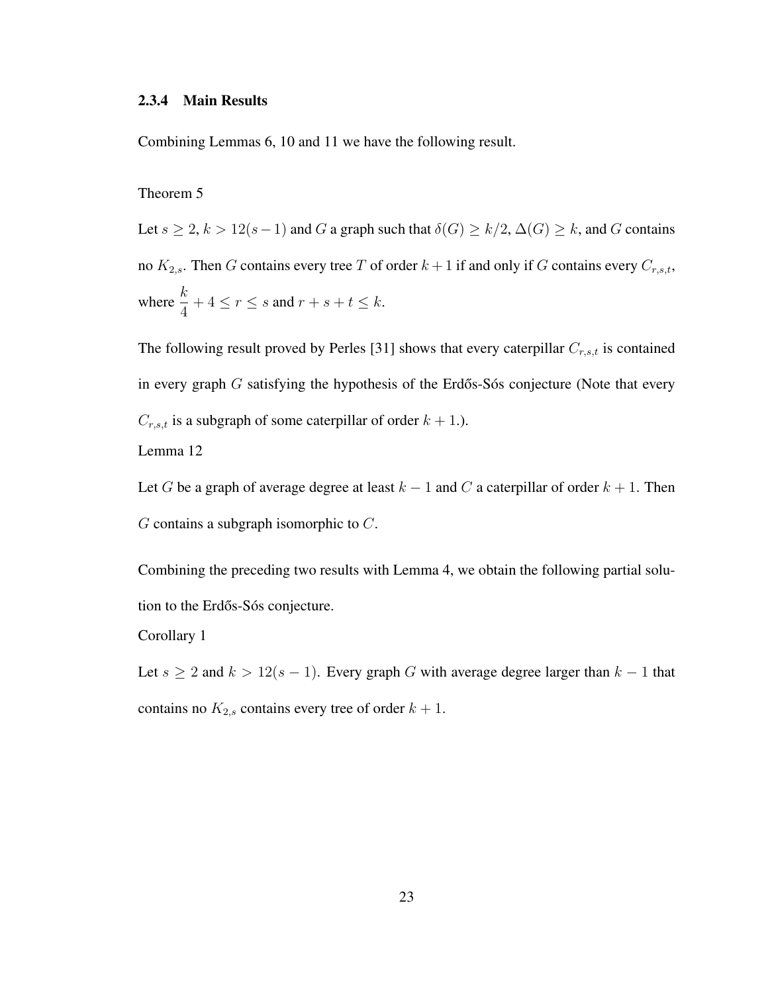#### 2.3.4 Main Results

Combining Lemmas 6, 10 and 11 we have the following result.

## Theorem 5

Let  $s \ge 2$ ,  $k > 12(s-1)$  and G a graph such that  $\delta(G) \ge k/2$ ,  $\Delta(G) \ge k$ , and G contains no  $K_{2,s}$ . Then G contains every tree T of order  $k+1$  if and only if G contains every  $C_{r,s,t}$ , where  $\frac{k}{4} + 4 \le r \le s$  and  $r + s + t \le k$ .

The following result proved by Perles [31] shows that every caterpillar  $C_{r,s,t}$  is contained in every graph  $G$  satisfying the hypothesis of the Erdős-Sós conjecture (Note that every  $C_{r,s,t}$  is a subgraph of some caterpillar of order  $k + 1$ .).

Lemma 12

Let G be a graph of average degree at least  $k - 1$  and C a caterpillar of order  $k + 1$ . Then  $G$  contains a subgraph isomorphic to  $C$ .

Combining the preceding two results with Lemma 4, we obtain the following partial solution to the Erdős-Sós conjecture.

Corollary 1

Let  $s \geq 2$  and  $k > 12(s - 1)$ . Every graph G with average degree larger than  $k - 1$  that contains no  $K_{2,s}$  contains every tree of order  $k + 1$ .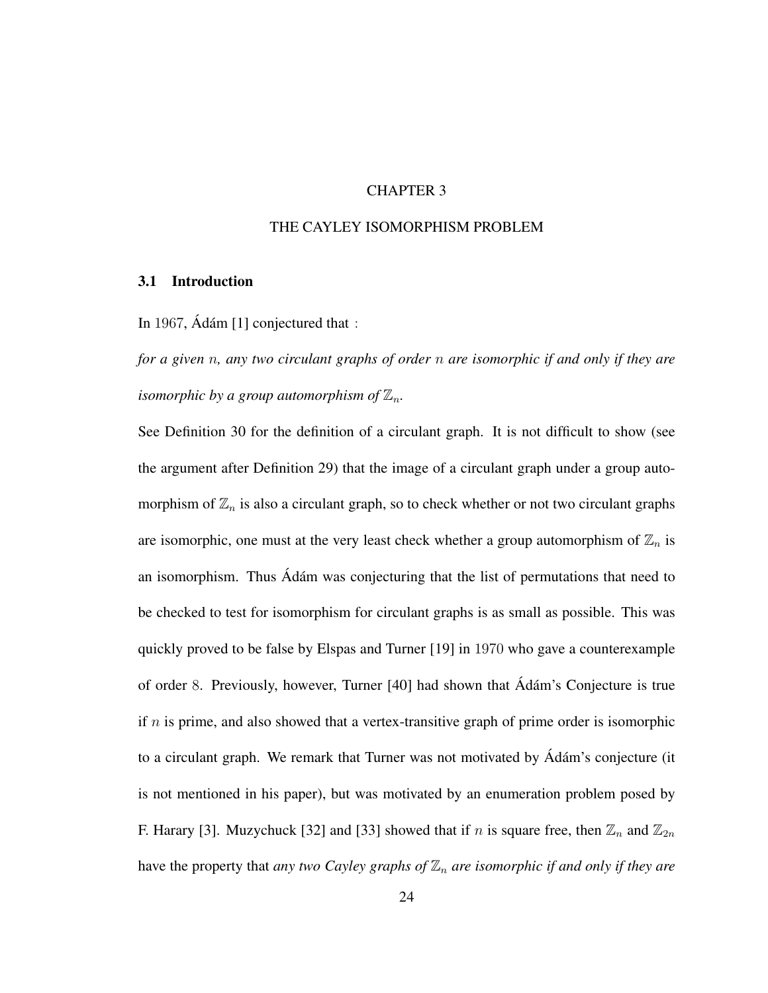#### CHAPTER 3

## THE CAYLEY ISOMORPHISM PROBLEM

#### 3.1 Introduction

In 1967,  $\hat{A}$ dám [1] conjectured that :

*for a given* n*, any two circulant graphs of order* n *are isomorphic if and only if they are isomorphic by a group automorphism of*  $\mathbb{Z}_n$ .

See Definition 30 for the definition of a circulant graph. It is not difficult to show (see the argument after Definition 29) that the image of a circulant graph under a group automorphism of  $\mathbb{Z}_n$  is also a circulant graph, so to check whether or not two circulant graphs are isomorphic, one must at the very least check whether a group automorphism of  $\mathbb{Z}_n$  is an isomorphism. Thus Adám was conjecturing that the list of permutations that need to be checked to test for isomorphism for circulant graphs is as small as possible. This was quickly proved to be false by Elspas and Turner [19] in 1970 who gave a counterexample of order 8. Previously, however, Turner [40] had shown that Adám's Conjecture is true if  $n$  is prime, and also showed that a vertex-transitive graph of prime order is isomorphic to a circulant graph. We remark that Turner was not motivated by Ádám's conjecture (it is not mentioned in his paper), but was motivated by an enumeration problem posed by F. Harary [3]. Muzychuck [32] and [33] showed that if n is square free, then  $\mathbb{Z}_n$  and  $\mathbb{Z}_{2n}$ have the property that *any two Cayley graphs of*  $\mathbb{Z}_n$  *are isomorphic if and only if they are*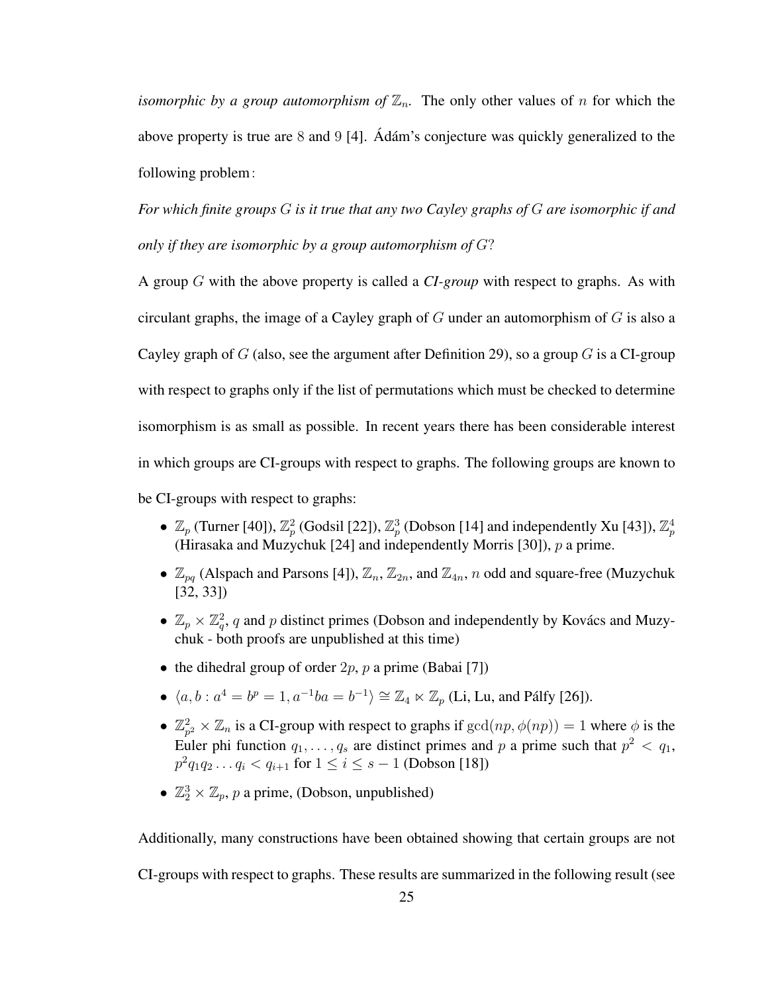*isomorphic by a group automorphism of*  $\mathbb{Z}_n$ . The only other values of n for which the above property is true are 8 and 9 [4]. Adam's conjecture was quickly generalized to the following problem:

*For which finite groups* G *is it true that any two Cayley graphs of* G *are isomorphic if and only if they are isomorphic by a group automorphism of* G?

A group G with the above property is called a *CI-group* with respect to graphs. As with circulant graphs, the image of a Cayley graph of  $G$  under an automorphism of  $G$  is also a Cayley graph of G (also, see the argument after Definition 29), so a group G is a CI-group with respect to graphs only if the list of permutations which must be checked to determine isomorphism is as small as possible. In recent years there has been considerable interest in which groups are CI-groups with respect to graphs. The following groups are known to

be CI-groups with respect to graphs:

- $\mathbb{Z}_p$  (Turner [40]),  $\mathbb{Z}_p^2$  (Godsil [22]),  $\mathbb{Z}_p^3$  (Dobson [14] and independently Xu [43]),  $\mathbb{Z}_p^4$ (Hirasaka and Muzychuk [24] and independently Morris [30]), p a prime.
- $\mathbb{Z}_{pq}$  (Alspach and Parsons [4]),  $\mathbb{Z}_n$ ,  $\mathbb{Z}_{2n}$ , and  $\mathbb{Z}_{4n}$ , n odd and square-free (Muzychuk [32, 33])
- $\mathbb{Z}_p \times \mathbb{Z}_q^2$ , q and p distinct primes (Dobson and independently by Kovács and Muzychuk - both proofs are unpublished at this time)
- the dihedral group of order  $2p$ , p a prime (Babai [7])
- $\langle a, b : a^4 = b^p = 1, a^{-1}ba = b^{-1} \rangle \cong \mathbb{Z}_4 \ltimes \mathbb{Z}_p$  (Li, Lu, and Pálfy [26]).
- $\bullet$   $\mathbb{Z}_n^2$  $p_p^2 \times \mathbb{Z}_n$  is a CI-group with respect to graphs if  $gcd(np, \phi(np)) = 1$  where  $\phi$  is the Euler phi function  $q_1, \ldots, q_s$  are distinct primes and p a prime such that  $p^2 < q_1$ ,  $p^2q_1q_2...q_i < q_{i+1}$  for  $1 \le i \le s-1$  (Dobson [18])
- $\mathbb{Z}_2^3 \times \mathbb{Z}_p$ , p a prime, (Dobson, unpublished)

Additionally, many constructions have been obtained showing that certain groups are not

CI-groups with respect to graphs. These results are summarized in the following result (see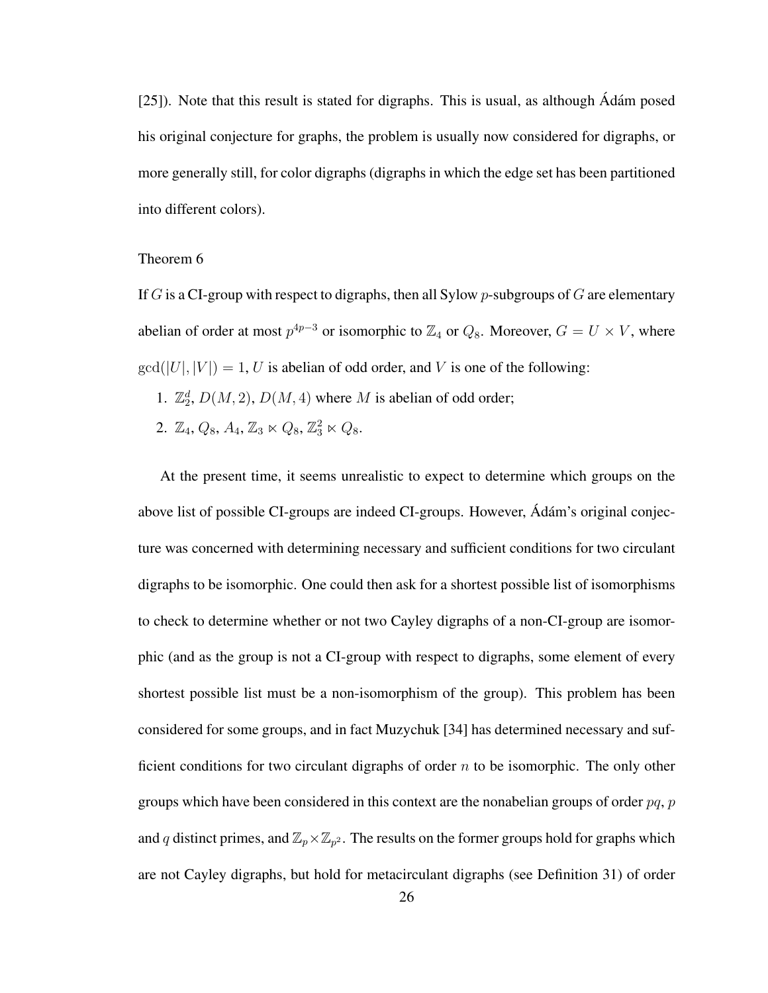$[25]$ ). Note that this result is stated for digraphs. This is usual, as although  $\hat{A}$ dám posed his original conjecture for graphs, the problem is usually now considered for digraphs, or more generally still, for color digraphs (digraphs in which the edge set has been partitioned into different colors).

#### Theorem 6

If G is a CI-group with respect to digraphs, then all Sylow p-subgroups of G are elementary abelian of order at most  $p^{4p-3}$  or isomorphic to  $\mathbb{Z}_4$  or  $Q_8$ . Moreover,  $G = U \times V$ , where  $gcd(|U|, |V|) = 1, U$  is abelian of odd order, and V is one of the following:

- 1.  $\mathbb{Z}_2^d$ ,  $D(M, 2)$ ,  $D(M, 4)$  where M is abelian of odd order;
- 2.  $\mathbb{Z}_4$ ,  $Q_8$ ,  $A_4$ ,  $\mathbb{Z}_3 \ltimes Q_8$ ,  $\mathbb{Z}_3^2 \ltimes Q_8$ .

At the present time, it seems unrealistic to expect to determine which groups on the above list of possible CI-groups are indeed CI-groups. However, Adám's original conjecture was concerned with determining necessary and sufficient conditions for two circulant digraphs to be isomorphic. One could then ask for a shortest possible list of isomorphisms to check to determine whether or not two Cayley digraphs of a non-CI-group are isomorphic (and as the group is not a CI-group with respect to digraphs, some element of every shortest possible list must be a non-isomorphism of the group). This problem has been considered for some groups, and in fact Muzychuk [34] has determined necessary and sufficient conditions for two circulant digraphs of order  $n$  to be isomorphic. The only other groups which have been considered in this context are the nonabelian groups of order  $pq$ ,  $p$ and q distinct primes, and  $\mathbb{Z}_p\times\mathbb{Z}_{p^2}$ . The results on the former groups hold for graphs which are not Cayley digraphs, but hold for metacirculant digraphs (see Definition 31) of order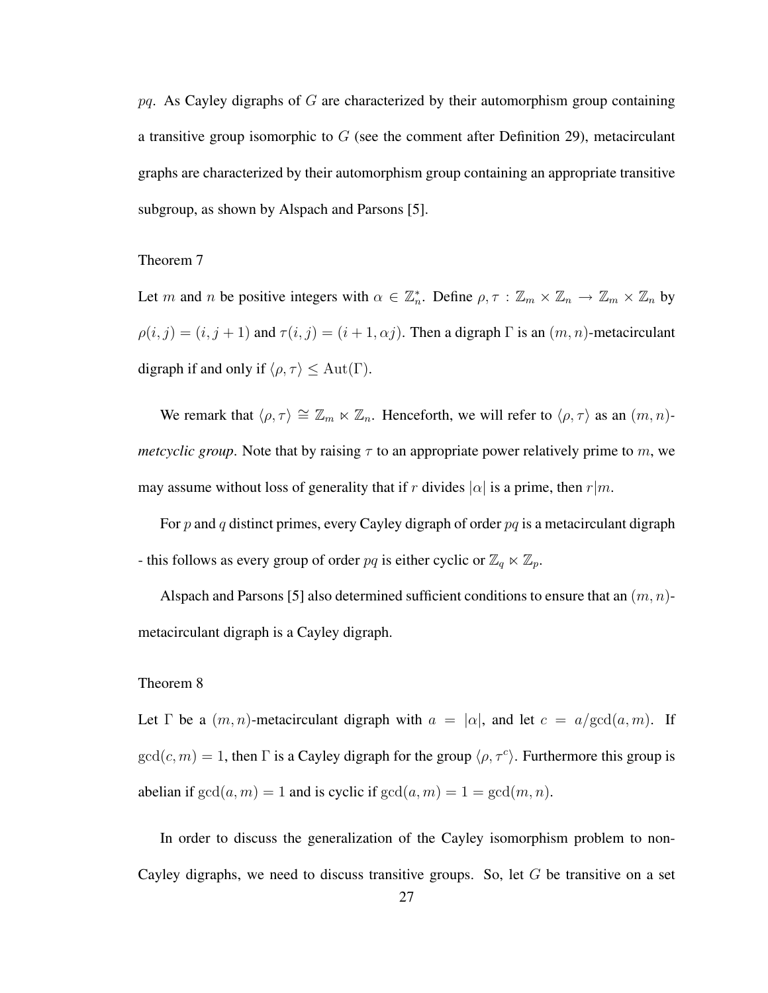$pq$ . As Cayley digraphs of G are characterized by their automorphism group containing a transitive group isomorphic to  $G$  (see the comment after Definition 29), metacirculant graphs are characterized by their automorphism group containing an appropriate transitive subgroup, as shown by Alspach and Parsons [5].

#### Theorem 7

Let m and n be positive integers with  $\alpha \in \mathbb{Z}_n^*$ . Define  $\rho, \tau : \mathbb{Z}_m \times \mathbb{Z}_n \to \mathbb{Z}_m \times \mathbb{Z}_n$  by  $\rho(i, j) = (i, j + 1)$  and  $\tau(i, j) = (i + 1, \alpha j)$ . Then a digraph  $\Gamma$  is an  $(m, n)$ -metacirculant digraph if and only if  $\langle \rho, \tau \rangle \leq \operatorname{Aut}(\Gamma).$ 

We remark that  $\langle \rho, \tau \rangle \cong \mathbb{Z}_m \ltimes \mathbb{Z}_n$ . Henceforth, we will refer to  $\langle \rho, \tau \rangle$  as an  $(m, n)$ *metcyclic group*. Note that by raising  $\tau$  to an appropriate power relatively prime to m, we may assume without loss of generality that if r divides  $|\alpha|$  is a prime, then r $|m$ .

For p and q distinct primes, every Cayley digraph of order  $pq$  is a metacirculant digraph - this follows as every group of order  $pq$  is either cyclic or  $\mathbb{Z}_q \ltimes \mathbb{Z}_p$ .

Alspach and Parsons [5] also determined sufficient conditions to ensure that an  $(m, n)$ metacirculant digraph is a Cayley digraph.

## Theorem 8

Let  $\Gamma$  be a  $(m, n)$ -metacirculant digraph with  $a = |\alpha|$ , and let  $c = a/\text{gcd}(a, m)$ . If  $gcd(c, m) = 1$ , then  $\Gamma$  is a Cayley digraph for the group  $\langle \rho, \tau^c \rangle$ . Furthermore this group is abelian if  $gcd(a, m) = 1$  and is cyclic if  $gcd(a, m) = 1 = gcd(m, n)$ .

In order to discuss the generalization of the Cayley isomorphism problem to non-Cayley digraphs, we need to discuss transitive groups. So, let  $G$  be transitive on a set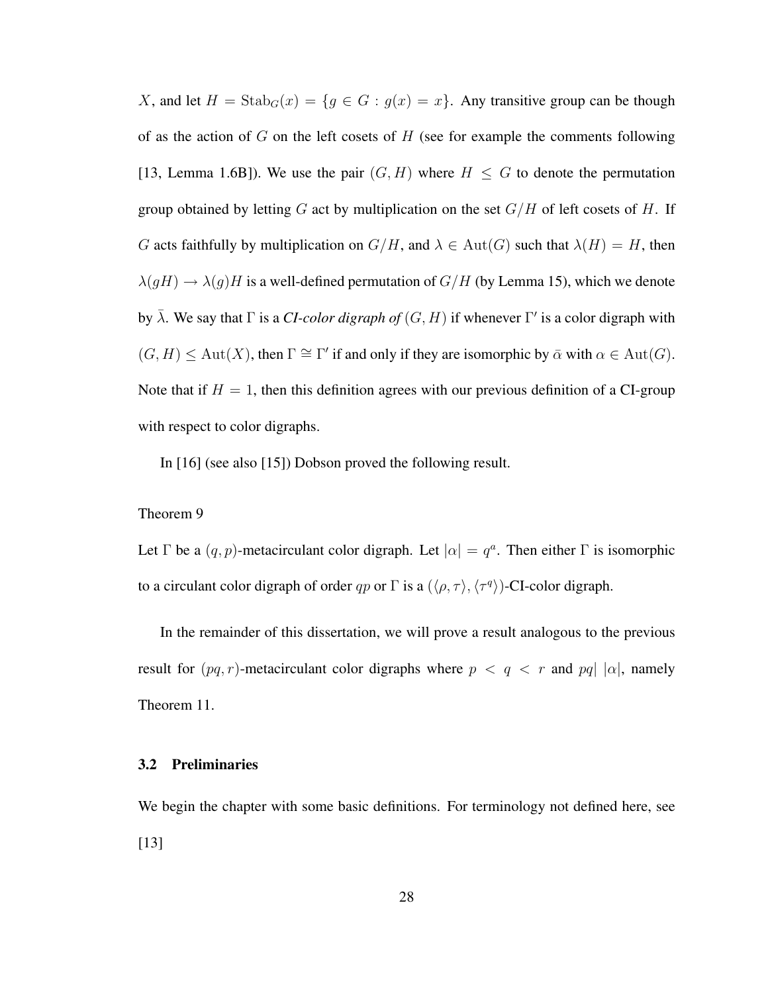X, and let  $H = \text{Stab}_G(x) = \{g \in G : g(x) = x\}$ . Any transitive group can be though of as the action of  $G$  on the left cosets of  $H$  (see for example the comments following [13, Lemma 1.6B]). We use the pair  $(G, H)$  where  $H \leq G$  to denote the permutation group obtained by letting G act by multiplication on the set  $G/H$  of left cosets of H. If G acts faithfully by multiplication on  $G/H$ , and  $\lambda \in Aut(G)$  such that  $\lambda(H) = H$ , then  $\lambda(gH) \rightarrow \lambda(g)H$  is a well-defined permutation of  $G/H$  (by Lemma 15), which we denote by  $\bar{\lambda}$ . We say that  $\Gamma$  is a *CI-color digraph of*  $(G, H)$  if whenever  $\Gamma'$  is a color digraph with  $(G, H) \le \text{Aut}(X)$ , then  $\Gamma \cong \Gamma'$  if and only if they are isomorphic by  $\bar{\alpha}$  with  $\alpha \in \text{Aut}(G)$ . Note that if  $H = 1$ , then this definition agrees with our previous definition of a CI-group with respect to color digraphs.

In [16] (see also [15]) Dobson proved the following result.

#### Theorem 9

Let  $\Gamma$  be a  $(q, p)$ -metacirculant color digraph. Let  $|\alpha| = q^a$ . Then either  $\Gamma$  is isomorphic to a circulant color digraph of order qp or  $\Gamma$  is a  $(\langle \rho, \tau \rangle, \langle \tau^q \rangle)$ -CI-color digraph.

In the remainder of this dissertation, we will prove a result analogous to the previous result for  $(pq, r)$ -metacirculant color digraphs where  $p < q < r$  and  $pq | |\alpha|$ , namely Theorem 11.

#### 3.2 Preliminaries

We begin the chapter with some basic definitions. For terminology not defined here, see [13]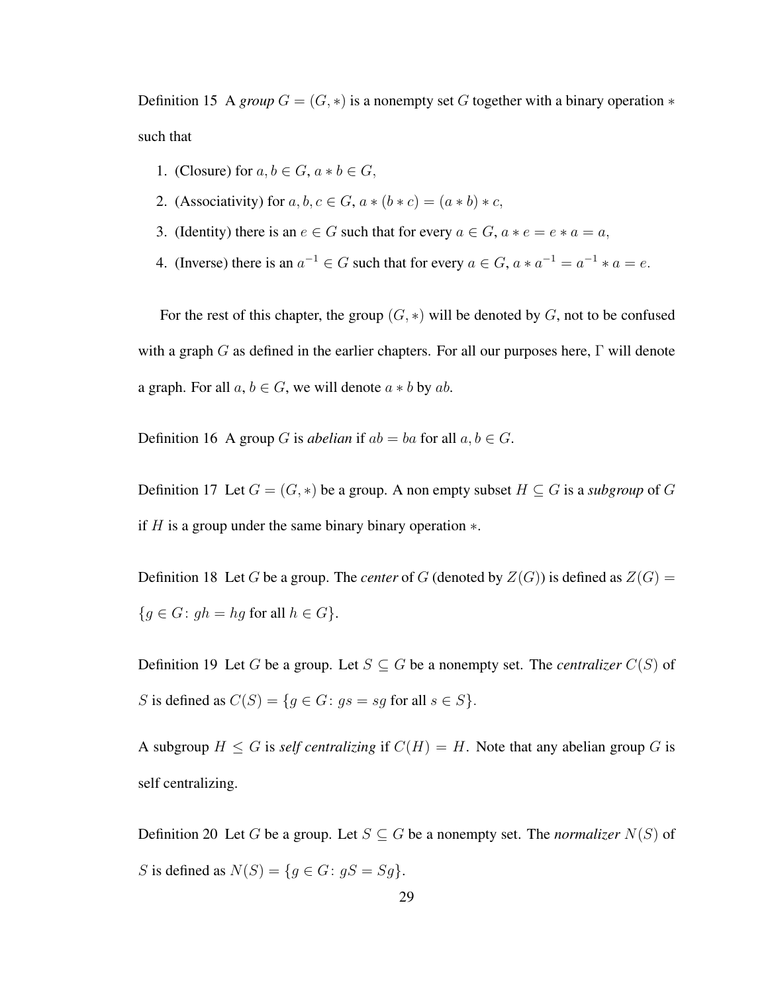Definition 15 A *group*  $G = (G, *)$  is a nonempty set G together with a binary operation  $*$ such that

- 1. (Closure) for  $a, b \in G$ ,  $a * b \in G$ ,
- 2. (Associativity) for a, b,  $c \in G$ ,  $a * (b * c) = (a * b) * c$ ,
- 3. (Identity) there is an  $e \in G$  such that for every  $a \in G$ ,  $a * e = e * a = a$ ,
- 4. (Inverse) there is an  $a^{-1} \in G$  such that for every  $a \in G$ ,  $a * a^{-1} = a^{-1} * a = e$ .

For the rest of this chapter, the group  $(G, *)$  will be denoted by G, not to be confused with a graph G as defined in the earlier chapters. For all our purposes here,  $\Gamma$  will denote a graph. For all  $a, b \in G$ , we will denote  $a * b$  by  $ab$ .

Definition 16 A group G is *abelian* if  $ab = ba$  for all  $a, b \in G$ .

Definition 17 Let  $G = (G, *)$  be a group. A non empty subset  $H \subseteq G$  is a *subgroup* of G if  $H$  is a group under the same binary binary operation  $\ast$ .

Definition 18 Let G be a group. The *center* of G (denoted by  $Z(G)$ ) is defined as  $Z(G)$  =  ${g \in G : gh = hg \text{ for all } h \in G}.$ 

Definition 19 Let G be a group. Let  $S \subseteq G$  be a nonempty set. The *centralizer*  $C(S)$  of S is defined as  $C(S) = \{q \in G: qs = sq \text{ for all } s \in S\}.$ 

A subgroup  $H \leq G$  is *self centralizing* if  $C(H) = H$ . Note that any abelian group G is self centralizing.

Definition 20 Let G be a group. Let  $S \subseteq G$  be a nonempty set. The *normalizer*  $N(S)$  of S is defined as  $N(S) = \{ g \in G : gS = Sg \}.$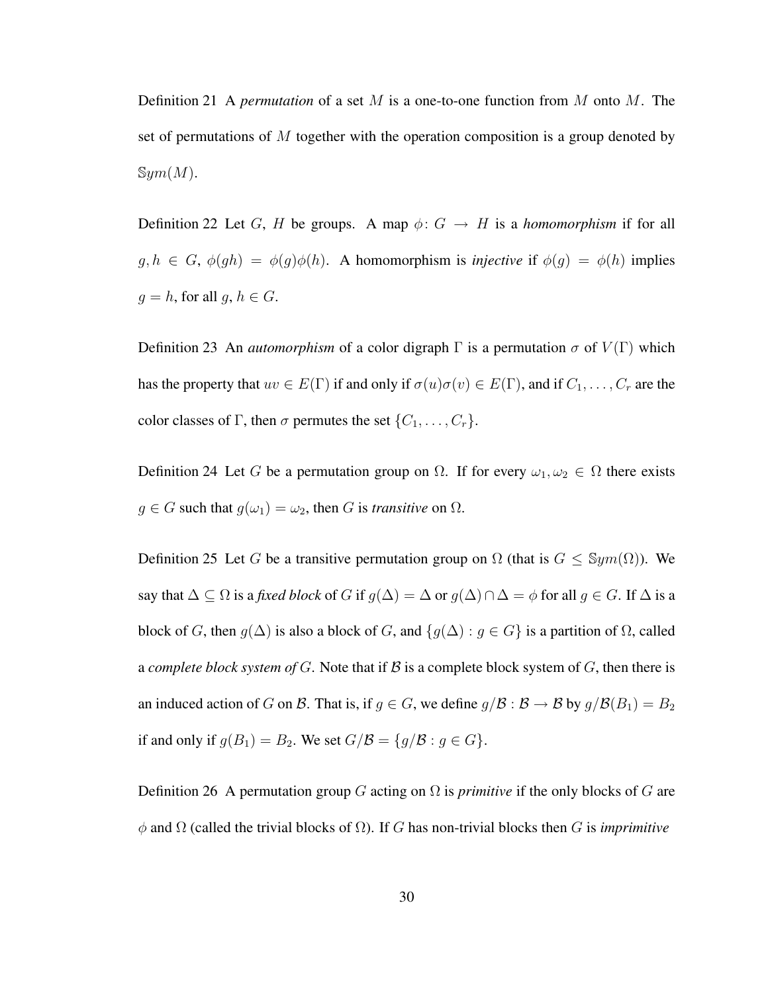Definition 21 A *permutation* of a set M is a one-to-one function from M onto M. The set of permutations of  $M$  together with the operation composition is a group denoted by  $\mathbb{S}ym(M).$ 

Definition 22 Let G, H be groups. A map  $\phi: G \to H$  is a *homomorphism* if for all  $g, h \in G$ ,  $\phi(gh) = \phi(g)\phi(h)$ . A homomorphism is *injective* if  $\phi(g) = \phi(h)$  implies  $g = h$ , for all  $g, h \in G$ .

Definition 23 An *automorphism* of a color digraph  $\Gamma$  is a permutation  $\sigma$  of  $V(\Gamma)$  which has the property that  $uv \in E(\Gamma)$  if and only if  $\sigma(u)\sigma(v) \in E(\Gamma)$ , and if  $C_1, \ldots, C_r$  are the color classes of Γ, then  $\sigma$  permutes the set  $\{C_1, \ldots, C_r\}$ .

Definition 24 Let G be a permutation group on  $\Omega$ . If for every  $\omega_1, \omega_2 \in \Omega$  there exists  $g \in G$  such that  $g(\omega_1) = \omega_2$ , then G is *transitive* on  $\Omega$ .

Definition 25 Let G be a transitive permutation group on  $\Omega$  (that is  $G \leq \mathbb{S}ym(\Omega)$ ). We say that  $\Delta \subseteq \Omega$  is a *fixed block* of G if  $g(\Delta) = \Delta$  or  $g(\Delta) \cap \Delta = \phi$  for all  $g \in G$ . If  $\Delta$  is a block of G, then  $g(\Delta)$  is also a block of G, and  $\{g(\Delta) : g \in G\}$  is a partition of  $\Omega$ , called a *complete block system of*  $G$ . Note that if  $\mathcal B$  is a complete block system of  $G$ , then there is an induced action of G on B. That is, if  $g \in G$ , we define  $g/B : B \to B$  by  $g/B(B_1) = B_2$ if and only if  $g(B_1) = B_2$ . We set  $G/\mathcal{B} = \{g/\mathcal{B} : g \in G\}$ .

Definition 26 A permutation group G acting on  $\Omega$  is *primitive* if the only blocks of G are  $φ$  and  $Ω$  (called the trivial blocks of  $Ω$ ). If G has non-trivial blocks then G is *imprimitive*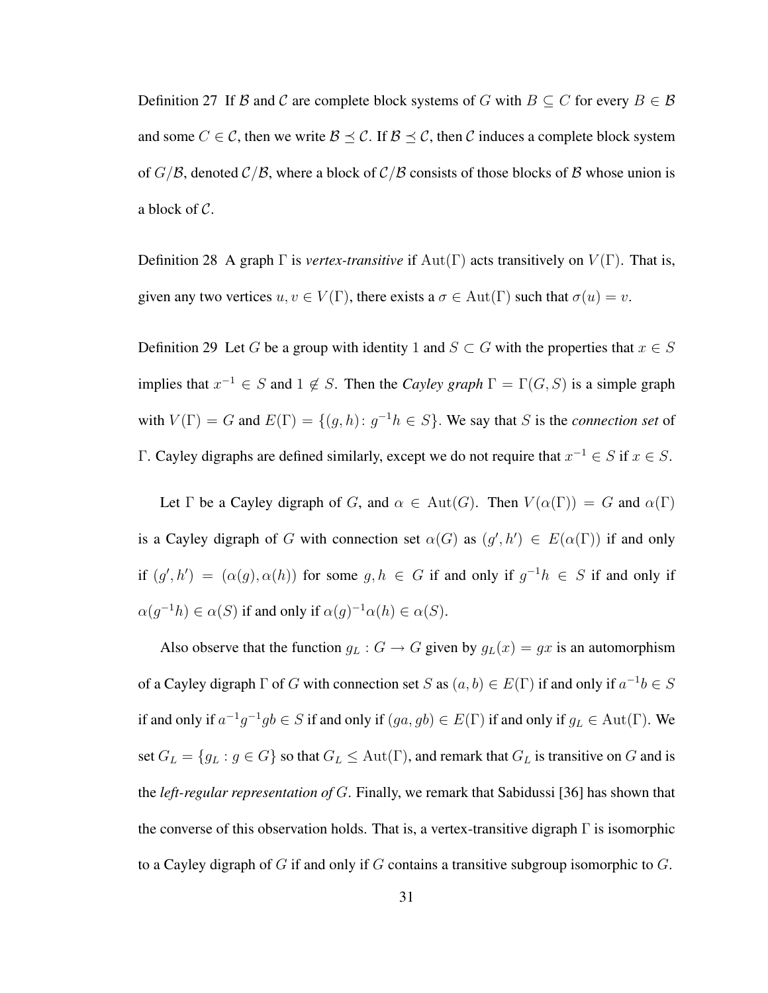Definition 27 If B and C are complete block systems of G with  $B \subseteq C$  for every  $B \in \mathcal{B}$ and some  $C \in \mathcal{C}$ , then we write  $\mathcal{B} \preceq \mathcal{C}$ . If  $\mathcal{B} \preceq \mathcal{C}$ , then  $\mathcal{C}$  induces a complete block system of  $G/B$ , denoted  $C/B$ , where a block of  $C/B$  consists of those blocks of B whose union is a block of C.

Definition 28 A graph  $\Gamma$  is *vertex-transitive* if  $Aut(\Gamma)$  acts transitively on  $V(\Gamma)$ . That is, given any two vertices  $u, v \in V(\Gamma)$ , there exists a  $\sigma \in Aut(\Gamma)$  such that  $\sigma(u) = v$ .

Definition 29 Let G be a group with identity 1 and  $S \subset G$  with the properties that  $x \in S$ implies that  $x^{-1} \in S$  and  $1 \notin S$ . Then the *Cayley graph*  $\Gamma = \Gamma(G, S)$  is a simple graph with  $V(\Gamma) = G$  and  $E(\Gamma) = \{(g, h): g^{-1}h \in S\}$ . We say that S is the *connection set* of Γ. Cayley digraphs are defined similarly, except we do not require that  $x^{-1} \in S$  if  $x \in S$ .

Let  $\Gamma$  be a Cayley digraph of G, and  $\alpha \in Aut(G)$ . Then  $V(\alpha(\Gamma)) = G$  and  $\alpha(\Gamma)$ is a Cayley digraph of G with connection set  $\alpha(G)$  as  $(g', h') \in E(\alpha(\Gamma))$  if and only if  $(g', h') = (\alpha(g), \alpha(h))$  for some  $g, h \in G$  if and only if  $g^{-1}h \in S$  if and only if  $\alpha(g^{-1}h) \in \alpha(S)$  if and only if  $\alpha(g)^{-1}\alpha(h) \in \alpha(S)$ .

Also observe that the function  $g_L : G \to G$  given by  $g_L(x) = gx$  is an automorphism of a Cayley digraph  $\Gamma$  of G with connection set S as  $(a, b) \in E(\Gamma)$  if and only if  $a^{-1}b \in S$ if and only if  $a^{-1}g^{-1}gb \in S$  if and only if  $(ga, gb) \in E(\Gamma)$  if and only if  $g_L \in \text{Aut}(\Gamma)$ . We set  $G_L = \{g_L : g \in G\}$  so that  $G_L \le \text{Aut}(\Gamma)$ , and remark that  $G_L$  is transitive on G and is the *left-regular representation of* G. Finally, we remark that Sabidussi [36] has shown that the converse of this observation holds. That is, a vertex-transitive digraph  $\Gamma$  is isomorphic to a Cayley digraph of G if and only if G contains a transitive subgroup isomorphic to  $G$ .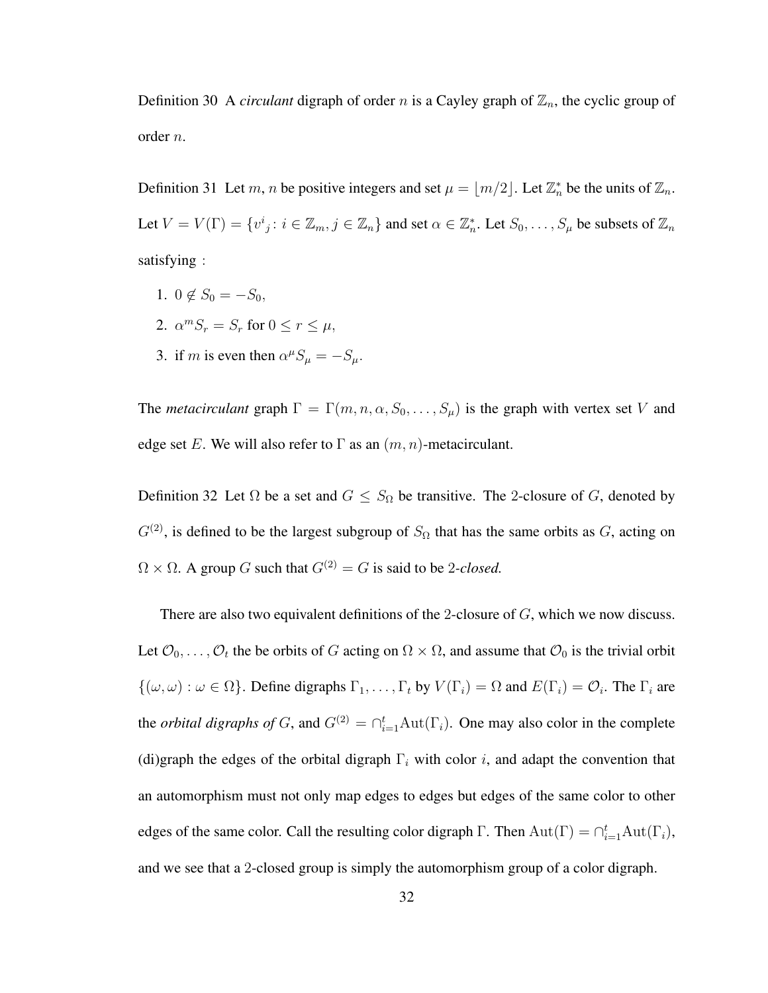Definition 30 A *circulant* digraph of order n is a Cayley graph of  $\mathbb{Z}_n$ , the cyclic group of order n.

Definition 31 Let m, n be positive integers and set  $\mu = \lfloor m/2 \rfloor$ . Let  $\mathbb{Z}_n^*$  be the units of  $\mathbb{Z}_n$ . Let  $V = V(\Gamma) = \{v^i_j : i \in \mathbb{Z}_m, j \in \mathbb{Z}_n\}$  and set  $\alpha \in \mathbb{Z}_n^*$ . Let  $S_0, \ldots, S_\mu$  be subsets of  $\mathbb{Z}_n$ satisfying :

- 1.  $0 \notin S_0 = -S_0$ ,
- 2.  $\alpha^m S_r = S_r$  for  $0 \le r \le \mu$ ,
- 3. if m is even then  $\alpha^{\mu} S_{\mu} = -S_{\mu}$ .

The *metacirculant* graph  $\Gamma = \Gamma(m, n, \alpha, S_0, \dots, S_\mu)$  is the graph with vertex set V and edge set E. We will also refer to  $\Gamma$  as an  $(m, n)$ -metacirculant.

Definition 32 Let  $\Omega$  be a set and  $G \leq S_{\Omega}$  be transitive. The 2-closure of G, denoted by  $G^{(2)}$ , is defined to be the largest subgroup of  $S_{\Omega}$  that has the same orbits as G, acting on  $\Omega \times \Omega$ . A group G such that  $G^{(2)} = G$  is said to be 2*-closed*.

There are also two equivalent definitions of the 2-closure of G, which we now discuss. Let  $\mathcal{O}_0, \ldots, \mathcal{O}_t$  the be orbits of G acting on  $\Omega \times \Omega$ , and assume that  $\mathcal{O}_0$  is the trivial orbit  $\{(\omega,\omega): \omega \in \Omega\}$ . Define digraphs  $\Gamma_1,\ldots,\Gamma_t$  by  $V(\Gamma_i) = \Omega$  and  $E(\Gamma_i) = \mathcal{O}_i$ . The  $\Gamma_i$  are the *orbital digraphs of* G, and  $G^{(2)} = \bigcap_{i=1}^{t} \text{Aut}(\Gamma_i)$ . One may also color in the complete (di)graph the edges of the orbital digraph  $\Gamma_i$  with color i, and adapt the convention that an automorphism must not only map edges to edges but edges of the same color to other edges of the same color. Call the resulting color digraph  $\Gamma$ . Then  $Aut(\Gamma) = \bigcap_{i=1}^t Aut(\Gamma_i)$ , and we see that a 2-closed group is simply the automorphism group of a color digraph.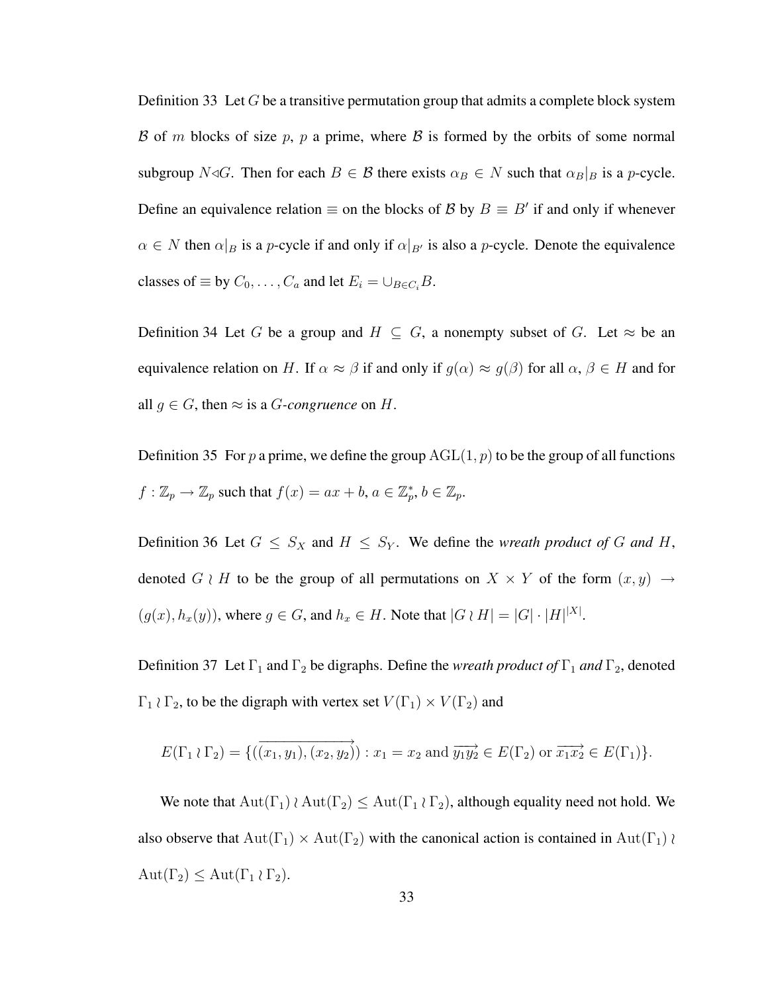Definition 33 Let  $G$  be a transitive permutation group that admits a complete block system B of m blocks of size p, p a prime, where B is formed by the orbits of some normal subgroup  $N \triangleleft G$ . Then for each  $B \in \mathcal{B}$  there exists  $\alpha_B \in N$  such that  $\alpha_B|_B$  is a p-cycle. Define an equivalence relation  $\equiv$  on the blocks of B by  $B \equiv B'$  if and only if whenever  $\alpha \in N$  then  $\alpha|_B$  is a p-cycle if and only if  $\alpha|_{B'}$  is also a p-cycle. Denote the equivalence classes of  $\equiv$  by  $C_0, \ldots, C_a$  and let  $E_i = \bigcup_{B \in C_i} B$ .

Definition 34 Let G be a group and  $H \subseteq G$ , a nonempty subset of G. Let  $\approx$  be an equivalence relation on H. If  $\alpha \approx \beta$  if and only if  $g(\alpha) \approx g(\beta)$  for all  $\alpha, \beta \in H$  and for all  $g \in G$ , then  $\approx$  is a *G*-congruence on *H*.

Definition 35 For p a prime, we define the group  $AGL(1, p)$  to be the group of all functions  $f: \mathbb{Z}_p \to \mathbb{Z}_p$  such that  $f(x) = ax + b, a \in \mathbb{Z}_p^*, b \in \mathbb{Z}_p$ .

Definition 36 Let  $G \leq S_X$  and  $H \leq S_Y$ . We define the *wreath product of* G and H, denoted G  $\wr$  H to be the group of all permutations on  $X \times Y$  of the form  $(x, y) \rightarrow$  $(g(x), h_x(y))$ , where  $g \in G$ , and  $h_x \in H$ . Note that  $|G \wr H| = |G| \cdot |H|^{|X|}$ .

Definition 37 Let  $\Gamma_1$  and  $\Gamma_2$  be digraphs. Define the *wreath product of*  $\Gamma_1$  *and*  $\Gamma_2$ , denoted  $\Gamma_1 \wr \Gamma_2$ , to be the digraph with vertex set  $V(\Gamma_1) \times V(\Gamma_2)$  and

$$
E(\Gamma_1 \wr \Gamma_2) = \{ (\overrightarrow{(x_1, y_1)}, \overrightarrow{(x_2, y_2)}) : x_1 = x_2 \text{ and } \overrightarrow{y_1 y_2} \in E(\Gamma_2) \text{ or } \overrightarrow{x_1 x_2} \in E(\Gamma_1) \}.
$$

We note that  $Aut(\Gamma_1) \wr Aut(\Gamma_2) \le Aut(\Gamma_1 \wr \Gamma_2)$ , although equality need not hold. We also observe that  $Aut(\Gamma_1) \times Aut(\Gamma_2)$  with the canonical action is contained in  $Aut(\Gamma_1)$  $Aut(\Gamma_2) \leq Aut(\Gamma_1 \wr \Gamma_2).$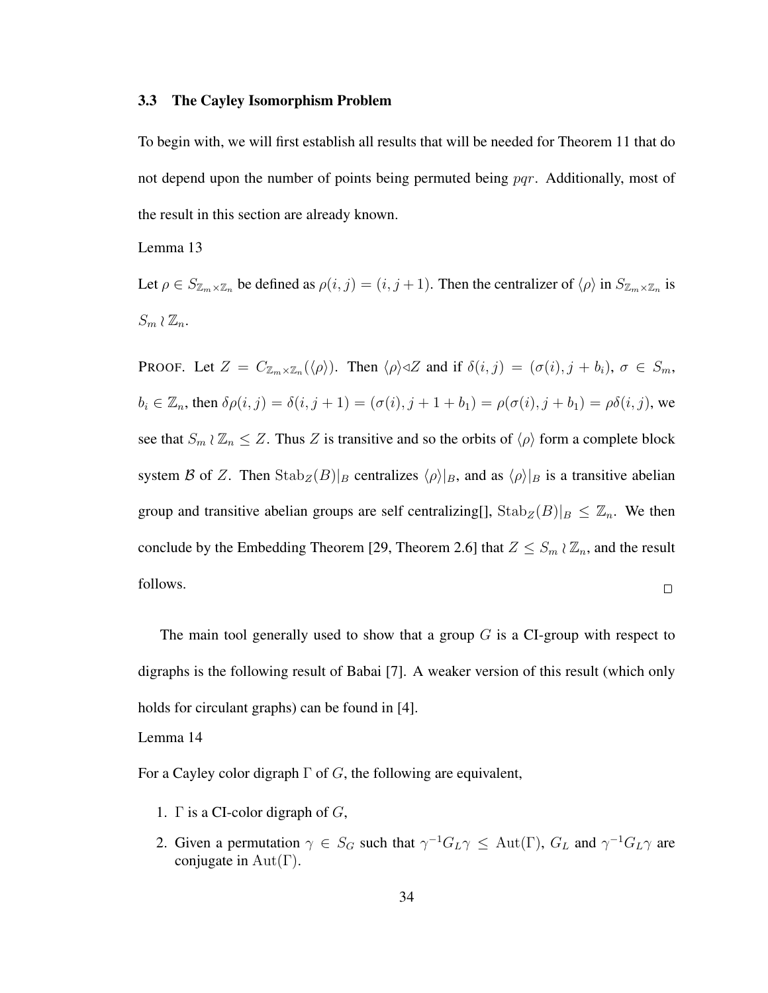#### 3.3 The Cayley Isomorphism Problem

To begin with, we will first establish all results that will be needed for Theorem 11 that do not depend upon the number of points being permuted being pqr. Additionally, most of the result in this section are already known.

Lemma 13

Let  $\rho \in S_{\mathbb{Z}_m \times \mathbb{Z}_n}$  be defined as  $\rho(i, j) = (i, j + 1)$ . Then the centralizer of  $\langle \rho \rangle$  in  $S_{\mathbb{Z}_m \times \mathbb{Z}_n}$  is  $S_m \wr \mathbb{Z}_n$ .

**PROOF.** Let  $Z = C_{\mathbb{Z}_m \times \mathbb{Z}_n}(\langle \rho \rangle)$ . Then  $\langle \rho \rangle \triangleleft Z$  and if  $\delta(i, j) = (\sigma(i), j + b_i)$ ,  $\sigma \in S_m$ ,  $b_i \in \mathbb{Z}_n$ , then  $\delta \rho(i, j) = \delta(i, j + 1) = (\sigma(i), j + 1 + b_1) = \rho(\sigma(i), j + b_1) = \rho \delta(i, j)$ , we see that  $S_m \wr \mathbb{Z}_n \leq Z$ . Thus Z is transitive and so the orbits of  $\langle \rho \rangle$  form a complete block system B of Z. Then  $Stab_Z(B)|_B$  centralizes  $\langle \rho \rangle|_B$ , and as  $\langle \rho \rangle|_B$  is a transitive abelian group and transitive abelian groups are self centralizing[],  $\text{Stab}_Z(B)|_B \leq \mathbb{Z}_n$ . We then conclude by the Embedding Theorem [29, Theorem 2.6] that  $Z \leq S_m \wr \mathbb{Z}_n$ , and the result follows.  $\Box$ 

The main tool generally used to show that a group  $G$  is a CI-group with respect to digraphs is the following result of Babai [7]. A weaker version of this result (which only holds for circulant graphs) can be found in [4].

Lemma 14

For a Cayley color digraph  $\Gamma$  of G, the following are equivalent,

- 1.  $\Gamma$  is a CI-color digraph of  $G$ ,
- 2. Given a permutation  $\gamma \in S_G$  such that  $\gamma^{-1} G_L \gamma \leq \text{Aut}(\Gamma)$ ,  $G_L$  and  $\gamma^{-1} G_L \gamma$  are conjugate in  $Aut(\Gamma)$ .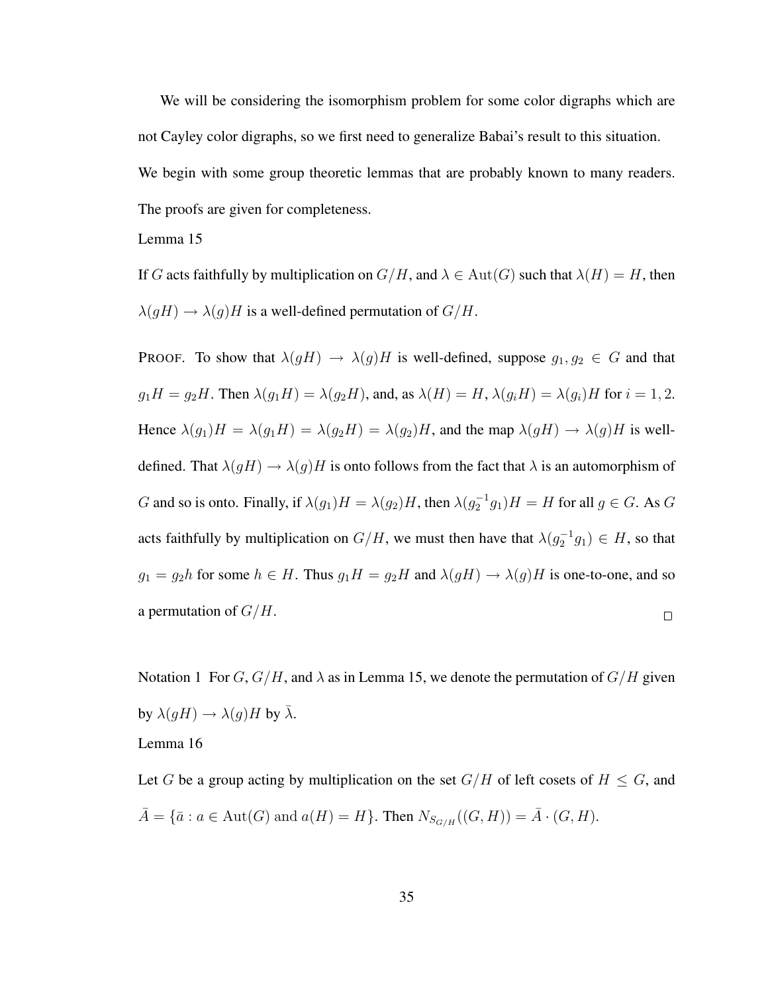We will be considering the isomorphism problem for some color digraphs which are not Cayley color digraphs, so we first need to generalize Babai's result to this situation.

We begin with some group theoretic lemmas that are probably known to many readers.

The proofs are given for completeness.

Lemma 15

If G acts faithfully by multiplication on  $G/H$ , and  $\lambda \in Aut(G)$  such that  $\lambda(H) = H$ , then  $\lambda(gH) \rightarrow \lambda(g)H$  is a well-defined permutation of  $G/H$ .

PROOF. To show that  $\lambda(gH) \to \lambda(g)H$  is well-defined, suppose  $g_1, g_2 \in G$  and that  $g_1H = g_2H$ . Then  $\lambda(g_1H) = \lambda(g_2H)$ , and, as  $\lambda(H) = H$ ,  $\lambda(g_iH) = \lambda(g_i)H$  for  $i = 1, 2$ . Hence  $\lambda(g_1)H = \lambda(g_1H) = \lambda(g_2H) = \lambda(g_2)H$ , and the map  $\lambda(gH) \rightarrow \lambda(g)H$  is welldefined. That  $\lambda(gH) \to \lambda(g)H$  is onto follows from the fact that  $\lambda$  is an automorphism of G and so is onto. Finally, if  $\lambda(g_1)H = \lambda(g_2)H$ , then  $\lambda(g_2^{-1}g_1)H = H$  for all  $g \in G$ . As G acts faithfully by multiplication on  $G/H$ , we must then have that  $\lambda(g_2^{-1}g_1) \in H$ , so that  $g_1 = g_2h$  for some  $h \in H$ . Thus  $g_1H = g_2H$  and  $\lambda(gH) \to \lambda(g)H$  is one-to-one, and so a permutation of  $G/H$ .  $\Box$ 

Notation 1 For  $G, G/H$ , and  $\lambda$  as in Lemma 15, we denote the permutation of  $G/H$  given by  $\lambda(gH) \to \lambda(g)H$  by  $\bar{\lambda}$ . Lemma 16

Let G be a group acting by multiplication on the set  $G/H$  of left cosets of  $H \leq G$ , and  $\bar{A} = {\bar{a} : a \in Aut(G) \text{ and } a(H) = H}.$  Then  $N_{S_{G/H}}((G, H)) = \bar{A} \cdot (G, H).$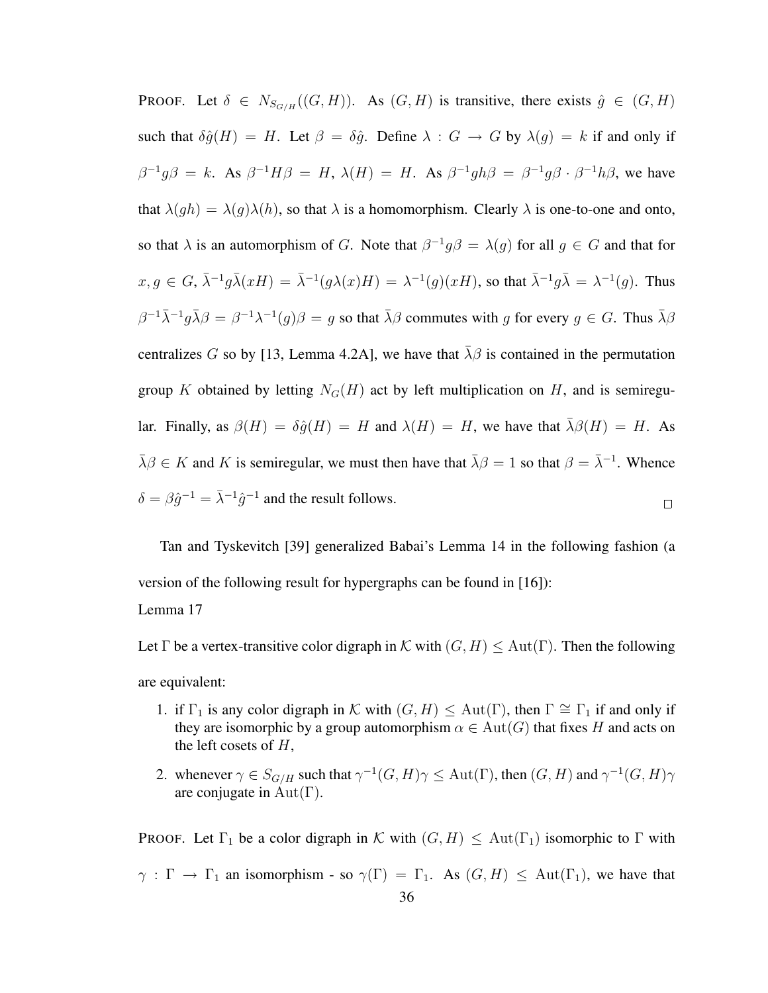**PROOF.** Let  $\delta \in N_{S_{G/H}}((G, H))$ . As  $(G, H)$  is transitive, there exists  $\hat{g} \in (G, H)$ such that  $\delta \hat{g}(H) = H$ . Let  $\beta = \delta \hat{g}$ . Define  $\lambda : G \to G$  by  $\lambda(g) = k$  if and only if  $\beta^{-1}g\beta = k$ . As  $\beta^{-1}H\beta = H$ ,  $\lambda(H) = H$ . As  $\beta^{-1}gh\beta = \beta^{-1}g\beta \cdot \beta^{-1}h\beta$ , we have that  $\lambda(gh) = \lambda(g)\lambda(h)$ , so that  $\lambda$  is a homomorphism. Clearly  $\lambda$  is one-to-one and onto, so that  $\lambda$  is an automorphism of G. Note that  $\beta^{-1}g\beta = \lambda(g)$  for all  $g \in G$  and that for  $x, g \in G$ ,  $\bar{\lambda}^{-1} g \bar{\lambda} (xH) = \bar{\lambda}^{-1} (g \lambda (x)H) = \lambda^{-1} (g) (xH)$ , so that  $\bar{\lambda}^{-1} g \bar{\lambda} = \lambda^{-1} (g)$ . Thus  $\beta^{-1}\bar{\lambda}^{-1}g\bar{\lambda}\beta = \beta^{-1}\lambda^{-1}(g)\beta = g$  so that  $\bar{\lambda}\beta$  commutes with g for every  $g \in G$ . Thus  $\bar{\lambda}\beta$ centralizes G so by [13, Lemma 4.2A], we have that  $\bar{\lambda}\beta$  is contained in the permutation group K obtained by letting  $N_G(H)$  act by left multiplication on H, and is semiregular. Finally, as  $\beta(H) = \delta \hat{g}(H) = H$  and  $\lambda(H) = H$ , we have that  $\lambda \beta(H) = H$ . As  $\bar{\lambda}\beta \in K$  and K is semiregular, we must then have that  $\bar{\lambda}\beta = 1$  so that  $\beta = \bar{\lambda}^{-1}$ . Whence  $\delta = \beta \hat{g}^{-1} = \overline{\lambda}^{-1} \hat{g}^{-1}$  and the result follows.  $\Box$ 

Tan and Tyskevitch [39] generalized Babai's Lemma 14 in the following fashion (a version of the following result for hypergraphs can be found in [16]):

Lemma 17

Let  $\Gamma$  be a vertex-transitive color digraph in K with  $(G, H) \leq Aut(\Gamma)$ . Then the following

are equivalent:

- 1. if  $\Gamma_1$  is any color digraph in K with  $(G, H) \leq \text{Aut}(\Gamma)$ , then  $\Gamma \cong \Gamma_1$  if and only if they are isomorphic by a group automorphism  $\alpha \in Aut(G)$  that fixes H and acts on the left cosets of  $H$ ,
- 2. whenever  $\gamma \in S_{G/H}$  such that  $\gamma^{-1}(G,H)\gamma \leq \text{Aut}(\Gamma)$ , then  $(G,H)$  and  $\gamma^{-1}(G,H)\gamma$ are conjugate in  $Aut(\Gamma)$ .

**PROOF.** Let  $\Gamma_1$  be a color digraph in K with  $(G, H) \leq \text{Aut}(\Gamma_1)$  isomorphic to  $\Gamma$  with  $\gamma : \Gamma \to \Gamma_1$  an isomorphism - so  $\gamma(\Gamma) = \Gamma_1$ . As  $(G, H) \leq \text{Aut}(\Gamma_1)$ , we have that 36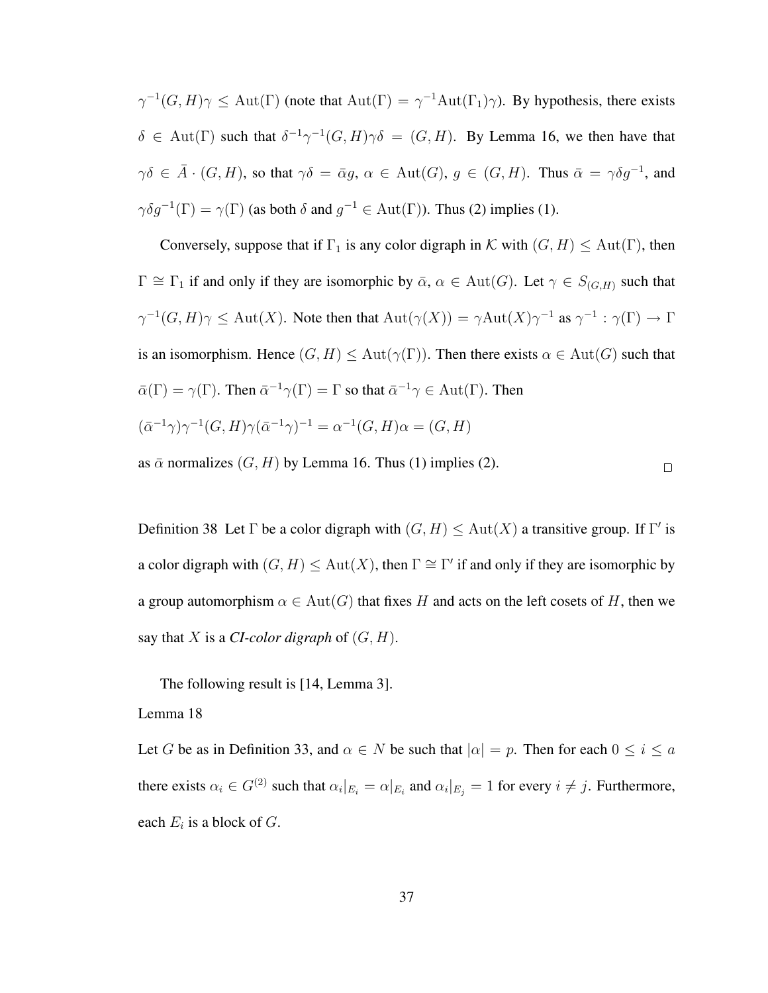$\gamma^{-1}(G, H)\gamma \leq \text{Aut}(\Gamma)$  (note that  $\text{Aut}(\Gamma) = \gamma^{-1}\text{Aut}(\Gamma_1)\gamma$ ). By hypothesis, there exists  $\delta \in$  Aut(Γ) such that  $\delta^{-1} \gamma^{-1}(G, H) \gamma \delta = (G, H)$ . By Lemma 16, we then have that  $\gamma\delta \in \overline{A} \cdot (G,H)$ , so that  $\gamma\delta = \overline{\alpha}g$ ,  $\alpha \in Aut(G)$ ,  $g \in (G,H)$ . Thus  $\overline{\alpha} = \gamma\delta g^{-1}$ , and  $\gamma \delta g^{-1}(\Gamma) = \gamma(\Gamma)$  (as both  $\delta$  and  $g^{-1} \in \text{Aut}(\Gamma)$ ). Thus (2) implies (1).

Conversely, suppose that if  $\Gamma_1$  is any color digraph in K with  $(G, H) \leq \text{Aut}(\Gamma)$ , then  $\Gamma \cong \Gamma_1$  if and only if they are isomorphic by  $\bar{\alpha}$ ,  $\alpha \in \text{Aut}(G)$ . Let  $\gamma \in S_{(G,H)}$  such that  $\gamma^{-1}(G, H)\gamma \leq \text{Aut}(X)$ . Note then that  $\text{Aut}(\gamma(X)) = \gamma \text{Aut}(X)\gamma^{-1}$  as  $\gamma^{-1} : \gamma(\Gamma) \to \Gamma$ is an isomorphism. Hence  $(G, H) \leq \text{Aut}(\gamma(\Gamma))$ . Then there exists  $\alpha \in \text{Aut}(G)$  such that  $\bar{\alpha}(\Gamma) = \gamma(\Gamma)$ . Then  $\bar{\alpha}^{-1}\gamma(\Gamma) = \Gamma$  so that  $\bar{\alpha}^{-1}\gamma \in \text{Aut}(\Gamma)$ . Then  $(\bar{\alpha}^{-1}\gamma)\gamma^{-1}(G,H)\gamma(\bar{\alpha}^{-1}\gamma)^{-1} = \alpha^{-1}(G,H)\alpha = (G,H)$ 

as  $\bar{\alpha}$  normalizes  $(G, H)$  by Lemma 16. Thus (1) implies (2).

 $\Box$ 

Definition 38 Let  $\Gamma$  be a color digraph with  $(G, H) \leq \text{Aut}(X)$  a transitive group. If  $\Gamma'$  is a color digraph with  $(G, H) \leq \text{Aut}(X)$ , then  $\Gamma \cong \Gamma'$  if and only if they are isomorphic by a group automorphism  $\alpha \in Aut(G)$  that fixes H and acts on the left cosets of H, then we say that  $X$  is a *CI-color digraph* of  $(G, H)$ .

The following result is [14, Lemma 3].

Lemma 18

Let G be as in Definition 33, and  $\alpha \in N$  be such that  $|\alpha| = p$ . Then for each  $0 \le i \le a$ there exists  $\alpha_i \in G^{(2)}$  such that  $\alpha_i|_{E_i} = \alpha|_{E_i}$  and  $\alpha_i|_{E_j} = 1$  for every  $i \neq j$ . Furthermore, each  $E_i$  is a block of  $G$ .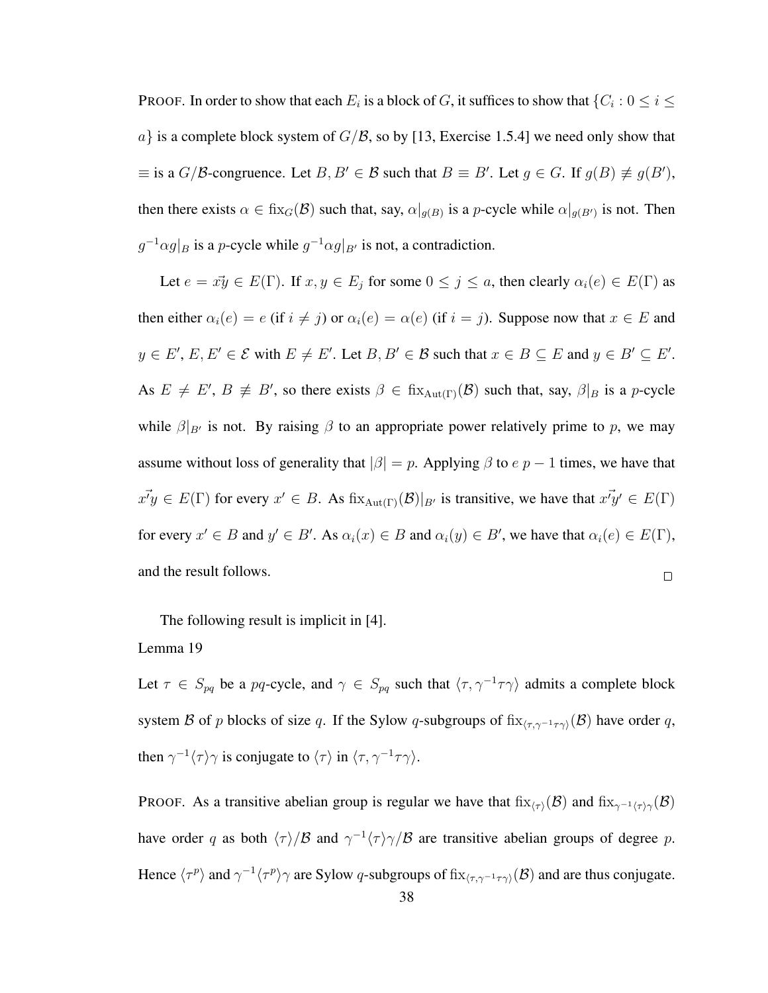PROOF. In order to show that each  $E_i$  is a block of  $G$ , it suffices to show that  $\{C_i: 0 \leq i \leq n\}$  $a$  is a complete block system of  $G/\mathcal{B}$ , so by [13, Exercise 1.5.4] we need only show that  $\equiv$  is a  $G/B$ -congruence. Let  $B, B' \in \mathcal{B}$  such that  $B \equiv B'$ . Let  $g \in G$ . If  $g(B) \not\equiv g(B')$ , then there exists  $\alpha \in \text{fix}_G(\mathcal{B})$  such that, say,  $\alpha|_{g(B)}$  is a p-cycle while  $\alpha|_{g(B')}$  is not. Then  $g^{-1} \alpha g|_B$  is a *p*-cycle while  $g^{-1} \alpha g|_{B'}$  is not, a contradiction.

Let  $e = x\overline{y} \in E(\Gamma)$ . If  $x, y \in E_j$  for some  $0 \le j \le a$ , then clearly  $\alpha_i(e) \in E(\Gamma)$  as then either  $\alpha_i(e) = e$  (if  $i \neq j$ ) or  $\alpha_i(e) = \alpha(e)$  (if  $i = j$ ). Suppose now that  $x \in E$  and  $y \in E'$ ,  $E, E' \in \mathcal{E}$  with  $E \neq E'$ . Let  $B, B' \in \mathcal{B}$  such that  $x \in B \subseteq E$  and  $y \in B' \subseteq E'$ . As  $E \neq E'$ ,  $B \not\equiv B'$ , so there exists  $\beta \in \text{fix}_{\text{Aut}(\Gamma)}(\mathcal{B})$  such that, say,  $\beta|_B$  is a p-cycle while  $\beta|_{B}$  is not. By raising  $\beta$  to an appropriate power relatively prime to p, we may assume without loss of generality that  $|\beta| = p$ . Applying  $\beta$  to  $e \, p - 1$  times, we have that  $x\vec{y} \in E(\Gamma)$  for every  $x' \in B$ . As  $\operatorname{fix}_{\operatorname{Aut}(\Gamma)}(\mathcal{B})|_{B'}$  is transitive, we have that  $x\vec{y}' \in E(\Gamma)$ for every  $x' \in B$  and  $y' \in B'$ . As  $\alpha_i(x) \in B$  and  $\alpha_i(y) \in B'$ , we have that  $\alpha_i(e) \in E(\Gamma)$ , and the result follows.  $\Box$ 

The following result is implicit in [4].

### Lemma 19

Let  $\tau \in S_{pq}$  be a pq-cycle, and  $\gamma \in S_{pq}$  such that  $\langle \tau, \gamma^{-1} \tau \gamma \rangle$  admits a complete block system B of p blocks of size q. If the Sylow q-subgroups of fix $\langle \tau, \gamma^{-1} \tau \gamma \rangle(\mathcal{B})$  have order q, then  $\gamma^{-1}\langle \tau \rangle \gamma$  is conjugate to  $\langle \tau \rangle$  in  $\langle \tau, \gamma^{-1}\tau \gamma \rangle$ .

PROOF. As a transitive abelian group is regular we have that  $fix_{(T)}(\mathcal{B})$  and  $fix_{\gamma^{-1}(T)}(\mathcal{B})$ have order q as both  $\langle \tau \rangle/B$  and  $\gamma^{-1} \langle \tau \rangle \gamma/B$  are transitive abelian groups of degree p. Hence  $\langle \tau^p \rangle$  and  $\gamma^{-1} \langle \tau^p \rangle \gamma$  are Sylow q-subgroups of  $fix_{\langle \tau, \gamma^{-1} \tau \gamma \rangle}(\mathcal{B})$  and are thus conjugate.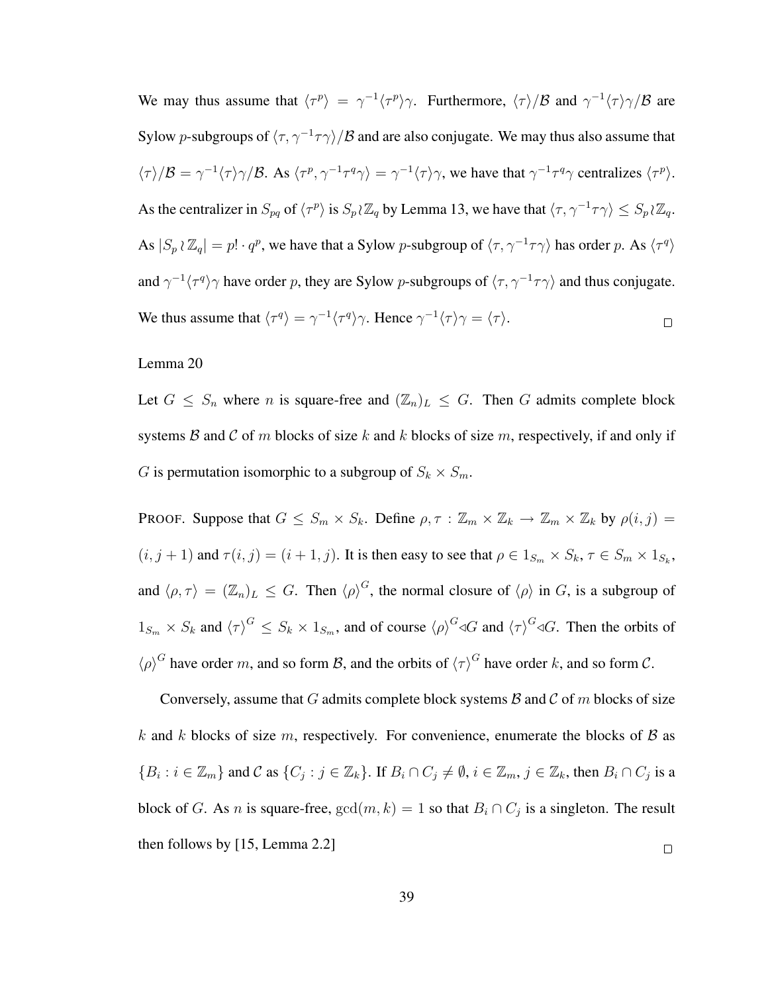We may thus assume that  $\langle \tau^p \rangle = \gamma^{-1} \langle \tau^p \rangle \gamma$ . Furthermore,  $\langle \tau \rangle / \beta$  and  $\gamma^{-1} \langle \tau \rangle \gamma / \beta$  are Sylow p-subgroups of  $\langle \tau, \gamma^{-1} \tau \gamma \rangle / \mathcal{B}$  and are also conjugate. We may thus also assume that  $\langle \tau \rangle/B = \gamma^{-1} \langle \tau \rangle \gamma/B$ . As  $\langle \tau^p, \gamma^{-1} \tau^q \gamma \rangle = \gamma^{-1} \langle \tau \rangle \gamma$ , we have that  $\gamma^{-1} \tau^q \gamma$  centralizes  $\langle \tau^p \rangle$ . As the centralizer in  $S_{pq}$  of  $\langle \tau^p \rangle$  is  $S_p \wr \mathbb{Z}_q$  by Lemma 13, we have that  $\langle \tau, \gamma^{-1} \tau \gamma \rangle \leq S_p \wr \mathbb{Z}_q$ . As  $|S_p \wr \mathbb{Z}_q| = p! \cdot q^p$ , we have that a Sylow p-subgroup of  $\langle \tau, \gamma^{-1} \tau \gamma \rangle$  has order p. As  $\langle \tau^q \rangle$ and  $\gamma^{-1}\langle \tau^q \rangle \gamma$  have order p, they are Sylow p-subgroups of  $\langle \tau, \gamma^{-1}\tau \gamma \rangle$  and thus conjugate. We thus assume that  $\langle \tau^q \rangle = \gamma^{-1} \langle \tau^q \rangle \gamma$ . Hence  $\gamma^{-1} \langle \tau \rangle \gamma = \langle \tau \rangle$ .  $\Box$ 

#### Lemma 20

Let  $G \leq S_n$  where *n* is square-free and  $(\mathbb{Z}_n)_L \leq G$ . Then *G* admits complete block systems B and C of m blocks of size k and k blocks of size m, respectively, if and only if G is permutation isomorphic to a subgroup of  $S_k \times S_m$ .

PROOF. Suppose that  $G \leq S_m \times S_k$ . Define  $\rho, \tau : \mathbb{Z}_m \times \mathbb{Z}_k \to \mathbb{Z}_m \times \mathbb{Z}_k$  by  $\rho(i, j) =$  $(i, j + 1)$  and  $\tau(i, j) = (i + 1, j)$ . It is then easy to see that  $\rho \in 1_{S_m} \times S_k$ ,  $\tau \in S_m \times 1_{S_k}$ , and  $\langle \rho, \tau \rangle = (\mathbb{Z}_n)_L \leq G$ . Then  $\langle \rho \rangle^G$ , the normal closure of  $\langle \rho \rangle$  in G, is a subgroup of  $1_{S_m} \times S_k$  and  $\langle \tau \rangle^G \leq S_k \times 1_{S_m}$ , and of course  $\langle \rho \rangle^G \triangleleft G$  and  $\langle \tau \rangle^G \triangleleft G$ . Then the orbits of  $\langle \rho \rangle^G$  have order m, and so form B, and the orbits of  $\langle \tau \rangle^G$  have order k, and so form C.

Conversely, assume that G admits complete block systems  $\beta$  and  $\beta$  of m blocks of size k and k blocks of size m, respectively. For convenience, enumerate the blocks of  $\beta$  as  $\{B_i : i \in \mathbb{Z}_m\}$  and C as  $\{C_j : j \in \mathbb{Z}_k\}$ . If  $B_i \cap C_j \neq \emptyset$ ,  $i \in \mathbb{Z}_m$ ,  $j \in \mathbb{Z}_k$ , then  $B_i \cap C_j$  is a block of G. As n is square-free,  $gcd(m, k) = 1$  so that  $B_i \cap C_j$  is a singleton. The result then follows by [15, Lemma 2.2]  $\Box$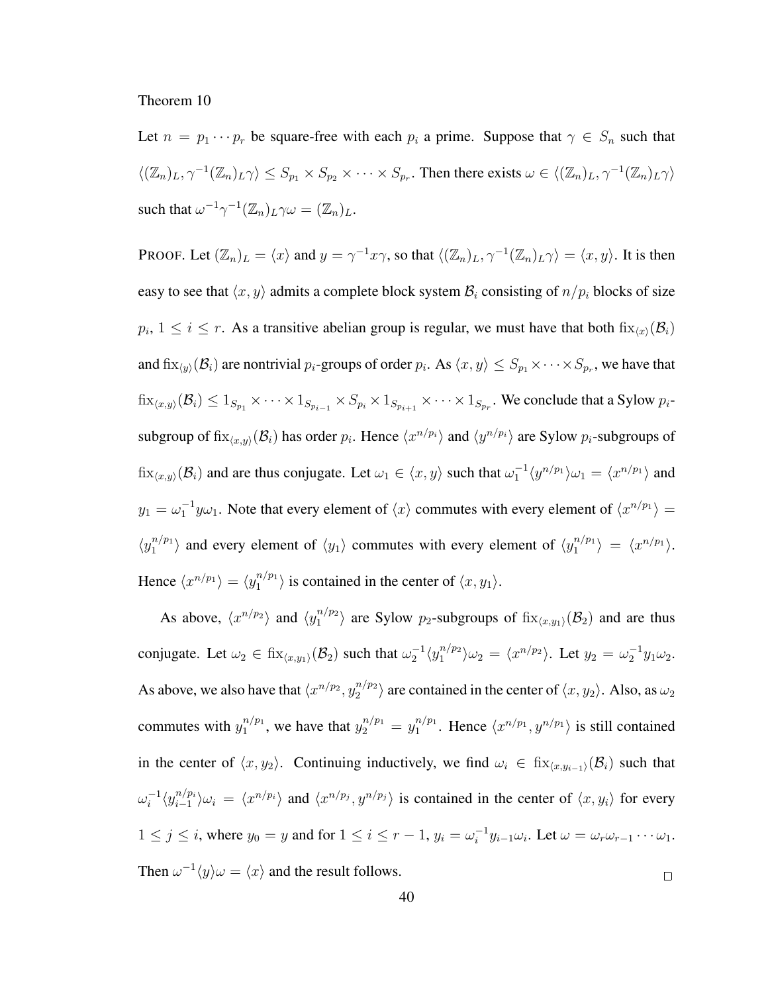#### Theorem 10

Let  $n = p_1 \cdots p_r$  be square-free with each  $p_i$  a prime. Suppose that  $\gamma \in S_n$  such that  $\langle (\mathbb{Z}_n)_L, \gamma^{-1}(\mathbb{Z}_n)_L \gamma \rangle \leq S_{p_1} \times S_{p_2} \times \cdots \times S_{p_r}$ . Then there exists  $\omega \in \langle (\mathbb{Z}_n)_L, \gamma^{-1}(\mathbb{Z}_n)_L \gamma \rangle$ such that  $\omega^{-1} \gamma^{-1} (\mathbb{Z}_n)_L \gamma \omega = (\mathbb{Z}_n)_L$ .

PROOF. Let  $(\mathbb{Z}_n)_L = \langle x \rangle$  and  $y = \gamma^{-1}x\gamma$ , so that  $\langle (\mathbb{Z}_n)_L, \gamma^{-1}(\mathbb{Z}_n)_L \gamma \rangle = \langle x, y \rangle$ . It is then easy to see that  $\langle x, y \rangle$  admits a complete block system  $\mathcal{B}_i$  consisting of  $n/p_i$  blocks of size  $p_i$ ,  $1 \leq i \leq r$ . As a transitive abelian group is regular, we must have that both  $\text{fix}_{\langle x \rangle}(\mathcal{B}_i)$ and  $\mathrm{fix}_{\langle y\rangle}(\mathcal{B}_i)$  are nontrivial  $p_i$ -groups of order  $p_i$ . As  $\langle x,y\rangle\leq S_{p_1}\times\cdots\times S_{p_r}$ , we have that  $\mathrm{fix}_{\langle x,y\rangle}(\mathcal{B}_i)\leq 1_{S_{p_1}}\times\cdots\times 1_{S_{p_{i-1}}}\times S_{p_i}\times 1_{S_{p_{i+1}}}\times\cdots\times 1_{S_{p_r}}.$  We conclude that a Sylow  $p_i$ subgroup of  $fix_{\langle x,y\rangle}(\mathcal{B}_i)$  has order  $p_i$ . Hence  $\langle x^{n/p_i}\rangle$  and  $\langle y^{n/p_i}\rangle$  are Sylow  $p_i$ -subgroups of  $\text{fix}_{\langle x,y \rangle}(\mathcal{B}_i)$  and are thus conjugate. Let  $\omega_1 \in \langle x, y \rangle$  such that  $\omega_1^{-1} \langle y^{n/p_1} \rangle \omega_1 = \langle x^{n/p_1} \rangle$  and  $y_1 = \omega_1^{-1} y \omega_1$ . Note that every element of  $\langle x \rangle$  commutes with every element of  $\langle x^{n/p_1} \rangle =$  $\langle y_1^{n/p_1}$  $\binom{n}{1}$  and every element of  $\langle y_1 \rangle$  commutes with every element of  $\langle y_1^{n/p_1} \rangle$  $\langle x^{n/p_1} \rangle = \langle x^{n/p_1} \rangle.$ Hence  $\langle x^{n/p_1} \rangle = \langle y_1^{n/p_1} \rangle$  $\binom{n}{1}$  is contained in the center of  $\langle x, y_1 \rangle$ .

As above,  $\langle x^{n/p_2} \rangle$  and  $\langle y_1^{n/p_2} \rangle$  $\binom{n}{1}$  are Sylow  $p_2$ -subgroups of  $fix_{\langle x,y_1\rangle}(\mathcal{B}_2)$  and are thus conjugate. Let  $\omega_2 \in \operatorname{fix}_{\langle x,y_1\rangle}(\mathcal{B}_2)$  such that  $\omega_2^{-1}\langle y_1^{n/p_2} \rangle$  $\langle n^{n/p_2} \rangle \omega_2 = \langle x^{n/p_2} \rangle$ . Let  $y_2 = \omega_2^{-1} y_1 \omega_2$ . As above, we also have that  $\langle x^{n/p_2}, y_2^{n/p_2} \rangle$  $\binom{n}{2}$  are contained in the center of  $\langle x, y_2 \rangle$ . Also, as  $\omega_2$ commutes with  $y_1^{n/p_1}$  $y_1^{n/p_1}$ , we have that  $y_2^{n/p_1} = y_1^{n/p_1}$  $n/p_1$ . Hence  $\langle x^{n/p_1}, y^{n/p_1} \rangle$  is still contained in the center of  $\langle x, y_2 \rangle$ . Continuing inductively, we find  $\omega_i \in \text{fix}_{\langle x, y_{i-1} \rangle}(\mathcal{B}_i)$  such that  $\sum_{i=1}^{n} \langle y_{i-1}^{n/p_i} \rangle$  $\omega_i^{-1}$  $\binom{n}{p_i} \omega_i = \langle x^{n/p_i} \rangle$  and  $\langle x^{n/p_j}, y^{n/p_j} \rangle$  is contained in the center of  $\langle x, y_i \rangle$  for every  $1 \leq j \leq i$ , where  $y_0 = y$  and for  $1 \leq i \leq r-1$ ,  $y_i = \omega_i^{-1}$  $i^{-1}y_{i-1}\omega_i$ . Let  $\omega = \omega_r\omega_{r-1}\cdots\omega_1$ . Then  $\omega^{-1}\langle y\rangle\omega = \langle x\rangle$  and the result follows.  $\Box$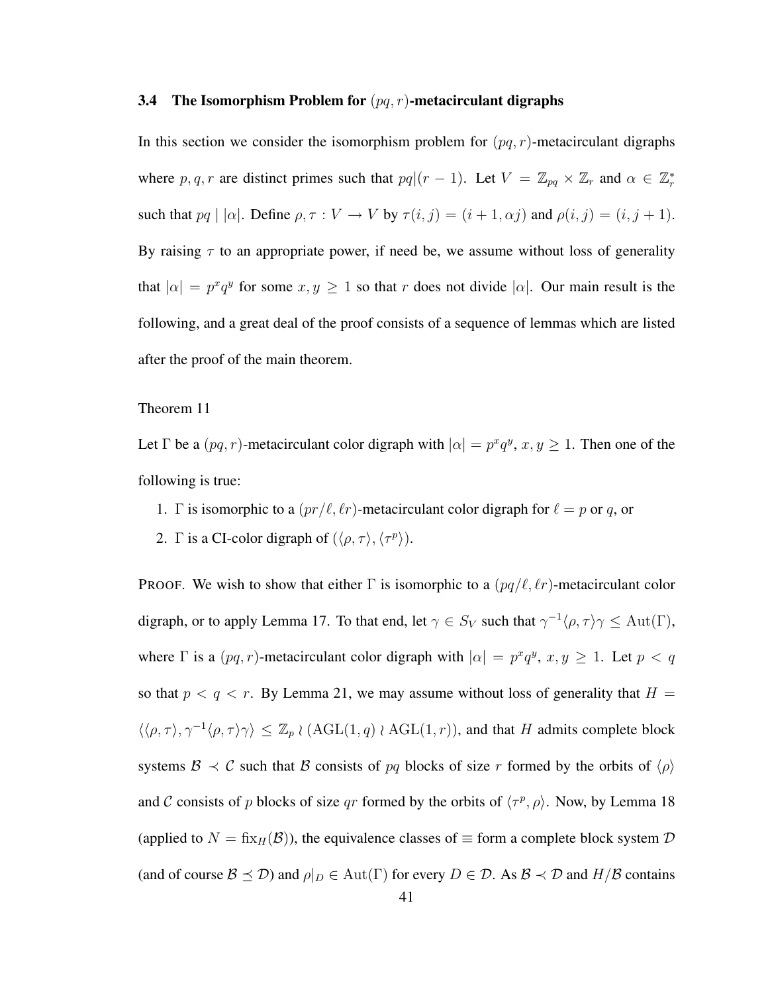#### 3.4 The Isomorphism Problem for  $(pq, r)$ -metacirculant digraphs

In this section we consider the isomorphism problem for  $(pq, r)$ -metacirculant digraphs where p, q, r are distinct primes such that  $pq|(r-1)$ . Let  $V = \mathbb{Z}_{pq} \times \mathbb{Z}_r$  and  $\alpha \in \mathbb{Z}_r^*$ such that  $pq \mid |\alpha|$ . Define  $\rho, \tau : V \to V$  by  $\tau(i, j) = (i + 1, \alpha j)$  and  $\rho(i, j) = (i, j + 1)$ . By raising  $\tau$  to an appropriate power, if need be, we assume without loss of generality that  $|\alpha| = p^x q^y$  for some  $x, y \ge 1$  so that r does not divide  $|\alpha|$ . Our main result is the following, and a great deal of the proof consists of a sequence of lemmas which are listed after the proof of the main theorem.

#### Theorem 11

Let  $\Gamma$  be a  $(pq, r)$ -metacirculant color digraph with  $|\alpha| = p^x q^y$ ,  $x, y \ge 1$ . Then one of the following is true:

- 1. Γ is isomorphic to a  $(pr/\ell, \ell r)$ -metacirculant color digraph for  $\ell = p$  or q, or
- 2. Γ is a CI-color digraph of  $(\langle \rho, \tau \rangle, \langle \tau^p \rangle)$ .

**PROOF.** We wish to show that either  $\Gamma$  is isomorphic to a  $(pq/\ell, \ell r)$ -metacirculant color digraph, or to apply Lemma 17. To that end, let  $\gamma \in S_V$  such that  $\gamma^{-1} \langle \rho, \tau \rangle \gamma \leq \text{Aut}(\Gamma)$ , where  $\Gamma$  is a  $(pq, r)$ -metacirculant color digraph with  $|\alpha| = p^x q^y$ ,  $x, y \ge 1$ . Let  $p < q$ so that  $p < q < r$ . By Lemma 21, we may assume without loss of generality that  $H =$  $\langle\langle \rho, \tau \rangle, \gamma^{-1} \langle \rho, \tau \rangle \gamma \rangle \leq \mathbb{Z}_p \wr (\text{AGL}(1,q) \wr \text{AGL}(1,r)),$  and that H admits complete block systems  $\mathcal{B} \prec \mathcal{C}$  such that  $\mathcal{B}$  consists of pq blocks of size r formed by the orbits of  $\langle \rho \rangle$ and C consists of p blocks of size qr formed by the orbits of  $\langle \tau^p, \rho \rangle$ . Now, by Lemma 18 (applied to  $N = f(x_H(\mathcal{B}))$ , the equivalence classes of  $\equiv$  form a complete block system  $\mathcal D$ (and of course  $\mathcal{B} \preceq \mathcal{D}$ ) and  $\rho|_D \in \text{Aut}(\Gamma)$  for every  $D \in \mathcal{D}$ . As  $\mathcal{B} \prec \mathcal{D}$  and  $H/\mathcal{B}$  contains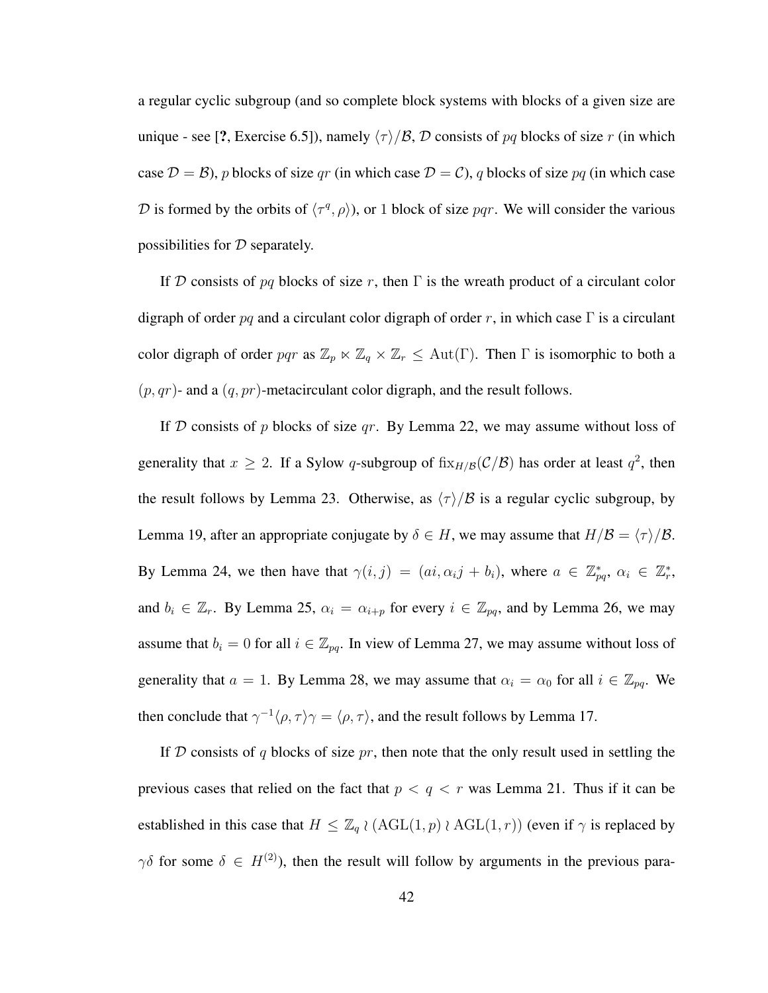a regular cyclic subgroup (and so complete block systems with blocks of a given size are unique - see [?, Exercise 6.5]), namely  $\langle \tau \rangle/B$ , D consists of pq blocks of size r (in which case  $\mathcal{D} = \mathcal{B}$ ), p blocks of size qr (in which case  $\mathcal{D} = \mathcal{C}$ ), q blocks of size pq (in which case D is formed by the orbits of  $\langle \tau^q, \rho \rangle$ , or 1 block of size pqr. We will consider the various possibilities for  $D$  separately.

If D consists of pq blocks of size r, then  $\Gamma$  is the wreath product of a circulant color digraph of order pq and a circulant color digraph of order r, in which case  $\Gamma$  is a circulant color digraph of order pqr as  $\mathbb{Z}_p \ltimes \mathbb{Z}_q \times \mathbb{Z}_r \leq \text{Aut}(\Gamma)$ . Then  $\Gamma$  is isomorphic to both a  $(p, qr)$ - and a  $(q, pr)$ -metacirculant color digraph, and the result follows.

If D consists of p blocks of size qr. By Lemma 22, we may assume without loss of generality that  $x \ge 2$ . If a Sylow q-subgroup of  $\text{fix}_{H/B}(\mathcal{C}/\mathcal{B})$  has order at least  $q^2$ , then the result follows by Lemma 23. Otherwise, as  $\langle \tau \rangle/B$  is a regular cyclic subgroup, by Lemma 19, after an appropriate conjugate by  $\delta \in H$ , we may assume that  $H/\mathcal{B} = \langle \tau \rangle/\mathcal{B}$ . By Lemma 24, we then have that  $\gamma(i, j) = (ai, \alpha_i j + b_i)$ , where  $a \in \mathbb{Z}_{pq}^*$ ,  $\alpha_i \in \mathbb{Z}_r^*$ , and  $b_i \in \mathbb{Z}_r$ . By Lemma 25,  $\alpha_i = \alpha_{i+p}$  for every  $i \in \mathbb{Z}_{pq}$ , and by Lemma 26, we may assume that  $b_i = 0$  for all  $i \in \mathbb{Z}_{pq}$ . In view of Lemma 27, we may assume without loss of generality that  $a = 1$ . By Lemma 28, we may assume that  $\alpha_i = \alpha_0$  for all  $i \in \mathbb{Z}_{pq}$ . We then conclude that  $\gamma^{-1} \langle \rho, \tau \rangle \gamma = \langle \rho, \tau \rangle$ , and the result follows by Lemma 17.

If D consists of q blocks of size pr, then note that the only result used in settling the previous cases that relied on the fact that  $p < q < r$  was Lemma 21. Thus if it can be established in this case that  $H \leq \mathbb{Z}_q \wr (\text{AGL}(1,p) \wr \text{AGL}(1,r))$  (even if  $\gamma$  is replaced by  $\gamma\delta$  for some  $\delta \in H^{(2)}$ , then the result will follow by arguments in the previous para-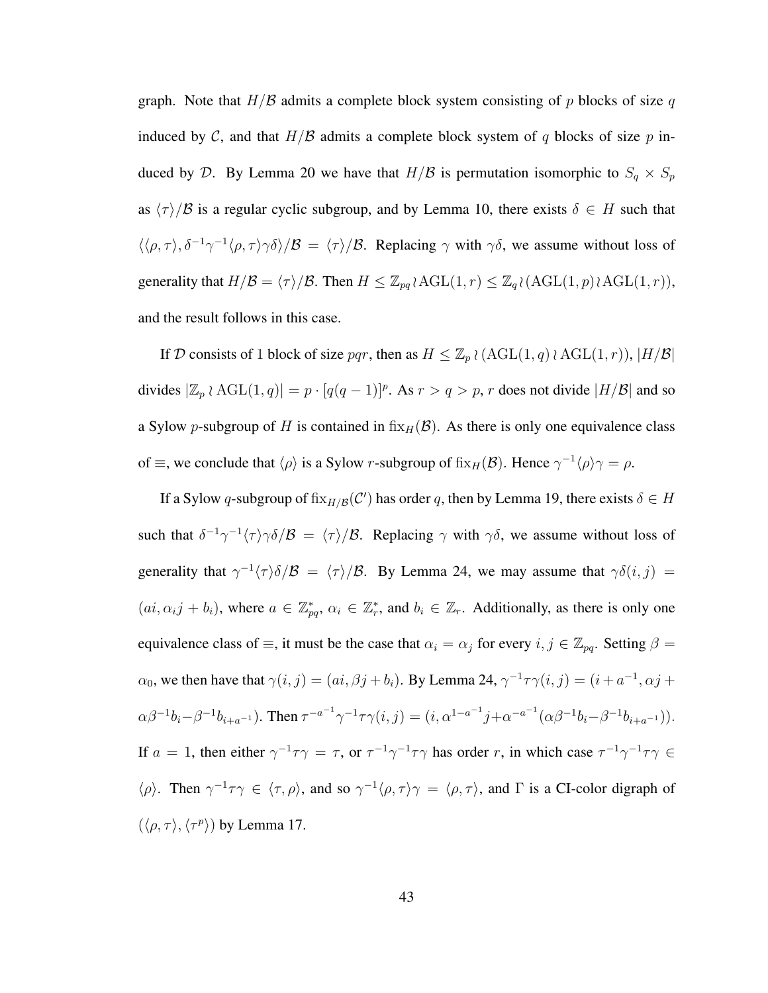graph. Note that  $H/B$  admits a complete block system consisting of p blocks of size q induced by C, and that  $H/B$  admits a complete block system of q blocks of size p induced by D. By Lemma 20 we have that  $H/B$  is permutation isomorphic to  $S_q \times S_p$ as  $\langle \tau \rangle/B$  is a regular cyclic subgroup, and by Lemma 10, there exists  $\delta \in H$  such that  $\langle\langle \rho, \tau \rangle, \delta^{-1} \gamma^{-1} \langle \rho, \tau \rangle \gamma \delta \rangle/B = \langle \tau \rangle/B$ . Replacing  $\gamma$  with  $\gamma \delta$ , we assume without loss of generality that  $H/\mathcal{B} = \langle \tau \rangle / \mathcal{B}$ . Then  $H \leq \mathbb{Z}_{pq} \wr \text{AGL}(1, r) \leq \mathbb{Z}_q \wr (\text{AGL}(1, p) \wr \text{AGL}(1, r)),$ and the result follows in this case.

If D consists of 1 block of size pqr, then as  $H \leq \mathbb{Z}_p \wr (\text{AGL}(1,q) \wr \text{AGL}(1,r)), |H/\mathcal{B}|$ divides  $|\mathbb{Z}_p \wr \text{AGL}(1,q)| = p \cdot [q(q-1)]^p$ . As  $r > q > p$ , r does not divide  $|H/\mathcal{B}|$  and so a Sylow p-subgroup of H is contained in  $fix_H(\mathcal{B})$ . As there is only one equivalence class of  $\equiv$ , we conclude that  $\langle \rho \rangle$  is a Sylow r-subgroup of fix $_H(\mathcal{B})$ . Hence  $\gamma^{-1} \langle \rho \rangle \gamma = \rho$ .

If a Sylow q-subgroup of  $fix_{H/B}(\mathcal{C}')$  has order q, then by Lemma 19, there exists  $\delta \in H$ such that  $\delta^{-1}\gamma^{-1}\langle\tau\rangle\gamma\delta/\mathcal{B} = \langle\tau\rangle/\mathcal{B}$ . Replacing  $\gamma$  with  $\gamma\delta$ , we assume without loss of generality that  $\gamma^{-1}\langle \tau \rangle \delta/\mathcal{B} = \langle \tau \rangle/\mathcal{B}$ . By Lemma 24, we may assume that  $\gamma \delta(i, j) =$  $(ai, \alpha_i j + b_i)$ , where  $a \in \mathbb{Z}_{pq}^*$ ,  $\alpha_i \in \mathbb{Z}_r^*$ , and  $b_i \in \mathbb{Z}_r$ . Additionally, as there is only one equivalence class of  $\equiv$ , it must be the case that  $\alpha_i = \alpha_j$  for every  $i, j \in \mathbb{Z}_{pq}$ . Setting  $\beta =$  $\alpha_0$ , we then have that  $\gamma(i, j) = (ai, \beta j + b_i)$ . By Lemma 24,  $\gamma^{-1} \tau \gamma(i, j) = (i + a^{-1}, \alpha j + b_i)$  $\alpha \beta^{-1} b_i - \beta^{-1} b_{i+a^{-1}}$ ). Then  $\tau^{-a^{-1}} \gamma^{-1} \tau \gamma(i, j) = (i, \alpha^{1-a^{-1}} j + \alpha^{-a^{-1}} (\alpha \beta^{-1} b_i - \beta^{-1} b_{i+a^{-1}}))$ . If  $a = 1$ , then either  $\gamma^{-1}\tau\gamma = \tau$ , or  $\tau^{-1}\gamma^{-1}\tau\gamma$  has order r, in which case  $\tau^{-1}\gamma^{-1}\tau\gamma \in$  $\langle \rho \rangle$ . Then  $\gamma^{-1}\tau\gamma \in \langle \tau, \rho \rangle$ , and so  $\gamma^{-1}\langle \rho, \tau \rangle$  =  $\langle \rho, \tau \rangle$ , and  $\Gamma$  is a CI-color digraph of  $(\langle \rho, \tau \rangle, \langle \tau^p \rangle)$  by Lemma 17.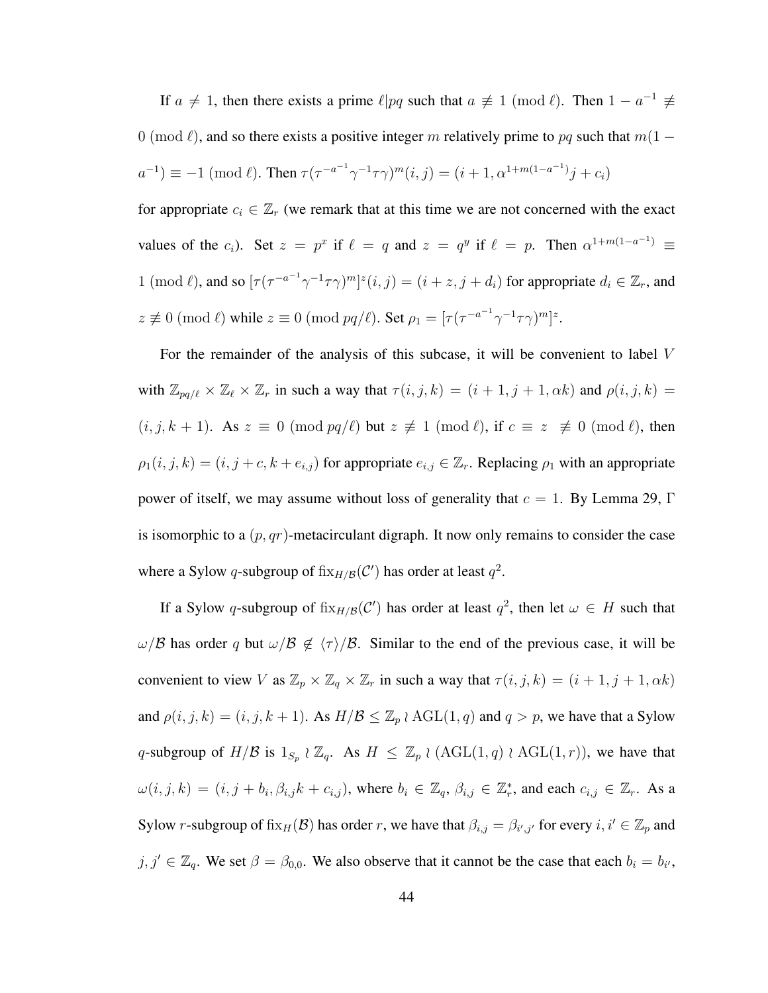If  $a \neq 1$ , then there exists a prime  $\ell | pq$  such that  $a \not\equiv 1 \pmod{\ell}$ . Then  $1 - a^{-1} \not\equiv$ 0 (mod  $\ell$ ), and so there exists a positive integer m relatively prime to pq such that  $m(1 - \ell)$  $a^{-1}$ )  $\equiv -1 \pmod{\ell}$ . Then  $\tau(\tau^{-a^{-1}} \gamma^{-1} \tau \gamma)^m(i, j) = (i + 1, \alpha^{1+m(1-a^{-1})} j + c_i)$ 

for appropriate  $c_i \in \mathbb{Z}_r$  (we remark that at this time we are not concerned with the exact values of the  $c_i$ ). Set  $z = p^x$  if  $\ell = q$  and  $z = q^y$  if  $\ell = p$ . Then  $\alpha^{1+m(1-a^{-1})} \equiv$ 1 (mod  $\ell$ ), and so  $[\tau (\tau^{-a^{-1}} \gamma^{-1} \tau \gamma)^m]^z (i, j) = (i + z, j + d_i)$  for appropriate  $d_i \in \mathbb{Z}_r$ , and  $z \not\equiv 0 \pmod{\ell}$  while  $z \equiv 0 \pmod{pq/\ell}$ . Set  $\rho_1 = [\tau (\tau^{-a^{-1}} \gamma^{-1} \tau \gamma)^m]^z$ .

For the remainder of the analysis of this subcase, it will be convenient to label V with  $\mathbb{Z}_{pq/\ell} \times \mathbb{Z}_\ell \times \mathbb{Z}_r$  in such a way that  $\tau(i, j, k) = (i + 1, j + 1, \alpha k)$  and  $\rho(i, j, k) =$  $(i, j, k + 1)$ . As  $z \equiv 0 \pmod{pq/\ell}$  but  $z \not\equiv 1 \pmod{\ell}$ , if  $c \equiv z \not\equiv 0 \pmod{\ell}$ , then  $\rho_1(i, j, k) = (i, j + c, k + e_{i,j})$  for appropriate  $e_{i,j} \in \mathbb{Z}_r$ . Replacing  $\rho_1$  with an appropriate power of itself, we may assume without loss of generality that  $c = 1$ . By Lemma 29, Γ is isomorphic to a  $(p, qr)$ -metacirculant digraph. It now only remains to consider the case where a Sylow q-subgroup of  $fix_{H/B}(\mathcal{C}')$  has order at least  $q^2$ .

If a Sylow q-subgroup of  $fix_{H/B}(\mathcal{C}')$  has order at least  $q^2$ , then let  $\omega \in H$  such that  $ω$ /B has order q but  $ω$ /B  $\notin$   $\langle τ \rangle$ /B. Similar to the end of the previous case, it will be convenient to view V as  $\mathbb{Z}_p \times \mathbb{Z}_q \times \mathbb{Z}_r$  in such a way that  $\tau(i, j, k) = (i + 1, j + 1, \alpha k)$ and  $\rho(i, j, k) = (i, j, k + 1)$ . As  $H/B \leq \mathbb{Z}_p \wr \text{AGL}(1, q)$  and  $q > p$ , we have that a Sylow q-subgroup of  $H/B$  is  $1_{S_p} \wr \mathbb{Z}_q$ . As  $H \leq \mathbb{Z}_p \wr (\text{AGL}(1,q) \wr \text{AGL}(1,r))$ , we have that  $\omega(i, j, k) = (i, j + b_i, \beta_{i,j}k + c_{i,j})$ , where  $b_i \in \mathbb{Z}_q$ ,  $\beta_{i,j} \in \mathbb{Z}_r^*$ , and each  $c_{i,j} \in \mathbb{Z}_r$ . As a Sylow r-subgroup of  $fix_H(\mathcal{B})$  has order r, we have that  $\beta_{i,j} = \beta_{i',j'}$  for every  $i, i' \in \mathbb{Z}_p$  and  $j, j' \in \mathbb{Z}_q$ . We set  $\beta = \beta_{0,0}$ . We also observe that it cannot be the case that each  $b_i = b_{i'}$ ,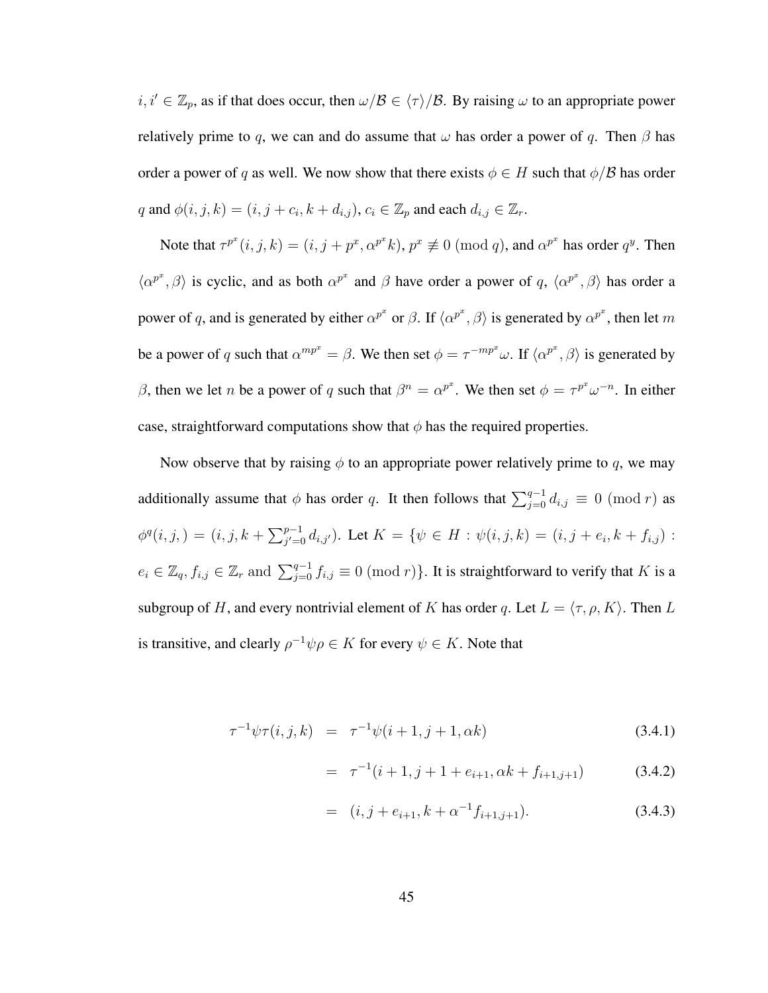$i, i' \in \mathbb{Z}_p$ , as if that does occur, then  $\omega/B \in \langle \tau \rangle/B$ . By raising  $\omega$  to an appropriate power relatively prime to q, we can and do assume that  $\omega$  has order a power of q. Then  $\beta$  has order a power of q as well. We now show that there exists  $\phi \in H$  such that  $\phi/B$  has order q and  $\phi(i, j, k) = (i, j + c_i, k + d_{i,j})$ ,  $c_i \in \mathbb{Z}_p$  and each  $d_{i,j} \in \mathbb{Z}_r$ .

Note that  $\tau^{p^x}(i, j, k) = (i, j + p^x, \alpha^{p^x} k)$ ,  $p^x \not\equiv 0 \pmod{q}$ , and  $\alpha^{p^x}$  has order  $q^y$ . Then  $\langle \alpha^{p^x}, \beta \rangle$  is cyclic, and as both  $\alpha^{p^x}$  and  $\beta$  have order a power of q,  $\langle \alpha^{p^x}, \beta \rangle$  has order a power of q, and is generated by either  $\alpha^{p^x}$  or  $\beta$ . If  $\langle \alpha^{p^x}, \beta \rangle$  is generated by  $\alpha^{p^x}$ , then let m be a power of q such that  $\alpha^{mp^x} = \beta$ . We then set  $\phi = \tau^{-mp^x}\omega$ . If  $\langle \alpha^{p^x}, \beta \rangle$  is generated by β, then we let *n* be a power of q such that  $\beta^n = \alpha^{p^x}$ . We then set  $\phi = \tau^{p^x} \omega^{-n}$ . In either case, straightforward computations show that  $\phi$  has the required properties.

Now observe that by raising  $\phi$  to an appropriate power relatively prime to q, we may additionally assume that  $\phi$  has order q. It then follows that  $\sum_{j=0}^{q-1} d_{i,j} \equiv 0 \pmod{r}$  as  $\phi^q(i,j) = (i, j, k + \sum_{j'=0}^{p-1} d_{i,j'})$ . Let  $K = \{ \psi \in H : \psi(i,j,k) = (i, j + e_i, k + f_{i,j})$ :  $e_i \in \mathbb{Z}_q$ ,  $f_{i,j} \in \mathbb{Z}_r$  and  $\sum_{j=0}^{q-1} f_{i,j} \equiv 0 \pmod{r}$ . It is straightforward to verify that K is a subgroup of H, and every nontrivial element of K has order q. Let  $L = \langle \tau, \rho, K \rangle$ . Then L is transitive, and clearly  $\rho^{-1}\psi\rho \in K$  for every  $\psi \in K$ . Note that

$$
\tau^{-1}\psi\tau(i,j,k) = \tau^{-1}\psi(i+1,j+1,\alpha k)
$$
\n(3.4.1)

$$
= \tau^{-1}(i+1, j+1+e_{i+1}, \alpha k + f_{i+1,j+1}) \tag{3.4.2}
$$

$$
= (i, j + e_{i+1}, k + \alpha^{-1} f_{i+1, j+1}). \tag{3.4.3}
$$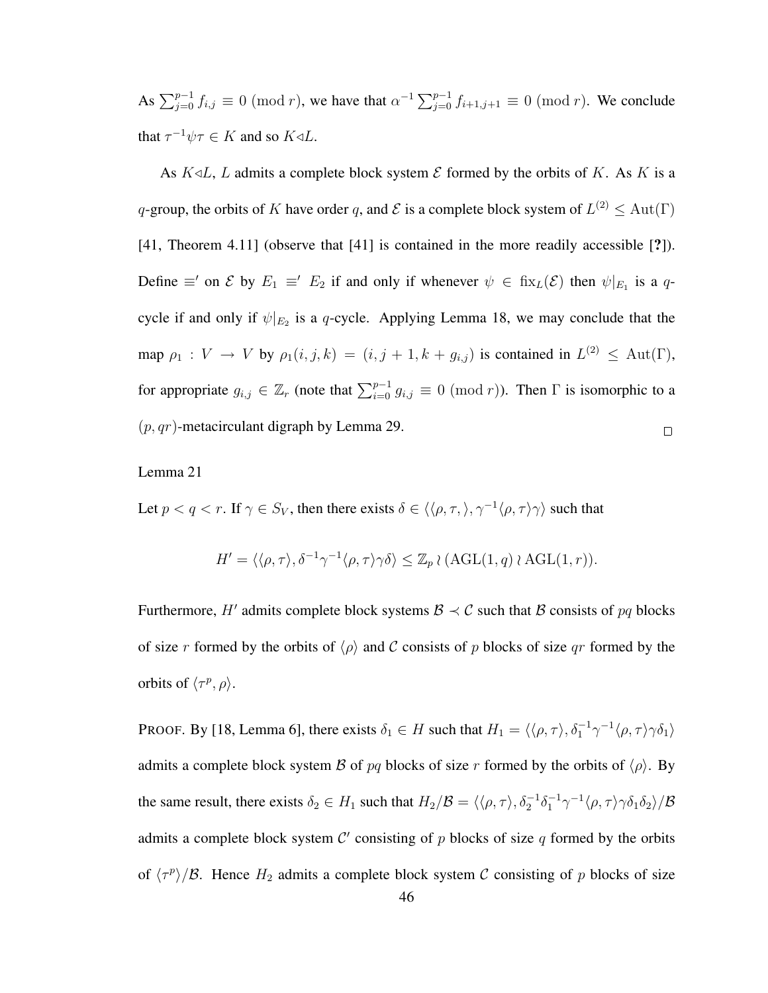As  $\sum_{j=0}^{p-1} f_{i,j} \equiv 0 \pmod{r}$ , we have that  $\alpha^{-1} \sum_{j=0}^{p-1} f_{i+1,j+1} \equiv 0 \pmod{r}$ . We conclude that  $\tau^{-1}\psi\tau \in K$  and so  $K \triangleleft L$ .

As  $K \triangleleft L$ , L admits a complete block system  $\mathcal E$  formed by the orbits of K. As K is a q-group, the orbits of K have order q, and  $\mathcal E$  is a complete block system of  $L^{(2)} \leq \text{Aut}(\Gamma)$ [41, Theorem 4.11] (observe that [41] is contained in the more readily accessible [?]). Define  $\equiv'$  on  $\mathcal E$  by  $E_1 \equiv' E_2$  if and only if whenever  $\psi \in \text{fix}_L(\mathcal E)$  then  $\psi|_{E_1}$  is a qcycle if and only if  $\psi|_{E_2}$  is a q-cycle. Applying Lemma 18, we may conclude that the map  $\rho_1: V \to V$  by  $\rho_1(i, j, k) = (i, j + 1, k + g_{i,j})$  is contained in  $L^{(2)} \leq \text{Aut}(\Gamma)$ , for appropriate  $g_{i,j} \in \mathbb{Z}_r$  (note that  $\sum_{i=0}^{p-1} g_{i,j} \equiv 0 \pmod{r}$ ). Then  $\Gamma$  is isomorphic to a  $(p, qr)$ -metacirculant digraph by Lemma 29.  $\Box$ 

#### Lemma 21

Let  $p < q < r$ . If  $\gamma \in S_V$ , then there exists  $\delta \in \langle \langle \rho, \tau, \rangle, \gamma^{-1} \langle \rho, \tau \rangle \gamma \rangle$  such that

$$
H' = \langle \langle \rho, \tau \rangle, \delta^{-1} \gamma^{-1} \langle \rho, \tau \rangle \gamma \delta \rangle \leq \mathbb{Z}_p \wr (\text{AGL}(1, q) \wr \text{AGL}(1, r)).
$$

Furthermore, H' admits complete block systems  $\mathcal{B} \prec \mathcal{C}$  such that  $\mathcal{B}$  consists of  $pq$  blocks of size r formed by the orbits of  $\langle \rho \rangle$  and C consists of p blocks of size qr formed by the orbits of  $\langle \tau^p, \rho \rangle$ .

PROOF. By [18, Lemma 6], there exists  $\delta_1 \in H$  such that  $H_1 = \langle \langle \rho, \tau \rangle, \delta_1^{-1} \gamma^{-1} \langle \rho, \tau \rangle \gamma \delta_1 \rangle$ admits a complete block system B of pq blocks of size r formed by the orbits of  $\langle \rho \rangle$ . By the same result, there exists  $\delta_2 \in H_1$  such that  $H_2/B = \langle \langle \rho, \tau \rangle, \delta_2^{-1} \delta_1^{-1} \gamma^{-1} \langle \rho, \tau \rangle \gamma \delta_1 \delta_2 \rangle/B$ admits a complete block system  $\mathcal{C}'$  consisting of p blocks of size q formed by the orbits of  $\langle \tau^p \rangle / \mathcal{B}$ . Hence  $H_2$  admits a complete block system C consisting of p blocks of size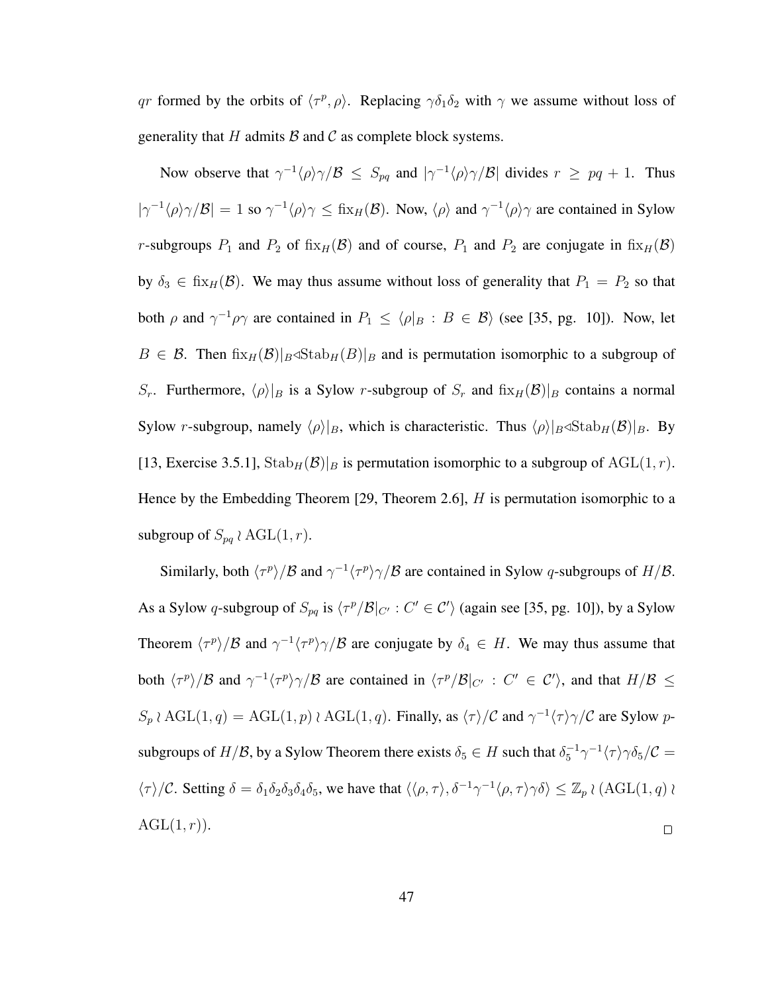qr formed by the orbits of  $\langle \tau^p, \rho \rangle$ . Replacing  $\gamma \delta_1 \delta_2$  with  $\gamma$  we assume without loss of generality that H admits  $\beta$  and C as complete block systems.

Now observe that  $\gamma^{-1} \langle \rho \rangle \gamma / \mathcal{B} \leq S_{pq}$  and  $|\gamma^{-1} \langle \rho \rangle \gamma / \mathcal{B}|$  divides  $r \geq pq+1$ . Thus  $|\gamma^{-1}\langle \rho \rangle \gamma/\beta| = 1$  so  $\gamma^{-1}\langle \rho \rangle \gamma \leq f(x)$ . Now,  $\langle \rho \rangle$  and  $\gamma^{-1}\langle \rho \rangle \gamma$  are contained in Sylow r-subgroups  $P_1$  and  $P_2$  of fix $_H(\mathcal{B})$  and of course,  $P_1$  and  $P_2$  are conjugate in fix $_H(\mathcal{B})$ by  $\delta_3 \in \text{fix}_{H}(\mathcal{B})$ . We may thus assume without loss of generality that  $P_1 = P_2$  so that both  $\rho$  and  $\gamma^{-1}\rho\gamma$  are contained in  $P_1 \leq \langle \rho|_B : B \in \mathcal{B} \rangle$  (see [35, pg. 10]). Now, let  $B \in \mathcal{B}$ . Then  $\operatorname{fix}_{H}(\mathcal{B})|_{B} \triangleleft \operatorname{Stab}_{H}(B)|_{B}$  and is permutation isomorphic to a subgroup of  $S_r$ . Furthermore,  $\langle \rho \rangle|_B$  is a Sylow r-subgroup of  $S_r$  and  $\lim_{H \to \infty} \mathcal{B}(|B|)$  contains a normal Sylow r-subgroup, namely  $\langle \rho \rangle|_B$ , which is characteristic. Thus  $\langle \rho \rangle|_B \triangleleft \text{Stab}_H(\mathcal{B})|_B$ . By [13, Exercise 3.5.1],  $\text{Stab}_H(\mathcal{B})|_B$  is permutation isomorphic to a subgroup of  $\text{AGL}(1, r)$ . Hence by the Embedding Theorem [29, Theorem 2.6],  $H$  is permutation isomorphic to a subgroup of  $S_{pq} \wr \text{AGL}(1,r)$ .

Similarly, both  $\langle \tau^p \rangle / \mathcal{B}$  and  $\gamma^{-1} \langle \tau^p \rangle \gamma / \mathcal{B}$  are contained in Sylow q-subgroups of  $H/\mathcal{B}$ . As a Sylow q-subgroup of  $S_{pq}$  is  $\langle \tau^p/B|_{C'} : C' \in C' \rangle$  (again see [35, pg. 10]), by a Sylow Theorem  $\langle \tau^p \rangle/B$  and  $\gamma^{-1} \langle \tau^p \rangle \gamma/B$  are conjugate by  $\delta_4 \in H$ . We may thus assume that both  $\langle \tau^p \rangle/B$  and  $\gamma^{-1} \langle \tau^p \rangle \gamma/B$  are contained in  $\langle \tau^p/B|_{C'} : C' \in C' \rangle$ , and that  $H/B \le$  $S_p \wr \text{AGL}(1,q) = \text{AGL}(1,p) \wr \text{AGL}(1,q)$ . Finally, as  $\langle \tau \rangle / C$  and  $\gamma^{-1} \langle \tau \rangle \gamma / C$  are Sylow psubgroups of  $H/B$ , by a Sylow Theorem there exists  $\delta_5 \in H$  such that  $\delta_5^{-1} \gamma^{-1} \langle \tau \rangle \gamma \delta_5 / C =$  $\langle \tau \rangle / C$ . Setting  $\delta = \delta_1 \delta_2 \delta_3 \delta_4 \delta_5$ , we have that  $\langle \langle \rho, \tau \rangle, \delta^{-1} \gamma^{-1} \langle \rho, \tau \rangle \gamma \delta \rangle \leq \mathbb{Z}_p \wr (\text{AGL}(1, q) \wr \text{G})$  $AGL(1,r)$ .  $\Box$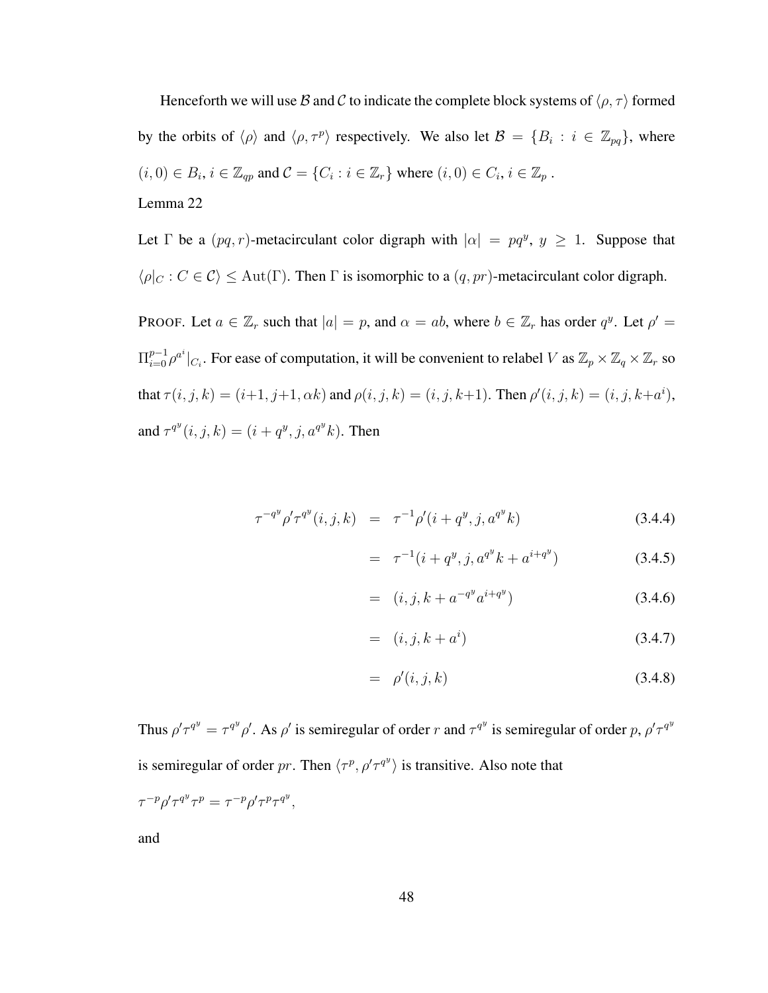Henceforth we will use B and C to indicate the complete block systems of  $\langle \rho, \tau \rangle$  formed by the orbits of  $\langle \rho \rangle$  and  $\langle \rho, \tau^p \rangle$  respectively. We also let  $\mathcal{B} = \{B_i : i \in \mathbb{Z}_{pq}\}\$ , where  $(i,0) \in B_i$ ,  $i \in \mathbb{Z}_{qp}$  and  $\mathcal{C} = \{C_i : i \in \mathbb{Z}_r\}$  where  $(i,0) \in C_i$ ,  $i \in \mathbb{Z}_p$ . Lemma 22

Let  $\Gamma$  be a  $(pq, r)$ -metacirculant color digraph with  $|\alpha| = pq^y$ ,  $y \ge 1$ . Suppose that  $\langle \rho|_C : C \in \mathcal{C} \rangle \leq \text{Aut}(\Gamma)$ . Then  $\Gamma$  is isomorphic to a  $(q, pr)$ -metacirculant color digraph.

PROOF. Let  $a \in \mathbb{Z}_r$  such that  $|a| = p$ , and  $\alpha = ab$ , where  $b \in \mathbb{Z}_r$  has order  $q^y$ . Let  $\rho' =$  $\Pi_{i=0}^{p-1}\rho^{a^i}|_{C_i}$ . For ease of computation, it will be convenient to relabel V as  $\mathbb{Z}_p\times\mathbb{Z}_q\times\mathbb{Z}_r$  so that  $\tau(i, j, k) = (i+1, j+1, \alpha k)$  and  $\rho(i, j, k) = (i, j, k+1)$ . Then  $\rho'(i, j, k) = (i, j, k+a^i)$ , and  $\tau^{q^y}(i, j, k) = (i + q^y, j, a^{q^y}k)$ . Then

$$
\tau^{-q^y} \rho' \tau^{q^y}(i, j, k) = \tau^{-1} \rho'(i + q^y, j, a^{q^y} k)
$$
\n(3.4.4)

$$
= \tau^{-1}(i + q^y, j, a^{q^y}k + a^{i+q^y}) \tag{3.4.5}
$$

$$
= (i, j, k + a^{-q^{y}} a^{i+q^{y}})
$$
\n(3.4.6)

$$
= (i, j, k + ai) \t\t(3.4.7)
$$

$$
= \rho'(i,j,k) \tag{3.4.8}
$$

Thus  $\rho' \tau^{q} = \tau^{q} \rho'$ . As  $\rho'$  is semiregular of order r and  $\tau^{q}$  is semiregular of order p,  $\rho' \tau^{q}$ is semiregular of order pr. Then  $\langle \tau^p, \rho' \tau^{q} \rangle$  is transitive. Also note that  $\tau^{-p}\rho'\tau^{q^y}\tau^p = \tau^{-p}\rho'\tau^p\tau^{q^y},$ 

and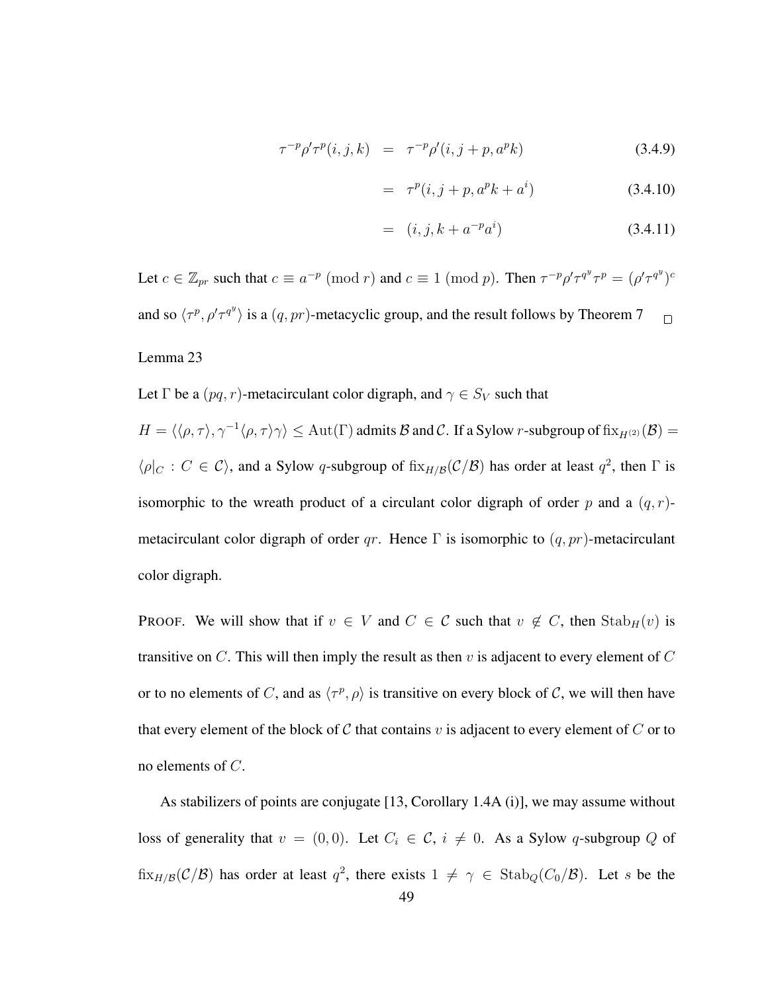$$
\tau^{-p}\rho'\tau^p(i,j,k) = \tau^{-p}\rho'(i,j+p,a^pk)
$$
\n(3.4.9)

$$
= \tau^p(i, j + p, a^p k + a^i) \tag{3.4.10}
$$

$$
= (i, j, k + a^{-p} a^{i}) \tag{3.4.11}
$$

Let  $c \in \mathbb{Z}_{pr}$  such that  $c \equiv a^{-p} \pmod{r}$  and  $c \equiv 1 \pmod{p}$ . Then  $\tau^{-p} \rho' \tau^{q^y} \tau^p = (\rho' \tau^{q^y})^{c}$ and so  $\langle \tau^p, \rho' \tau^{q} \rangle$  is a  $(q, pr)$ -metacyclic group, and the result follows by Theorem 7  $\Box$ 

## Lemma 23

Let  $\Gamma$  be a  $(pq, r)$ -metacirculant color digraph, and  $\gamma \in S_V$  such that

 $H = \langle \langle \rho, \tau \rangle, \gamma^{-1} \langle \rho, \tau \rangle \gamma \rangle \le \text{Aut}(\Gamma)$  admits  $\mathcal B$  and  $\mathcal C$ . If a Sylow r-subgroup of  $\text{fix}_{H^{(2)}}(\mathcal B) =$  $\langle \rho |_{C} : C \in C \rangle$ , and a Sylow q-subgroup of  $fix_{H/B}(\mathcal{C}/\mathcal{B})$  has order at least  $q^2$ , then  $\Gamma$  is isomorphic to the wreath product of a circulant color digraph of order p and a  $(q, r)$ metacirculant color digraph of order qr. Hence  $\Gamma$  is isomorphic to  $(q, pr)$ -metacirculant color digraph.

PROOF. We will show that if  $v \in V$  and  $C \in \mathcal{C}$  such that  $v \notin C$ , then  $\text{Stab}_H(v)$  is transitive on C. This will then imply the result as then v is adjacent to every element of C or to no elements of C, and as  $\langle \tau^p, \rho \rangle$  is transitive on every block of C, we will then have that every element of the block of C that contains v is adjacent to every element of C or to no elements of C.

As stabilizers of points are conjugate [13, Corollary 1.4A (i)], we may assume without loss of generality that  $v = (0, 0)$ . Let  $C_i \in \mathcal{C}$ ,  $i \neq 0$ . As a Sylow q-subgroup Q of  $\text{fix}_{H/B}(\mathcal{C}/\mathcal{B})$  has order at least  $q^2$ , there exists  $1 \neq \gamma \in \text{Stab}_Q(C_0/\mathcal{B})$ . Let s be the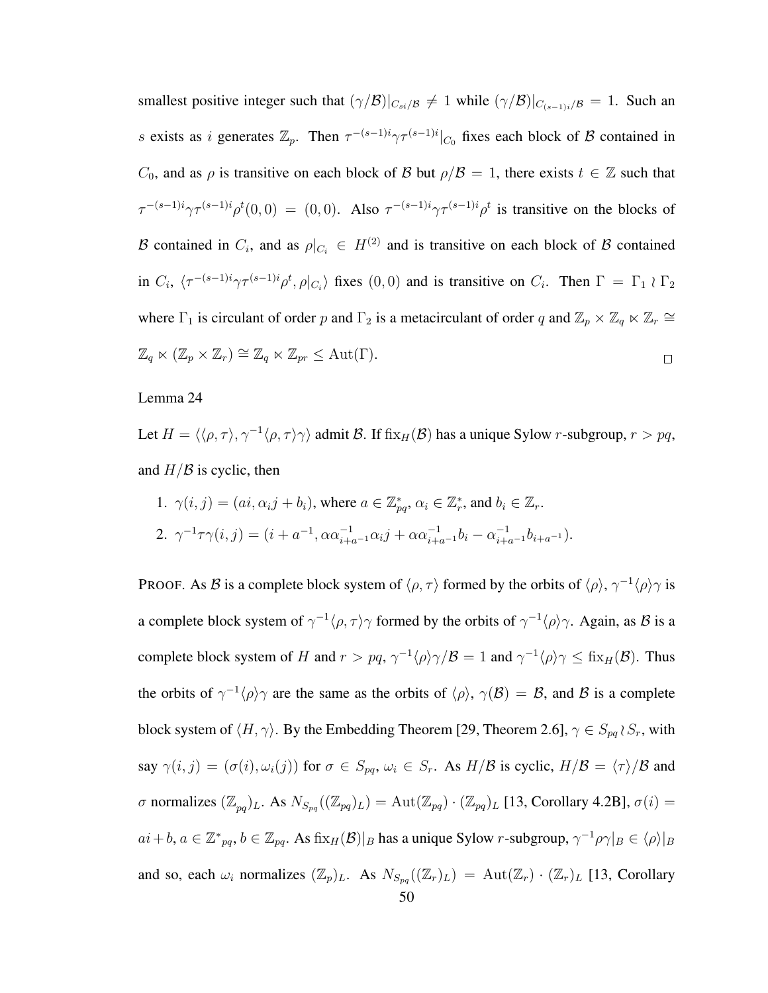smallest positive integer such that  $(\gamma/B)|_{C_{si}/\mathcal{B}} \neq 1$  while  $(\gamma/B)|_{C_{(s-1)i}/\mathcal{B}} = 1$ . Such an s exists as i generates  $\mathbb{Z}_p$ . Then  $\tau^{-(s-1)i}\gamma\tau^{(s-1)i}|_{C_0}$  fixes each block of  $\beta$  contained in  $C_0$ , and as  $\rho$  is transitive on each block of B but  $\rho/\mathcal{B} = 1$ , there exists  $t \in \mathbb{Z}$  such that  $\tau^{-(s-1)i}\gamma\tau^{(s-1)i}\rho^t(0,0) = (0,0)$ . Also  $\tau^{-(s-1)i}\gamma\tau^{(s-1)i}\rho^t$  is transitive on the blocks of B contained in  $C_i$ , and as  $\rho|_{C_i} \in H^{(2)}$  and is transitive on each block of B contained in  $C_i$ ,  $\langle \tau^{-(s-1)i}\gamma \tau^{(s-1)i}\rho^t, \rho|_{C_i}\rangle$  fixes  $(0,0)$  and is transitive on  $C_i$ . Then  $\Gamma = \Gamma_1 \wr \Gamma_2$ where  $\Gamma_1$  is circulant of order p and  $\Gamma_2$  is a metacirculant of order q and  $\mathbb{Z}_p \times \mathbb{Z}_q \ltimes \mathbb{Z}_r \cong$  $\mathbb{Z}_q \ltimes (\mathbb{Z}_p \times \mathbb{Z}_r) \cong \mathbb{Z}_q \ltimes \mathbb{Z}_{pr} \leq \text{Aut}(\Gamma).$  $\Box$ 

#### Lemma 24

Let  $H = \langle \langle \rho, \tau \rangle, \gamma^{-1} \langle \rho, \tau \rangle \gamma \rangle$  admit B. If fix $_H(\mathcal{B})$  has a unique Sylow r-subgroup,  $r > pq$ , and  $H/B$  is cyclic, then

1. 
$$
\gamma(i, j) = (ai, \alpha_i j + b_i)
$$
, where  $a \in \mathbb{Z}_{pq}^*$ ,  $\alpha_i \in \mathbb{Z}_r^*$ , and  $b_i \in \mathbb{Z}_r$ .  
\n2.  $\gamma^{-1} \tau \gamma(i, j) = (i + a^{-1}, \alpha \alpha_{i+a-1}^{-1} \alpha_i j + \alpha \alpha_{i+a-1}^{-1} b_i - \alpha_{i+a-1}^{-1} b_{i+a-1})$ .

PROOF. As B is a complete block system of  $\langle \rho, \tau \rangle$  formed by the orbits of  $\langle \rho \rangle$ ,  $\gamma^{-1} \langle \rho \rangle \gamma$  is a complete block system of  $\gamma^{-1} \langle \rho, \tau \rangle \gamma$  formed by the orbits of  $\gamma^{-1} \langle \rho \rangle \gamma$ . Again, as B is a complete block system of H and  $r > pq$ ,  $\gamma^{-1} \langle \rho \rangle \gamma / \mathcal{B} = 1$  and  $\gamma^{-1} \langle \rho \rangle \gamma \leq \text{fix}_{H}(\mathcal{B})$ . Thus the orbits of  $\gamma^{-1}\langle \rho \rangle \gamma$  are the same as the orbits of  $\langle \rho \rangle$ ,  $\gamma(B) = B$ , and B is a complete block system of  $\langle H, \gamma \rangle$ . By the Embedding Theorem [29, Theorem 2.6],  $\gamma \in S_{pq} \wr S_r$ , with say  $\gamma(i, j) = (\sigma(i), \omega_i(j))$  for  $\sigma \in S_{pq}$ ,  $\omega_i \in S_r$ . As  $H/B$  is cyclic,  $H/B = \langle \tau \rangle/B$  and σ normalizes  $(\mathbb{Z}_{pq})_L$ . As  $N_{S_{pq}}((\mathbb{Z}_{pq})_L) = \text{Aut}(\mathbb{Z}_{pq}) \cdot (\mathbb{Z}_{pq})_L$  [13, Corollary 4.2B],  $\sigma(i)$  =  $ai+b, a \in \mathbb{Z}_{pq}^*, b \in \mathbb{Z}_{pq}.$  As  $\operatorname{fix}_{H}(\mathcal{B})|_B$  has a unique Sylow r-subgroup,  $\gamma^{-1}\rho\gamma|_B \in \langle\rho\rangle|_B$ and so, each  $\omega_i$  normalizes  $(\mathbb{Z}_p)_L$ . As  $N_{S_{pq}}((\mathbb{Z}_r)_L) = \text{Aut}(\mathbb{Z}_r) \cdot (\mathbb{Z}_r)_L$  [13, Corollary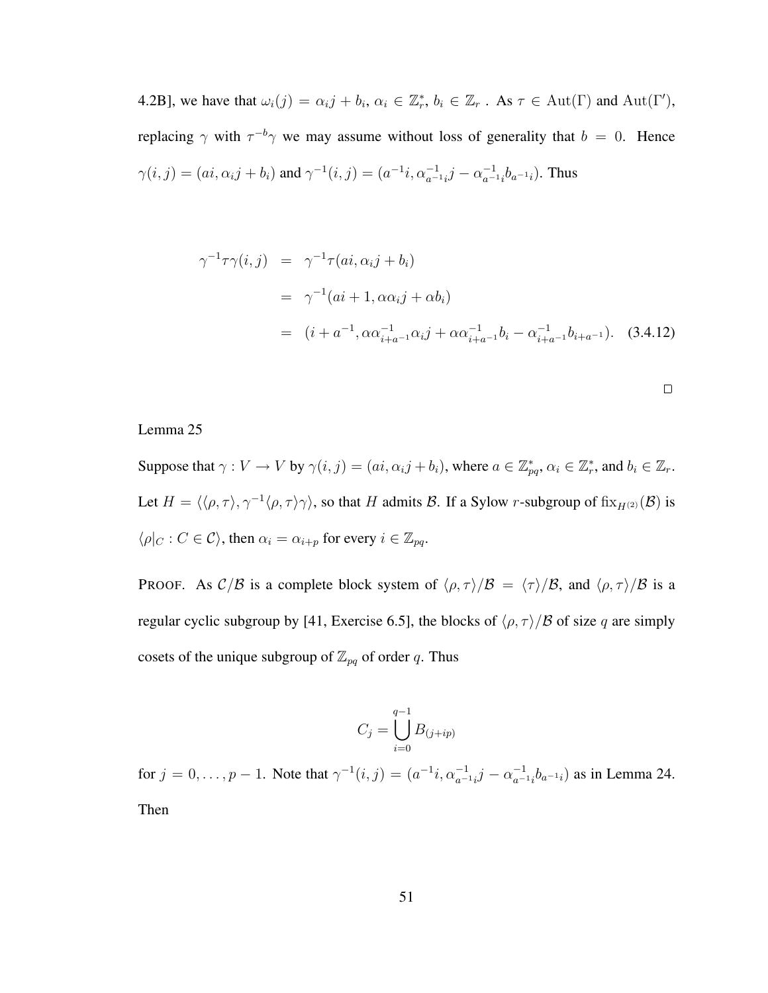4.2B], we have that  $\omega_i(j) = \alpha_i j + b_i, \, \alpha_i \in \mathbb{Z}_r^*, \, b_i \in \mathbb{Z}_r$ . As  $\tau \in \text{Aut}(\Gamma)$  and  $\text{Aut}(\Gamma'),$ replacing  $\gamma$  with  $\tau^{-b}\gamma$  we may assume without loss of generality that  $b = 0$ . Hence  $\gamma(i, j) = (ai, \alpha_i j + b_i)$  and  $\gamma^{-1}(i, j) = (a^{-1}i, \alpha_{a^{-1}i}^{-1}j - \alpha_{a^{-1}i}^{-1}j)$  $\frac{-1}{a^{-1}i}b_{a^{-1}i}$ ). Thus

$$
\gamma^{-1}\tau\gamma(i,j) = \gamma^{-1}\tau(ai, \alpha_i j + b_i)
$$
  
=  $\gamma^{-1}(ai + 1, \alpha\alpha_i j + \alpha b_i)$   
=  $(i + a^{-1}, \alpha\alpha_{i+a-1}^{-1}\alpha_i j + \alpha\alpha_{i+a-1}^{-1}b_i - \alpha_{i+a-1}^{-1}b_{i+a-1})$ . (3.4.12)

 $\Box$ 

#### Lemma 25

Suppose that  $\gamma: V \to V$  by  $\gamma(i, j) = (ai, \alpha_i j + b_i)$ , where  $a \in \mathbb{Z}_{pq}^*$ ,  $\alpha_i \in \mathbb{Z}_r^*$ , and  $b_i \in \mathbb{Z}_r$ . Let  $H = \langle \langle \rho, \tau \rangle, \gamma^{-1} \langle \rho, \tau \rangle \gamma \rangle$ , so that H admits B. If a Sylow r-subgroup of fix $_{H^{(2)}}(\mathcal{B})$  is  $\langle \rho|_C : C \in \mathcal{C} \rangle$ , then  $\alpha_i = \alpha_{i+p}$  for every  $i \in \mathbb{Z}_{pq}$ .

PROOF. As  $C/B$  is a complete block system of  $\langle \rho, \tau \rangle/B = \langle \tau \rangle/B$ , and  $\langle \rho, \tau \rangle/B$  is a regular cyclic subgroup by [41, Exercise 6.5], the blocks of  $\langle \rho, \tau \rangle/B$  of size q are simply cosets of the unique subgroup of  $\mathbb{Z}_{pq}$  of order q. Thus

$$
C_j = \bigcup_{i=0}^{q-1} B_{(j+ip)}
$$

for  $j = 0, \ldots, p - 1$ . Note that  $\gamma^{-1}(i, j) = (a^{-1}i, \alpha_{a^{-1}i}^{-1}j - \alpha_{a^{-1}i}^{-1})$  $\binom{-1}{a^{-1}}i$ <sub>a</sub> $\binom{-1}{a}$  as in Lemma 24. Then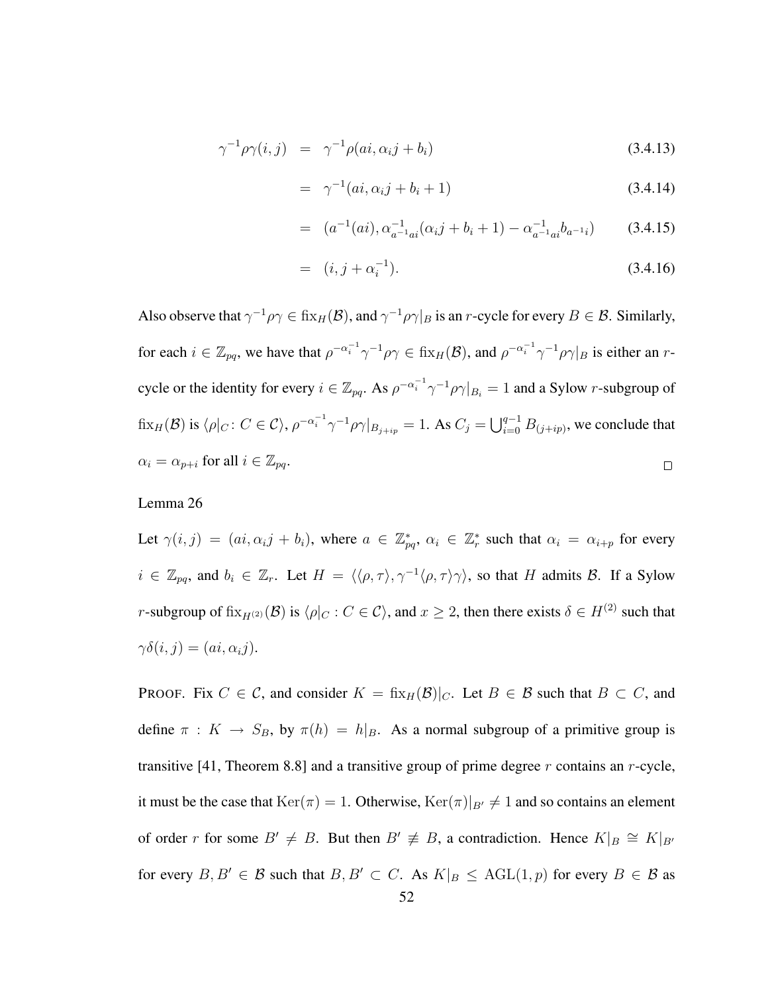$$
\gamma^{-1}\rho\gamma(i,j) = \gamma^{-1}\rho(ai,\alpha_i j + b_i)
$$
\n(3.4.13)

$$
= \gamma^{-1}(ai, \alpha_i j + b_i + 1) \tag{3.4.14}
$$

$$
= (a^{-1}(ai), \alpha_{a^{-1}ai}^{-1}(\alpha_i j + b_i + 1) - \alpha_{a^{-1}ai}^{-1}b_{a^{-1}i}) \qquad (3.4.15)
$$

$$
= (i, j + \alpha_i^{-1}). \tag{3.4.16}
$$

Also observe that  $\gamma^{-1}\rho\gamma \in \operatorname{fix}_{H}(\mathcal{B})$ , and  $\gamma^{-1}\rho\gamma|_B$  is an r-cycle for every  $B \in \mathcal{B}$ . Similarly, for each  $i \in \mathbb{Z}_{pq}$ , we have that  $\rho^{-\alpha_i^{-1}} \gamma^{-1} \rho \gamma \in \text{fix}_{H}(\mathcal{B})$ , and  $\rho^{-\alpha_i^{-1}} \gamma^{-1} \rho \gamma|_B$  is either an rcycle or the identity for every  $i \in \mathbb{Z}_{pq}$ . As  $\rho^{-\alpha_i^{-1}} \gamma^{-1} \rho \gamma|_{B_i} = 1$  and a Sylow r-subgroup of  $\text{fix}_{H}(\mathcal{B})$  is  $\langle \rho |_C : C \in \mathcal{C} \rangle$ ,  $\rho^{-\alpha_i^{-1}} \gamma^{-1} \rho \gamma |_{B_{j+ip}} = 1$ . As  $C_j = \bigcup_{i=0}^{q-1} B_{(j+ip)}$ , we conclude that  $\alpha_i = \alpha_{p+i}$  for all  $i \in \mathbb{Z}_{pq}$ .  $\Box$ 

#### Lemma 26

Let  $\gamma(i, j) = (ai, \alpha_i j + b_i)$ , where  $a \in \mathbb{Z}_{pq}^*$ ,  $\alpha_i \in \mathbb{Z}_r^*$  such that  $\alpha_i = \alpha_{i+p}$  for every  $i \in \mathbb{Z}_{pq}$ , and  $b_i \in \mathbb{Z}_r$ . Let  $H = \langle \langle \rho, \tau \rangle, \gamma^{-1} \langle \rho, \tau \rangle \gamma \rangle$ , so that H admits B. If a Sylow r-subgroup of  $fix_{H^{(2)}}(\mathcal{B})$  is  $\langle \rho|_C : C \in \mathcal{C} \rangle$ , and  $x \geq 2$ , then there exists  $\delta \in H^{(2)}$  such that  $\gamma\delta(i, j) = (ai, \alpha_i j).$ 

PROOF. Fix  $C \in \mathcal{C}$ , and consider  $K = \frac{f}{\text{fix}_{H}(\mathcal{B})|_{C}}$ . Let  $B \in \mathcal{B}$  such that  $B \subset C$ , and define  $\pi : K \to S_B$ , by  $\pi(h) = h|_B$ . As a normal subgroup of a primitive group is transitive [41, Theorem 8.8] and a transitive group of prime degree  $r$  contains an  $r$ -cycle, it must be the case that  $\text{Ker}(\pi) = 1$ . Otherwise,  $\text{Ker}(\pi)|_{B'} \neq 1$  and so contains an element of order r for some  $B' \neq B$ . But then  $B' \neq B$ , a contradiction. Hence  $K|_B \cong K|_{B'}$ for every  $B, B' \in \mathcal{B}$  such that  $B, B' \subset C$ . As  $K|_{B} \leq AGL(1,p)$  for every  $B \in \mathcal{B}$  as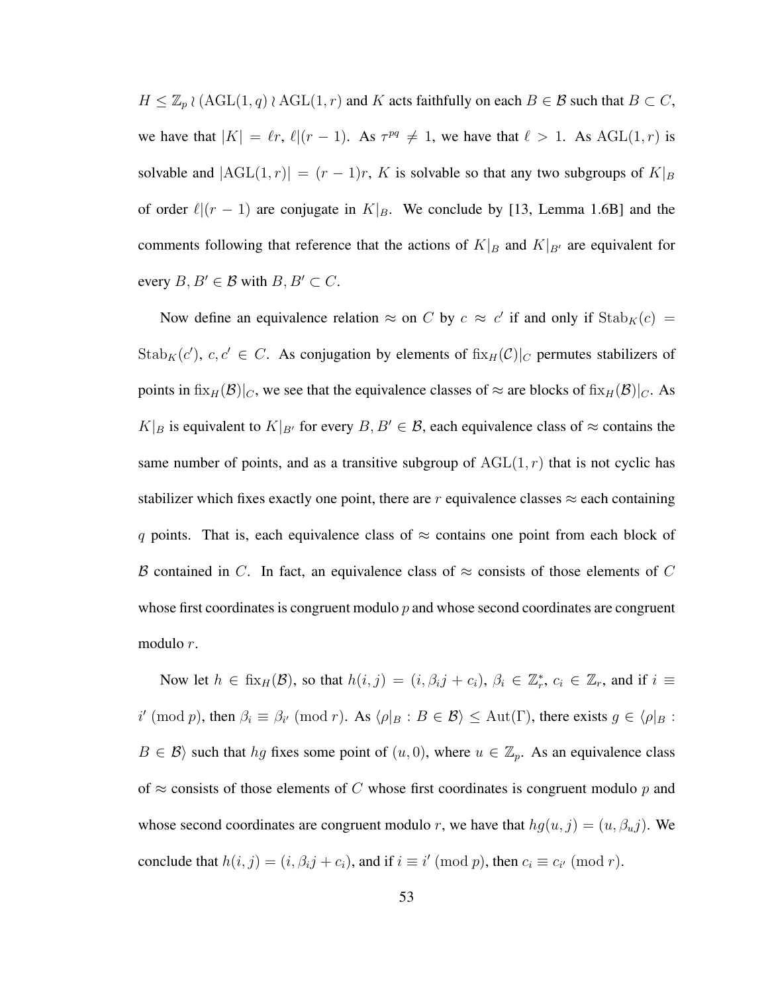$H \leq \mathbb{Z}_p \wr (\text{AGL}(1,q) \wr \text{AGL}(1,r) \text{ and } K \text{ acts faithfully on each } B \in \mathcal{B} \text{ such that } B \subset C$ , we have that  $|K| = \ell r$ ,  $\ell |(r - 1)$ . As  $\tau^{pq} \neq 1$ , we have that  $\ell > 1$ . As  $AGL(1, r)$  is solvable and  $|AGL(1,r)| = (r-1)r$ , K is solvable so that any two subgroups of  $K|_B$ of order  $\ell|(r - 1)$  are conjugate in  $K|_B$ . We conclude by [13, Lemma 1.6B] and the comments following that reference that the actions of  $K|_B$  and  $K|_{B'}$  are equivalent for every  $B, B' \in \mathcal{B}$  with  $B, B' \subset C$ .

Now define an equivalence relation  $\approx$  on C by  $c \approx c'$  if and only if  $\text{Stab}_K(c) =$ Stab<sub>K</sub>(c'), c, c'  $\in$  C. As conjugation by elements of fix<sub>H</sub>(C)|<sub>C</sub> permutes stabilizers of points in fix $_H(\mathcal{B})|_C$ , we see that the equivalence classes of  $\approx$  are blocks of fix $_H(\mathcal{B})|_C$ . As  $K|_B$  is equivalent to  $K|_{B'}$  for every  $B, B' \in \mathcal{B}$ , each equivalence class of  $\approx$  contains the same number of points, and as a transitive subgroup of  $AGL(1, r)$  that is not cyclic has stabilizer which fixes exactly one point, there are r equivalence classes  $\approx$  each containing q points. That is, each equivalence class of  $\approx$  contains one point from each block of B contained in C. In fact, an equivalence class of  $\approx$  consists of those elements of C whose first coordinates is congruent modulo  $p$  and whose second coordinates are congruent modulo r.

Now let  $h \in fix_H(\mathcal{B})$ , so that  $h(i, j) = (i, \beta_i j + c_i), \beta_i \in \mathbb{Z}_r^*, c_i \in \mathbb{Z}_r$ , and if  $i \equiv$ i' (mod p), then  $\beta_i \equiv \beta_{i'} \pmod{r}$ . As  $\langle \rho |_B : B \in \mathcal{B} \rangle \leq \text{Aut}(\Gamma)$ , there exists  $g \in \langle \rho |_B :$  $B \in \mathcal{B}$  such that hg fixes some point of  $(u, 0)$ , where  $u \in \mathbb{Z}_p$ . As an equivalence class of  $\approx$  consists of those elements of C whose first coordinates is congruent modulo p and whose second coordinates are congruent modulo r, we have that  $hg(u, j) = (u, \beta_u j)$ . We conclude that  $h(i, j) = (i, \beta_i j + c_i)$ , and if  $i \equiv i' \pmod{p}$ , then  $c_i \equiv c_{i'} \pmod{r}$ .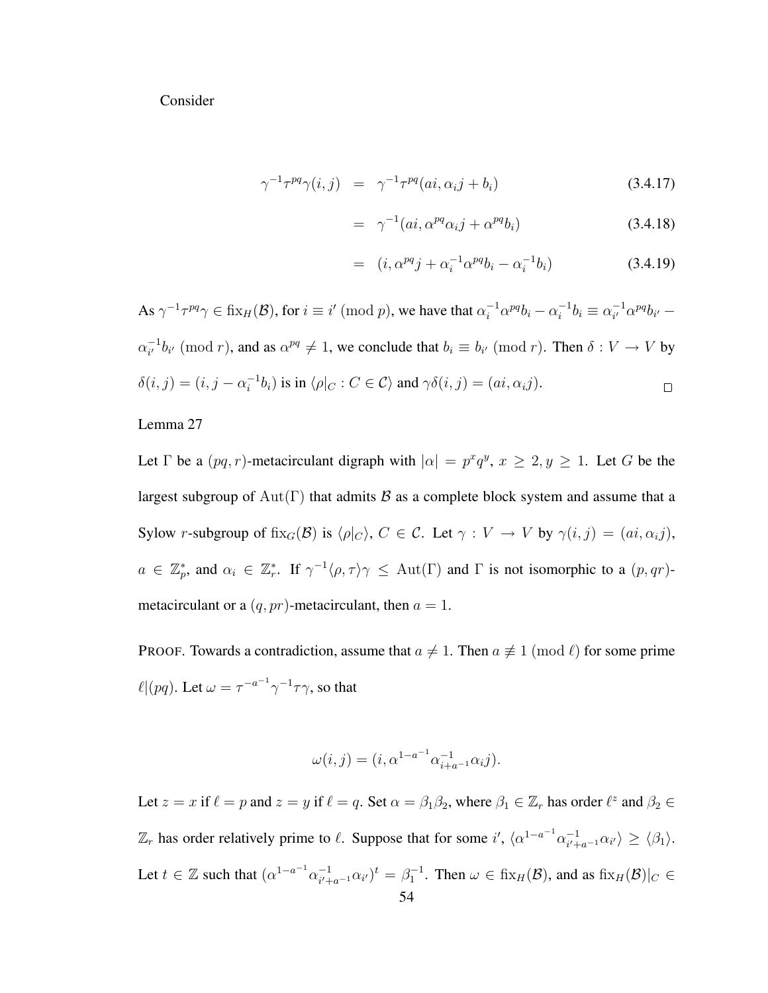Consider

$$
\gamma^{-1} \tau^{pq} \gamma(i,j) = \gamma^{-1} \tau^{pq} (ai, \alpha_i j + b_i)
$$
\n(3.4.17)

$$
= \gamma^{-1}(ai, \alpha^{pq}\alpha_i j + \alpha^{pq}b_i)
$$
 (3.4.18)

$$
= (i, \alpha^{pq} j + \alpha_i^{-1} \alpha^{pq} b_i - \alpha_i^{-1} b_i)
$$
 (3.4.19)

As  $\gamma^{-1} \tau^{pq} \gamma \in \text{fix}_{H}(\mathcal{B})$ , for  $i \equiv i' \pmod{p}$ , we have that  $\alpha_i^{-1} \alpha^{pq} b_i - \alpha_i^{-1}$  $i^{-1}b_i \equiv \alpha_{i'}^{-1}$  $i^{1} \alpha^{pq} b_{i'} \alpha_{i'}^{-1}$  $i<sub>i</sub><sup>-1</sup>b<sub>i'</sub>$  (mod *r*), and as  $\alpha^{pq} \neq 1$ , we conclude that  $b_i \equiv b_{i'} \pmod{r}$ . Then  $\delta : V \to V$  by  $\delta(i, j) = (i, j - \alpha_i^{-1})$  $\sigma_i^{-1}b_i$ ) is in  $\langle \rho |_C : C \in \mathcal{C} \rangle$  and  $\gamma \delta(i, j) = (ai, \alpha_i j)$ .  $\Box$ 

Lemma 27

Let  $\Gamma$  be a  $(pq, r)$ -metacirculant digraph with  $|\alpha| = p^x q^y$ ,  $x \ge 2, y \ge 1$ . Let G be the largest subgroup of  $Aut(\Gamma)$  that admits B as a complete block system and assume that a Sylow r-subgroup of fix<sub>G</sub>(B) is  $\langle \rho | c \rangle$ ,  $C \in \mathcal{C}$ . Let  $\gamma : V \to V$  by  $\gamma(i, j) = (ai, \alpha_{ij}),$  $a \in \mathbb{Z}_p^*$ , and  $\alpha_i \in \mathbb{Z}_r^*$ . If  $\gamma^{-1} \langle \rho, \tau \rangle \gamma \leq \text{Aut}(\Gamma)$  and  $\Gamma$  is not isomorphic to a  $(p, qr)$ metacirculant or a  $(q, pr)$ -metacirculant, then  $a = 1$ .

PROOF. Towards a contradiction, assume that  $a \neq 1$ . Then  $a \neq 1 \pmod{\ell}$  for some prime  $\ell | (pq)$ . Let  $\omega = \tau^{-a^{-1}} \gamma^{-1} \tau \gamma$ , so that

$$
\omega(i,j) = (i, \alpha^{1-a^{-1}} \alpha_{i+a^{-1}}^{-1} \alpha_i j).
$$

Let  $z = x$  if  $\ell = p$  and  $z = y$  if  $\ell = q$ . Set  $\alpha = \beta_1 \beta_2$ , where  $\beta_1 \in \mathbb{Z}_r$  has order  $\ell^z$  and  $\beta_2 \in$  $\mathbb{Z}_r$  has order relatively prime to  $\ell$ . Suppose that for some i',  $\langle \alpha^{1-a^{-1}} \alpha_{i'+1}^{-1} \rangle$  $\frac{-1}{i'+a^{-1}}\alpha_{i'}\rangle \geq \langle \beta_1\rangle.$ Let  $t \in \mathbb{Z}$  such that  $(\alpha^{1-a^{-1}} \alpha_{i' \perp}^{-1})$  $\int_{i'+a^{-1}}^{-1} \alpha_{i'}$ ,  $i' + a^{-1} \alpha_{i'}$   $\in \text{fix}_{H}(\mathcal{B})$ , and as  $\text{fix}_{H}(\mathcal{B})|_{C} \in$ 54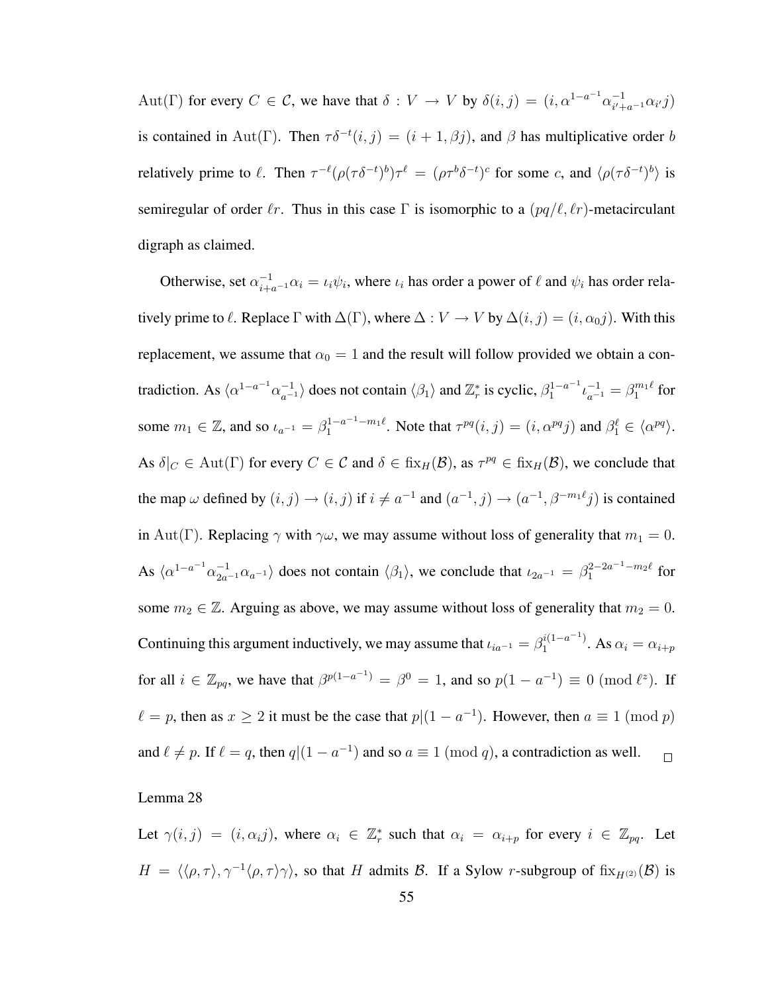Aut(Γ) for every  $C \in \mathcal{C}$ , we have that  $\delta: V \to V$  by  $\delta(i, j) = (i, \alpha^{1-a^{-1}} \alpha_{i,j}^{-1})$  $\frac{-1}{i'+a^{-1}} \alpha_{i'} j$ is contained in Aut(Γ). Then  $\tau \delta^{-t}(i, j) = (i + 1, \beta j)$ , and  $\beta$  has multiplicative order b relatively prime to  $\ell$ . Then  $\tau^{-\ell}(\rho(\tau \delta^{-t})^b)\tau^{\ell} = (\rho \tau^b \delta^{-t})^c$  for some c, and  $\langle \rho(\tau \delta^{-t})^b \rangle$  is semiregular of order  $\ell r$ . Thus in this case Γ is isomorphic to a  $\left(pq/\ell, \ell r\right)$ -metacirculant digraph as claimed.

Otherwise, set  $\alpha_{i+a-1}^{-1}\alpha_i = \iota_i\psi_i$ , where  $\iota_i$  has order a power of  $\ell$  and  $\psi_i$  has order relatively prime to  $\ell$ . Replace  $\Gamma$  with  $\Delta(\Gamma)$ , where  $\Delta : V \to V$  by  $\Delta(i, j) = (i, \alpha_0 j)$ . With this replacement, we assume that  $\alpha_0 = 1$  and the result will follow provided we obtain a contradiction. As  $\langle \alpha^{1-a^{-1}} \alpha_{a^{-1}}^{-1} \rangle$  does not contain  $\langle \beta_1 \rangle$  and  $\mathbb{Z}_r^*$  is cyclic,  $\beta_1^{1-a^{-1}} \iota_{a^{-1}}^{-1} = \beta_1^{m_1 \ell}$  for some  $m_1 \in \mathbb{Z}$ , and so  $\iota_{a^{-1}} = \beta_1^{1-a^{-1}-m_1\ell}$ . Note that  $\tau^{pq}(i,j) = (i, \alpha^{pq}j)$  and  $\beta_1^{\ell} \in \langle \alpha^{pq} \rangle$ . As  $\delta|_C \in \text{Aut}(\Gamma)$  for every  $C \in \mathcal{C}$  and  $\delta \in \text{fix}_H(\mathcal{B})$ , as  $\tau^{pq} \in \text{fix}_H(\mathcal{B})$ , we conclude that the map  $\omega$  defined by  $(i, j) \rightarrow (i, j)$  if  $i \neq a^{-1}$  and  $(a^{-1}, j) \rightarrow (a^{-1}, \beta^{-m_1 \ell} j)$  is contained in Aut(Γ). Replacing  $\gamma$  with  $\gamma\omega$ , we may assume without loss of generality that  $m_1 = 0$ . As  $\langle \alpha^{1-a^{-1}} \alpha_{2a^{-1}}^{-1} \alpha_{a^{-1}} \rangle$  does not contain  $\langle \beta_1 \rangle$ , we conclude that  $\iota_{2a^{-1}} = \beta_1^{2-2a^{-1}-m_2\ell}$  for some  $m_2 \in \mathbb{Z}$ . Arguing as above, we may assume without loss of generality that  $m_2 = 0$ . Continuing this argument inductively, we may assume that  $\iota_{ia^{-1}} = \beta_1^{i(1-a^{-1})}$  $\alpha_1^{(1-a^{-1})}$ . As  $\alpha_i = \alpha_{i+p}$ for all  $i \in \mathbb{Z}_{pq}$ , we have that  $\beta^{p(1-a^{-1})} = \beta^0 = 1$ , and so  $p(1 - a^{-1}) \equiv 0 \pmod{\ell^z}$ . If  $\ell = p$ , then as  $x \ge 2$  it must be the case that  $p|(1 - a^{-1})$ . However, then  $a \equiv 1 \pmod{p}$ and  $\ell \neq p$ . If  $\ell = q$ , then  $q|(1 - a^{-1})$  and so  $a \equiv 1 \pmod{q}$ , a contradiction as well.  $\Box$ 

#### Lemma 28

Let  $\gamma(i, j) = (i, \alpha_i j)$ , where  $\alpha_i \in \mathbb{Z}_r^*$  such that  $\alpha_i = \alpha_{i+p}$  for every  $i \in \mathbb{Z}_{pq}$ . Let  $H = \langle \langle \rho, \tau \rangle, \gamma^{-1} \langle \rho, \tau \rangle \gamma \rangle$ , so that H admits B. If a Sylow r-subgroup of fix $_{H^{(2)}}(\mathcal{B})$  is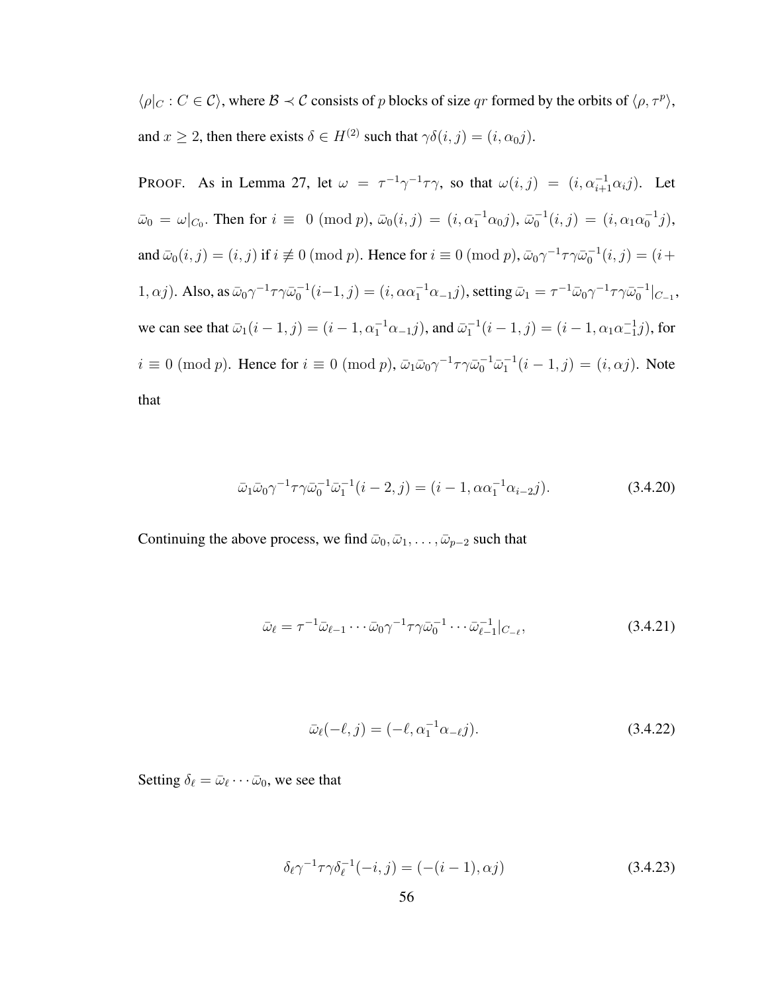$\langle \rho |_{C} : C \in \mathcal{C} \rangle$ , where  $\mathcal{B} \prec \mathcal{C}$  consists of p blocks of size qr formed by the orbits of  $\langle \rho, \tau^p \rangle$ , and  $x \ge 2$ , then there exists  $\delta \in H^{(2)}$  such that  $\gamma \delta(i, j) = (i, \alpha_0 j)$ .

PROOF. As in Lemma 27, let  $\omega = \tau^{-1} \gamma^{-1} \tau \gamma$ , so that  $\omega(i, j) = (i, \alpha_{i+1}^{-1} \alpha_i j)$ . Let  $\bar{\omega}_0 = \omega|_{C_0}$ . Then for  $i \equiv 0 \pmod{p}$ ,  $\bar{\omega}_0(i,j) = (i, \alpha_1^{-1}\alpha_0 j)$ ,  $\bar{\omega}_0^{-1}(i,j) = (i, \alpha_1\alpha_0^{-1} j)$ , and  $\bar{\omega}_0(i,j) = (i,j)$  if  $i \not\equiv 0 \pmod{p}$ . Hence for  $i \equiv 0 \pmod{p}$ ,  $\bar{\omega}_0 \gamma^{-1} \tau \gamma \bar{\omega}_0^{-1}(i,j) = (i+j)$ 1,  $\alpha j$ ). Also, as  $\bar{\omega}_0 \gamma^{-1} \tau \gamma \bar{\omega}_0^{-1} (i-1, j) = (i, \alpha \alpha_1^{-1} \alpha_{-1} j)$ , setting  $\bar{\omega}_1 = \tau^{-1} \bar{\omega}_0 \gamma^{-1} \tau \gamma \bar{\omega}_0^{-1} |_{C_{-1}}$ , we can see that  $\bar{\omega}_1(i-1,j) = (i-1, \alpha_1^{-1}\alpha_{-1}j)$ , and  $\bar{\omega}_1^{-1}(i-1,j) = (i-1, \alpha_1\alpha_{-1}^{-1}j)$ , for  $i \equiv 0 \pmod{p}$ . Hence for  $i \equiv 0 \pmod{p}$ ,  $\bar{\omega}_1 \bar{\omega}_0 \gamma^{-1} \tau \gamma \bar{\omega}_0^{-1} \bar{\omega}_1^{-1} (i - 1, j) = (i, \alpha j)$ . Note that

$$
\bar{\omega}_1 \bar{\omega}_0 \gamma^{-1} \tau \gamma \bar{\omega}_0^{-1} \bar{\omega}_1^{-1} (i - 2, j) = (i - 1, \alpha \alpha_1^{-1} \alpha_{i-2} j). \tag{3.4.20}
$$

Continuing the above process, we find  $\bar{\omega}_0, \bar{\omega}_1, \dots, \bar{\omega}_{p-2}$  such that

$$
\bar{\omega}_{\ell} = \tau^{-1} \bar{\omega}_{\ell-1} \cdots \bar{\omega}_0 \gamma^{-1} \tau \gamma \bar{\omega}_0^{-1} \cdots \bar{\omega}_{\ell-1}^{-1} |_{C_{-\ell}},
$$
\n(3.4.21)

$$
\bar{\omega}_{\ell}(-\ell,j) = (-\ell, \alpha_1^{-1}\alpha_{-\ell}j). \tag{3.4.22}
$$

Setting  $\delta_{\ell} = \bar{\omega}_{\ell} \cdots \bar{\omega}_0$ , we see that

$$
\delta_{\ell} \gamma^{-1} \tau \gamma \delta_{\ell}^{-1}(-i, j) = (-(i-1), \alpha j)
$$
\n(3.4.23)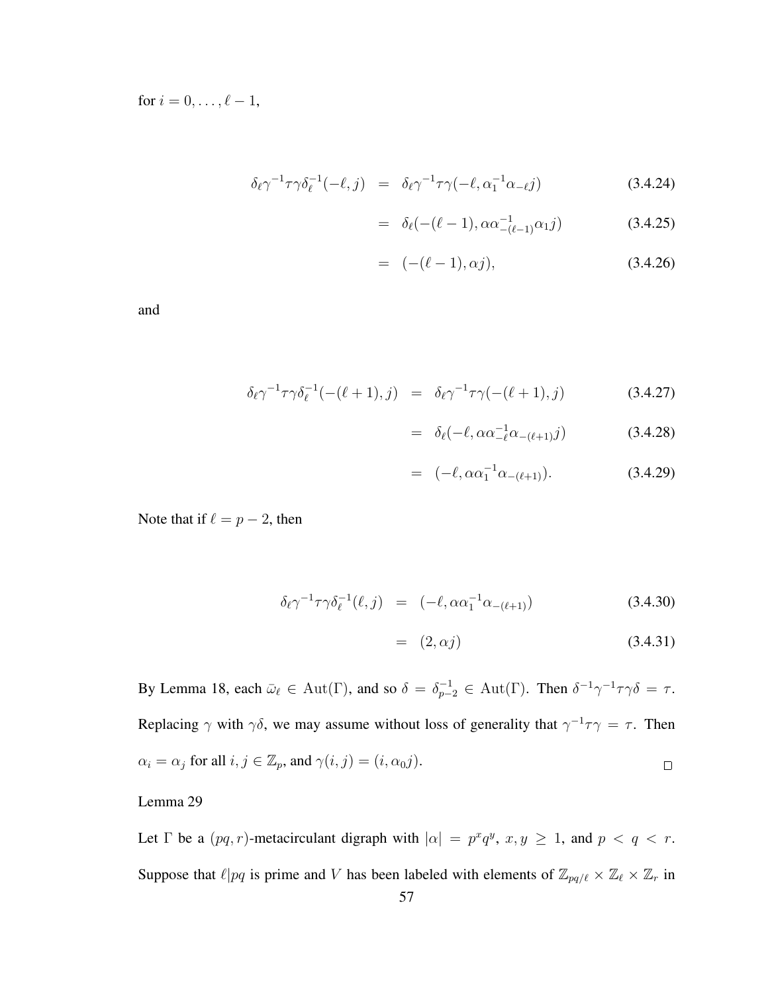for  $i = 0, ..., \ell - 1$ ,

$$
\delta_{\ell} \gamma^{-1} \tau \gamma \delta_{\ell}^{-1}(-\ell, j) = \delta_{\ell} \gamma^{-1} \tau \gamma(-\ell, \alpha_1^{-1} \alpha_{-\ell} j) \tag{3.4.24}
$$

$$
= \delta_{\ell}(-(\ell-1), \alpha \alpha_{-(\ell-1)}^{-1} \alpha_1 j) \tag{3.4.25}
$$

$$
= (-(\ell - 1), \alpha j), \tag{3.4.26}
$$

and

$$
\delta_{\ell} \gamma^{-1} \tau \gamma \delta_{\ell}^{-1} (-(\ell+1), j) = \delta_{\ell} \gamma^{-1} \tau \gamma (-(\ell+1), j) \tag{3.4.27}
$$

$$
= \delta_{\ell}(-\ell, \alpha \alpha_{-\ell}^{-1} \alpha_{-(\ell+1)} j) \tag{3.4.28}
$$

$$
= (-\ell, \alpha \alpha_1^{-1} \alpha_{-(\ell+1)}). \tag{3.4.29}
$$

Note that if  $\ell = p - 2$ , then

$$
\delta_{\ell} \gamma^{-1} \tau \gamma \delta_{\ell}^{-1}(\ell, j) = (-\ell, \alpha \alpha_1^{-1} \alpha_{-(\ell+1)}) \tag{3.4.30}
$$

$$
= (2, \alpha j) \tag{3.4.31}
$$

By Lemma 18, each  $\bar{\omega}_{\ell} \in \text{Aut}(\Gamma)$ , and so  $\delta = \delta_{p-2}^{-1} \in \text{Aut}(\Gamma)$ . Then  $\delta^{-1} \gamma^{-1} \tau \gamma \delta = \tau$ . Replacing  $\gamma$  with  $\gamma\delta$ , we may assume without loss of generality that  $\gamma^{-1}\tau\gamma = \tau$ . Then  $\alpha_i = \alpha_j$  for all  $i, j \in \mathbb{Z}_p$ , and  $\gamma(i, j) = (i, \alpha_0 j)$ .  $\Box$ 

## Lemma 29

Let  $\Gamma$  be a  $(pq, r)$ -metacirculant digraph with  $|\alpha| = p^x q^y$ ,  $x, y \ge 1$ , and  $p < q < r$ . Suppose that  $\ell |pq$  is prime and V has been labeled with elements of  $\mathbb{Z}_{pq/\ell} \times \mathbb{Z}_\ell \times \mathbb{Z}_r$  in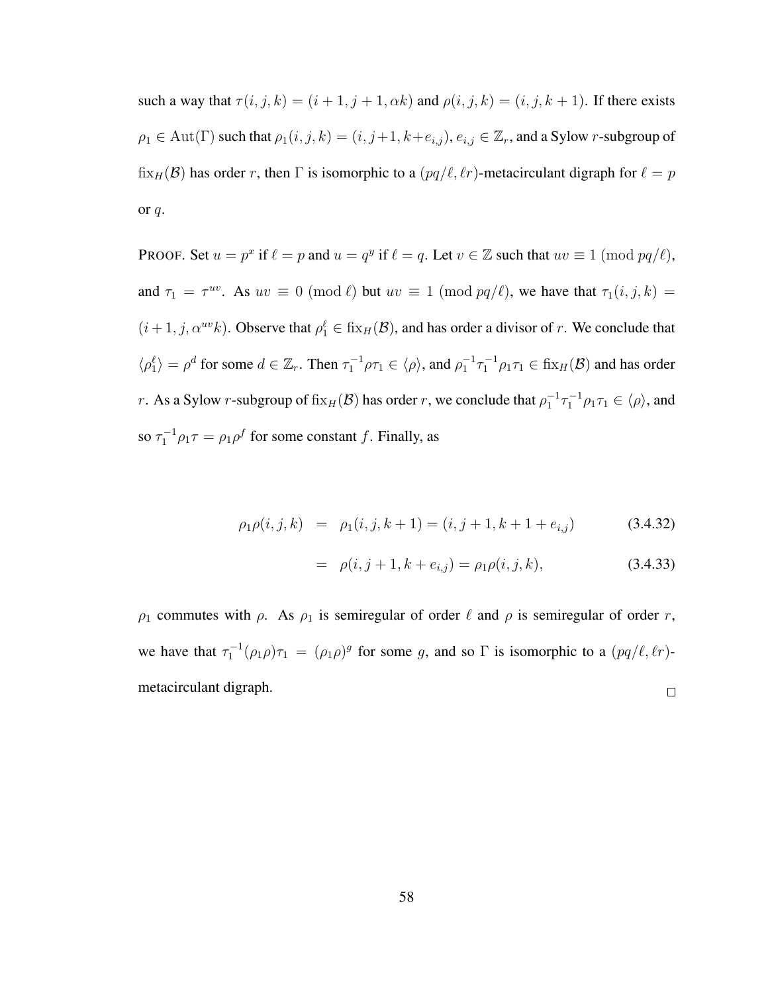such a way that  $\tau(i, j, k) = (i + 1, j + 1, \alpha k)$  and  $\rho(i, j, k) = (i, j, k + 1)$ . If there exists  $\rho_1\in \mathrm{Aut}(\Gamma)$  such that  $\rho_1(i,j,k)=(i,j+1,k+e_{i,j}),$   $e_{i,j}\in \mathbb{Z}_r,$  and a Sylow r-subgroup of fix<sub>H</sub>(B) has order r, then  $\Gamma$  is isomorphic to a  $(pq/\ell, \ell r)$ -metacirculant digraph for  $\ell = p$ or q.

PROOF. Set  $u = p^x$  if  $\ell = p$  and  $u = q^y$  if  $\ell = q$ . Let  $v \in \mathbb{Z}$  such that  $uv \equiv 1 \pmod{pq/\ell}$ , and  $\tau_1 = \tau^{uv}$ . As  $uv \equiv 0 \pmod{\ell}$  but  $uv \equiv 1 \pmod{pq/\ell}$ , we have that  $\tau_1(i, j, k) =$  $(i+1, j, \alpha^{uv}k)$ . Observe that  $\rho_1^{\ell} \in \text{fix}_{H}(\mathcal{B})$ , and has order a divisor of r. We conclude that  $\langle \rho_1^{\ell} \rangle = \rho^d$  for some  $d \in \mathbb{Z}_r$ . Then  $\tau_1^{-1} \rho \tau_1 \in \langle \rho \rangle$ , and  $\rho_1^{-1} \tau_1^{-1} \rho_1 \tau_1 \in \operatorname{fix}_H(\mathcal{B})$  and has order *r*. As a Sylow *r*-subgroup of  $fix_H(\mathcal{B})$  has order *r*, we conclude that  $\rho_1^{-1}\tau_1^{-1}\rho_1\tau_1 \in \langle \rho \rangle$ , and so  $\tau_1^{-1} \rho_1 \tau = \rho_1 \rho^f$  for some constant f. Finally, as

$$
\rho_1 \rho(i,j,k) = \rho_1(i,j,k+1) = (i,j+1,k+1+e_{i,j}) \tag{3.4.32}
$$

$$
= \rho(i, j+1, k+e_{i,j}) = \rho_1 \rho(i, j, k), \qquad (3.4.33)
$$

 $\rho_1$  commutes with  $\rho$ . As  $\rho_1$  is semiregular of order  $\ell$  and  $\rho$  is semiregular of order r, we have that  $\tau_1^{-1}(\rho_1 \rho) \tau_1 = (\rho_1 \rho)^g$  for some g, and so  $\Gamma$  is isomorphic to a  $(pq/\ell, \ell r)$ metacirculant digraph.  $\Box$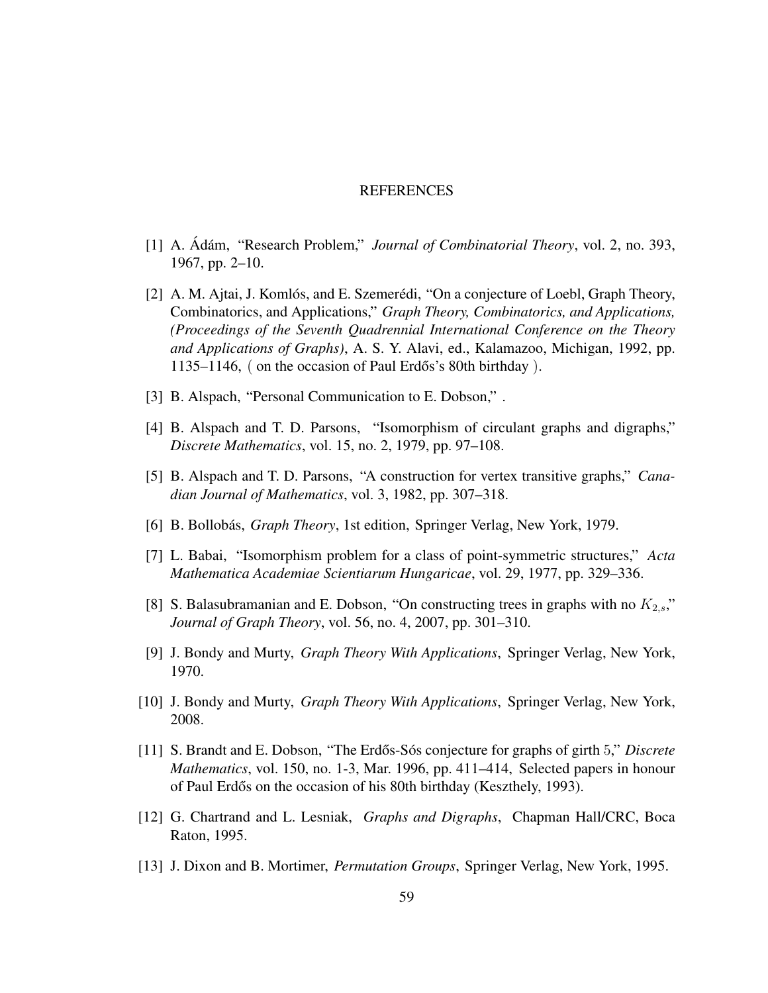#### REFERENCES

- [1] A. Adám, "Research Problem," *Journal of Combinatorial Theory*, vol. 2, no. 393, 1967, pp. 2–10.
- [2] A. M. Ajtai, J. Komlós, and E. Szemerédi, "On a conjecture of Loebl, Graph Theory, Combinatorics, and Applications," *Graph Theory, Combinatorics, and Applications, (Proceedings of the Seventh Quadrennial International Conference on the Theory and Applications of Graphs)*, A. S. Y. Alavi, ed., Kalamazoo, Michigan, 1992, pp.  $1135-1146$ , ( on the occasion of Paul Erdős's 80th birthday).
- [3] B. Alspach, "Personal Communication to E. Dobson,".
- [4] B. Alspach and T. D. Parsons, "Isomorphism of circulant graphs and digraphs," *Discrete Mathematics*, vol. 15, no. 2, 1979, pp. 97–108.
- [5] B. Alspach and T. D. Parsons, "A construction for vertex transitive graphs," *Canadian Journal of Mathematics*, vol. 3, 1982, pp. 307–318.
- [6] B. Bollobás, *Graph Theory*, 1st edition, Springer Verlag, New York, 1979.
- [7] L. Babai, "Isomorphism problem for a class of point-symmetric structures," *Acta Mathematica Academiae Scientiarum Hungaricae*, vol. 29, 1977, pp. 329–336.
- [8] S. Balasubramanian and E. Dobson, "On constructing trees in graphs with no  $K_{2,s}$ " *Journal of Graph Theory*, vol. 56, no. 4, 2007, pp. 301–310.
- [9] J. Bondy and Murty, *Graph Theory With Applications*, Springer Verlag, New York, 1970.
- [10] J. Bondy and Murty, *Graph Theory With Applications*, Springer Verlag, New York, 2008.
- [11] S. Brandt and E. Dobson, "The Erdős-Sós conjecture for graphs of girth 5," *Discrete Mathematics*, vol. 150, no. 1-3, Mar. 1996, pp. 411–414, Selected papers in honour of Paul Erdős on the occasion of his 80th birthday (Keszthely, 1993).
- [12] G. Chartrand and L. Lesniak, *Graphs and Digraphs*, Chapman Hall/CRC, Boca Raton, 1995.
- [13] J. Dixon and B. Mortimer, *Permutation Groups*, Springer Verlag, New York, 1995.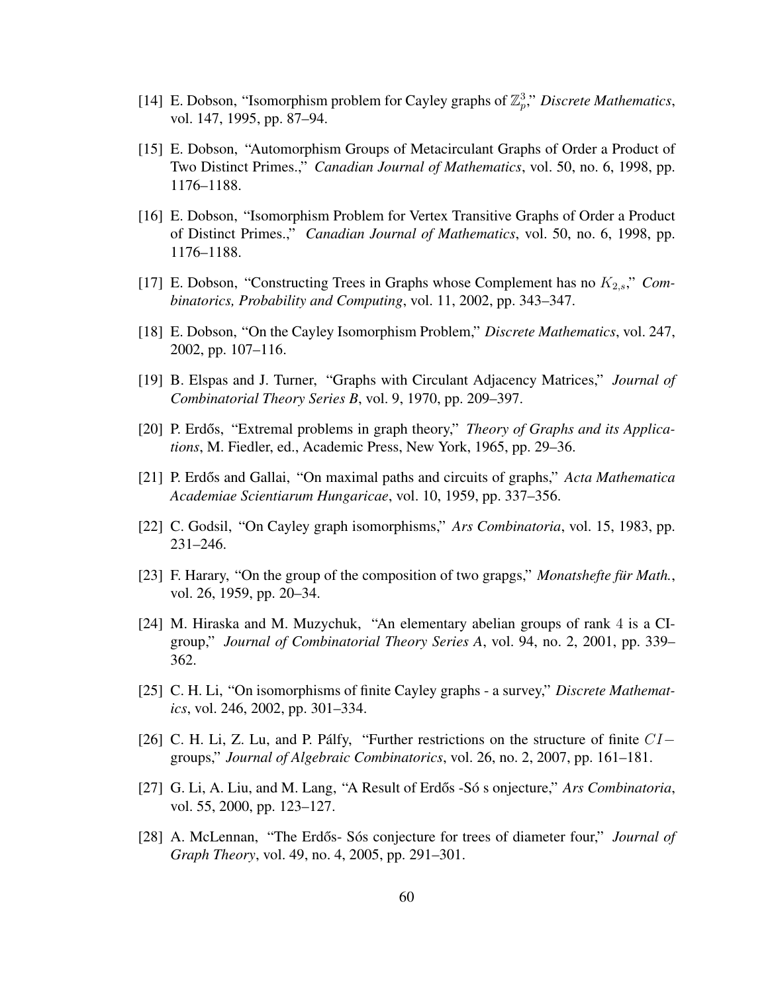- [14] E. Dobson, "Isomorphism problem for Cayley graphs of  $\mathbb{Z}_p^3$ ," *Discrete Mathematics*, vol. 147, 1995, pp. 87–94.
- [15] E. Dobson, "Automorphism Groups of Metacirculant Graphs of Order a Product of Two Distinct Primes.," *Canadian Journal of Mathematics*, vol. 50, no. 6, 1998, pp. 1176–1188.
- [16] E. Dobson, "Isomorphism Problem for Vertex Transitive Graphs of Order a Product of Distinct Primes.," *Canadian Journal of Mathematics*, vol. 50, no. 6, 1998, pp. 1176–1188.
- [17] E. Dobson, "Constructing Trees in Graphs whose Complement has no  $K_{2,s}$ ," *Combinatorics, Probability and Computing*, vol. 11, 2002, pp. 343–347.
- [18] E. Dobson, "On the Cayley Isomorphism Problem," *Discrete Mathematics*, vol. 247, 2002, pp. 107–116.
- [19] B. Elspas and J. Turner, "Graphs with Circulant Adjacency Matrices," *Journal of Combinatorial Theory Series B*, vol. 9, 1970, pp. 209–397.
- [20] P. Erdős, "Extremal problems in graph theory," *Theory of Graphs and its Applications*, M. Fiedler, ed., Academic Press, New York, 1965, pp. 29–36.
- [21] P. Erdős and Gallai, "On maximal paths and circuits of graphs," *Acta Mathematica Academiae Scientiarum Hungaricae*, vol. 10, 1959, pp. 337–356.
- [22] C. Godsil, "On Cayley graph isomorphisms," *Ars Combinatoria*, vol. 15, 1983, pp. 231–246.
- [23] F. Harary, "On the group of the composition of two grapgs," *Monatshefte fur Math.*, vol. 26, 1959, pp. 20–34.
- [24] M. Hiraska and M. Muzychuk, "An elementary abelian groups of rank 4 is a CIgroup," *Journal of Combinatorial Theory Series A*, vol. 94, no. 2, 2001, pp. 339– 362.
- [25] C. H. Li, "On isomorphisms of finite Cayley graphs a survey," *Discrete Mathematics*, vol. 246, 2002, pp. 301–334.
- [26] C. H. Li, Z. Lu, and P. Pálfy, "Further restrictions on the structure of finite  $CI$ groups," *Journal of Algebraic Combinatorics*, vol. 26, no. 2, 2007, pp. 161–181.
- [27] G. Li, A. Liu, and M. Lang, "A Result of Erdős -Só s onjecture," *Ars Combinatoria*, vol. 55, 2000, pp. 123–127.
- [28] A. McLennan, "The Erdős- Sós conjecture for trees of diameter four," *Journal of Graph Theory*, vol. 49, no. 4, 2005, pp. 291–301.